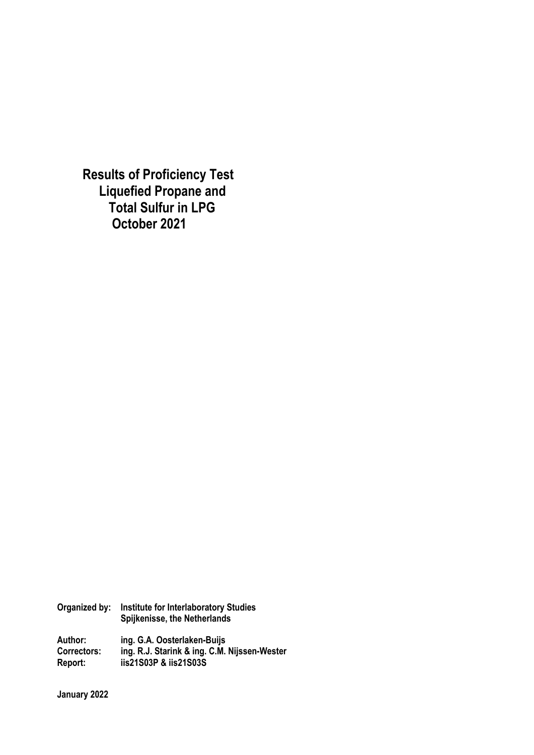**Results of Proficiency Test Liquefied Propane and Total Sulfur in LPG October 2021** 

**Organized by: Institute for Interlaboratory Studies Spijkenisse, the Netherlands** 

**Author: ing. G.A. Oosterlaken-Buijs Correctors: ing. R.J. Starink & ing. C.M. Nijssen-Wester Report: iis21S03P & iis21S03S** 

**January 2022**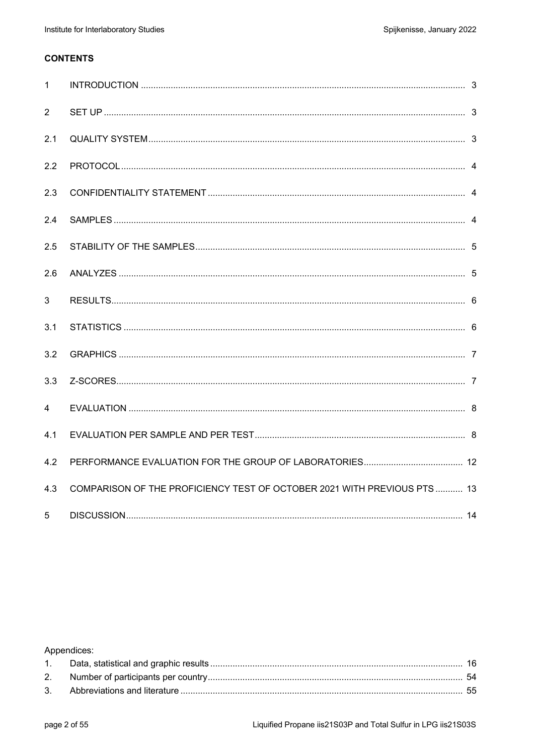### **CONTENTS**

| $\mathbf{1}$   |                                                                         |  |
|----------------|-------------------------------------------------------------------------|--|
| 2              |                                                                         |  |
| 2.1            |                                                                         |  |
| 2.2            |                                                                         |  |
| 2.3            |                                                                         |  |
| 2.4            |                                                                         |  |
| 2.5            |                                                                         |  |
| 2.6            |                                                                         |  |
| 3              |                                                                         |  |
| 3.1            |                                                                         |  |
| 3.2            |                                                                         |  |
| 3.3            |                                                                         |  |
| $\overline{4}$ |                                                                         |  |
| 4.1            |                                                                         |  |
| 4.2            |                                                                         |  |
| 4.3            | COMPARISON OF THE PROFICIENCY TEST OF OCTOBER 2021 WITH PREVIOUS PTS 13 |  |
| 5              |                                                                         |  |

# Appendices: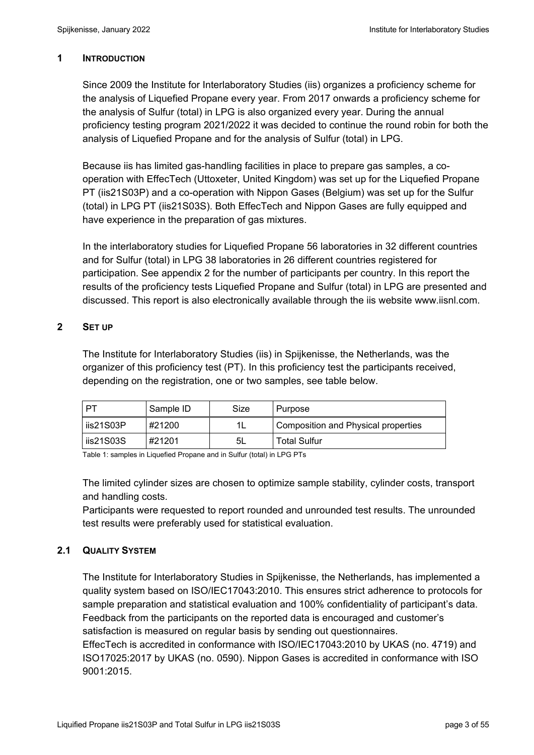#### **1 INTRODUCTION**

Since 2009 the Institute for Interlaboratory Studies (iis) organizes a proficiency scheme for the analysis of Liquefied Propane every year. From 2017 onwards a proficiency scheme for the analysis of Sulfur (total) in LPG is also organized every year. During the annual proficiency testing program 2021/2022 it was decided to continue the round robin for both the analysis of Liquefied Propane and for the analysis of Sulfur (total) in LPG.

Because iis has limited gas-handling facilities in place to prepare gas samples, a cooperation with EffecTech (Uttoxeter, United Kingdom) was set up for the Liquefied Propane PT (iis21S03P) and a co-operation with Nippon Gases (Belgium) was set up for the Sulfur (total) in LPG PT (iis21S03S). Both EffecTech and Nippon Gases are fully equipped and have experience in the preparation of gas mixtures.

In the interlaboratory studies for Liquefied Propane 56 laboratories in 32 different countries and for Sulfur (total) in LPG 38 laboratories in 26 different countries registered for participation. See appendix 2 for the number of participants per country. In this report the results of the proficiency tests Liquefied Propane and Sulfur (total) in LPG are presented and discussed. This report is also electronically available through the iis website www.iisnl.com.

### **2 SET UP**

The Institute for Interlaboratory Studies (iis) in Spijkenisse, the Netherlands, was the organizer of this proficiency test (PT). In this proficiency test the participants received, depending on the registration, one or two samples, see table below.

| . P <sup>-</sup> | Sample ID | Size | Purpose                             |
|------------------|-----------|------|-------------------------------------|
| iis21S03P        | #21200    |      | Composition and Physical properties |
| iis21S03S        | #21201    | -5L  | <b>Total Sulfur</b>                 |

Table 1: samples in Liquefied Propane and in Sulfur (total) in LPG PTs

The limited cylinder sizes are chosen to optimize sample stability, cylinder costs, transport and handling costs.

Participants were requested to report rounded and unrounded test results. The unrounded test results were preferably used for statistical evaluation.

### **2.1 QUALITY SYSTEM**

The Institute for Interlaboratory Studies in Spijkenisse, the Netherlands, has implemented a quality system based on ISO/IEC17043:2010. This ensures strict adherence to protocols for sample preparation and statistical evaluation and 100% confidentiality of participant's data. Feedback from the participants on the reported data is encouraged and customer's satisfaction is measured on regular basis by sending out questionnaires.

EffecTech is accredited in conformance with ISO/IEC17043:2010 by UKAS (no. 4719) and ISO17025:2017 by UKAS (no. 0590). Nippon Gases is accredited in conformance with ISO 9001:2015.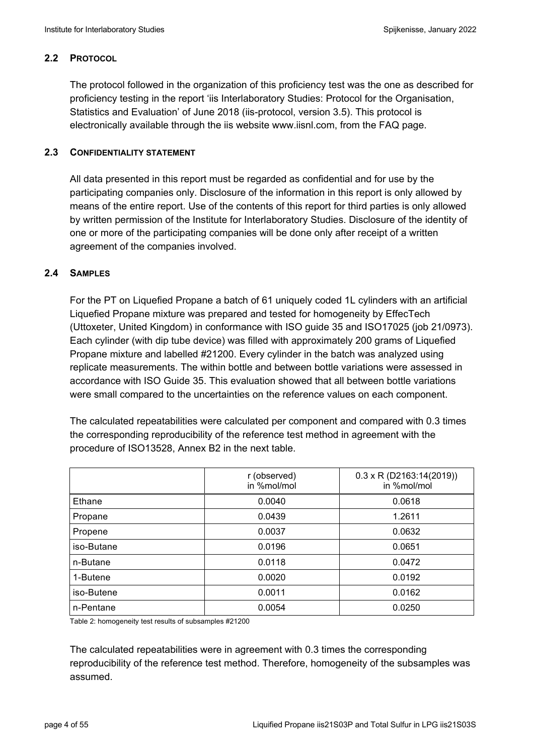### **2.2 PROTOCOL**

The protocol followed in the organization of this proficiency test was the one as described for proficiency testing in the report 'iis Interlaboratory Studies: Protocol for the Organisation, Statistics and Evaluation' of June 2018 (iis-protocol, version 3.5). This protocol is electronically available through the iis website www.iisnl.com, from the FAQ page.

#### **2.3 CONFIDENTIALITY STATEMENT**

All data presented in this report must be regarded as confidential and for use by the participating companies only. Disclosure of the information in this report is only allowed by means of the entire report. Use of the contents of this report for third parties is only allowed by written permission of the Institute for Interlaboratory Studies. Disclosure of the identity of one or more of the participating companies will be done only after receipt of a written agreement of the companies involved.

### **2.4 SAMPLES**

For the PT on Liquefied Propane a batch of 61 uniquely coded 1L cylinders with an artificial Liquefied Propane mixture was prepared and tested for homogeneity by EffecTech (Uttoxeter, United Kingdom) in conformance with ISO guide 35 and ISO17025 (job 21/0973). Each cylinder (with dip tube device) was filled with approximately 200 grams of Liquefied Propane mixture and labelled #21200. Every cylinder in the batch was analyzed using replicate measurements. The within bottle and between bottle variations were assessed in accordance with ISO Guide 35. This evaluation showed that all between bottle variations were small compared to the uncertainties on the reference values on each component.

The calculated repeatabilities were calculated per component and compared with 0.3 times the corresponding reproducibility of the reference test method in agreement with the procedure of ISO13528, Annex B2 in the next table.

|            | r (observed)<br>in %mol/mol | $0.3 \times R$ (D2163:14(2019))<br>in %mol/mol |  |
|------------|-----------------------------|------------------------------------------------|--|
| Ethane     | 0.0040                      | 0.0618                                         |  |
| Propane    | 0.0439                      | 1.2611                                         |  |
| Propene    | 0.0037                      | 0.0632                                         |  |
| iso-Butane | 0.0196                      | 0.0651                                         |  |
| n-Butane   | 0.0118                      | 0.0472                                         |  |
| 1-Butene   | 0.0020                      | 0.0192                                         |  |
| iso-Butene | 0.0011                      | 0.0162                                         |  |
| n-Pentane  | 0.0054                      | 0.0250                                         |  |

Table 2: homogeneity test results of subsamples #21200

The calculated repeatabilities were in agreement with 0.3 times the corresponding reproducibility of the reference test method. Therefore, homogeneity of the subsamples was assumed.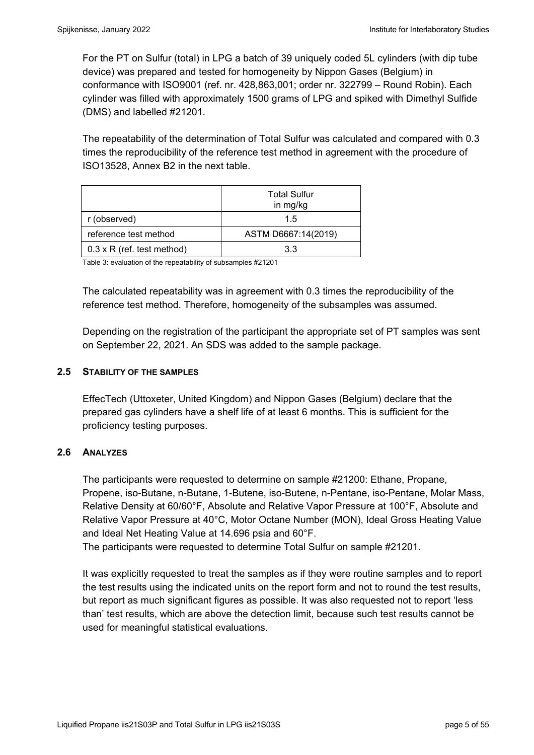For the PT on Sulfur (total) in LPG a batch of 39 uniquely coded 5L cylinders (with dip tube device) was prepared and tested for homogeneity by Nippon Gases (Belgium) in conformance with ISO9001 (ref. nr. 428,863,001; order nr. 322799 – Round Robin). Each cylinder was filled with approximately 1500 grams of LPG and spiked with Dimethyl Sulfide (DMS) and labelled #21201.

The repeatability of the determination of Total Sulfur was calculated and compared with 0.3 times the reproducibility of the reference test method in agreement with the procedure of ISO13528, Annex B2 in the next table.

|                                   | <b>Total Sulfur</b><br>in mg/kg |
|-----------------------------------|---------------------------------|
| r (observed)                      | 1.5                             |
| reference test method             | ASTM D6667:14(2019)             |
| $0.3 \times R$ (ref. test method) | 3.3                             |

Table 3: evaluation of the repeatability of subsamples #21201

The calculated repeatability was in agreement with 0.3 times the reproducibility of the reference test method. Therefore, homogeneity of the subsamples was assumed.

Depending on the registration of the participant the appropriate set of PT samples was sent on September 22, 2021. An SDS was added to the sample package.

#### **2.5 STABILITY OF THE SAMPLES**

EffecTech (Uttoxeter, United Kingdom) and Nippon Gases (Belgium) declare that the prepared gas cylinders have a shelf life of at least 6 months. This is sufficient for the proficiency testing purposes.

#### **2.6 ANALYZES**

The participants were requested to determine on sample #21200: Ethane, Propane, Propene, iso-Butane, n-Butane, 1-Butene, iso-Butene, n-Pentane, iso-Pentane, Molar Mass, Relative Density at 60/60°F, Absolute and Relative Vapor Pressure at 100°F, Absolute and Relative Vapor Pressure at 40°C, Motor Octane Number (MON), Ideal Gross Heating Value and Ideal Net Heating Value at 14.696 psia and 60°F.

The participants were requested to determine Total Sulfur on sample #21201.

It was explicitly requested to treat the samples as if they were routine samples and to report the test results using the indicated units on the report form and not to round the test results, but report as much significant figures as possible. It was also requested not to report 'less than' test results, which are above the detection limit, because such test results cannot be used for meaningful statistical evaluations.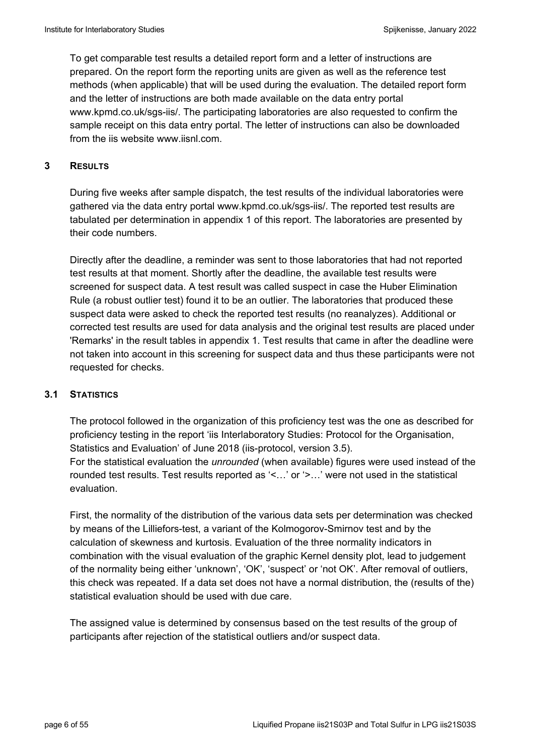To get comparable test results a detailed report form and a letter of instructions are prepared. On the report form the reporting units are given as well as the reference test methods (when applicable) that will be used during the evaluation. The detailed report form and the letter of instructions are both made available on the data entry portal www.kpmd.co.uk/sgs-iis/. The participating laboratories are also requested to confirm the sample receipt on this data entry portal. The letter of instructions can also be downloaded from the iis website www.iisnl.com.

#### **3 RESULTS**

During five weeks after sample dispatch, the test results of the individual laboratories were gathered via the data entry portal www.kpmd.co.uk/sgs-iis/. The reported test results are tabulated per determination in appendix 1 of this report. The laboratories are presented by their code numbers.

Directly after the deadline, a reminder was sent to those laboratories that had not reported test results at that moment. Shortly after the deadline, the available test results were screened for suspect data. A test result was called suspect in case the Huber Elimination Rule (a robust outlier test) found it to be an outlier. The laboratories that produced these suspect data were asked to check the reported test results (no reanalyzes). Additional or corrected test results are used for data analysis and the original test results are placed under 'Remarks' in the result tables in appendix 1. Test results that came in after the deadline were not taken into account in this screening for suspect data and thus these participants were not requested for checks.

#### **3.1 STATISTICS**

The protocol followed in the organization of this proficiency test was the one as described for proficiency testing in the report 'iis Interlaboratory Studies: Protocol for the Organisation, Statistics and Evaluation' of June 2018 (iis-protocol, version 3.5). For the statistical evaluation the *unrounded* (when available) figures were used instead of the rounded test results. Test results reported as '<…' or '>…' were not used in the statistical evaluation.

First, the normality of the distribution of the various data sets per determination was checked by means of the Lilliefors-test, a variant of the Kolmogorov-Smirnov test and by the calculation of skewness and kurtosis. Evaluation of the three normality indicators in combination with the visual evaluation of the graphic Kernel density plot, lead to judgement of the normality being either 'unknown', 'OK', 'suspect' or 'not OK'. After removal of outliers, this check was repeated. If a data set does not have a normal distribution, the (results of the) statistical evaluation should be used with due care.

The assigned value is determined by consensus based on the test results of the group of participants after rejection of the statistical outliers and/or suspect data.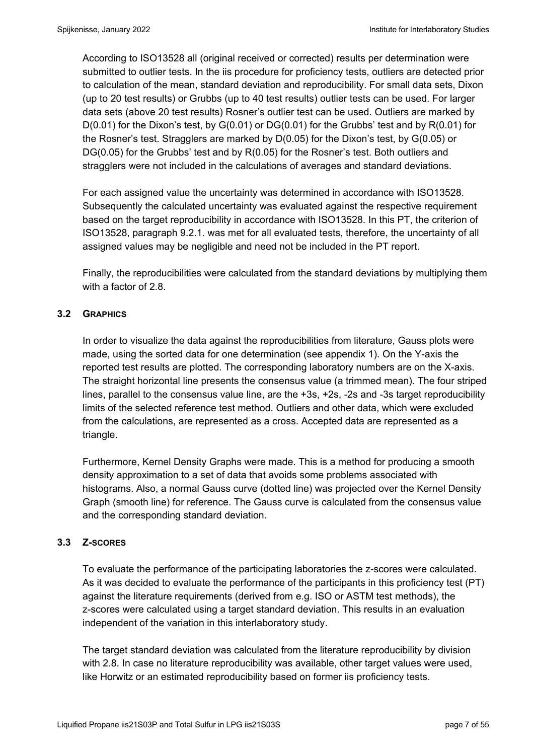According to ISO13528 all (original received or corrected) results per determination were submitted to outlier tests. In the iis procedure for proficiency tests, outliers are detected prior to calculation of the mean, standard deviation and reproducibility. For small data sets, Dixon (up to 20 test results) or Grubbs (up to 40 test results) outlier tests can be used. For larger data sets (above 20 test results) Rosner's outlier test can be used. Outliers are marked by D(0.01) for the Dixon's test, by G(0.01) or DG(0.01) for the Grubbs' test and by R(0.01) for the Rosner's test. Stragglers are marked by D(0.05) for the Dixon's test, by G(0.05) or DG(0.05) for the Grubbs' test and by R(0.05) for the Rosner's test. Both outliers and stragglers were not included in the calculations of averages and standard deviations.

For each assigned value the uncertainty was determined in accordance with ISO13528. Subsequently the calculated uncertainty was evaluated against the respective requirement based on the target reproducibility in accordance with ISO13528. In this PT, the criterion of ISO13528, paragraph 9.2.1. was met for all evaluated tests, therefore, the uncertainty of all assigned values may be negligible and need not be included in the PT report.

Finally, the reproducibilities were calculated from the standard deviations by multiplying them with a factor of 2.8.

### **3.2 GRAPHICS**

In order to visualize the data against the reproducibilities from literature, Gauss plots were made, using the sorted data for one determination (see appendix 1). On the Y-axis the reported test results are plotted. The corresponding laboratory numbers are on the X-axis. The straight horizontal line presents the consensus value (a trimmed mean). The four striped lines, parallel to the consensus value line, are the +3s, +2s, -2s and -3s target reproducibility limits of the selected reference test method. Outliers and other data, which were excluded from the calculations, are represented as a cross. Accepted data are represented as a triangle.

Furthermore, Kernel Density Graphs were made. This is a method for producing a smooth density approximation to a set of data that avoids some problems associated with histograms. Also, a normal Gauss curve (dotted line) was projected over the Kernel Density Graph (smooth line) for reference. The Gauss curve is calculated from the consensus value and the corresponding standard deviation.

#### **3.3 Z-SCORES**

To evaluate the performance of the participating laboratories the z-scores were calculated. As it was decided to evaluate the performance of the participants in this proficiency test (PT) against the literature requirements (derived from e.g. ISO or ASTM test methods), the z-scores were calculated using a target standard deviation. This results in an evaluation independent of the variation in this interlaboratory study.

The target standard deviation was calculated from the literature reproducibility by division with 2.8. In case no literature reproducibility was available, other target values were used, like Horwitz or an estimated reproducibility based on former iis proficiency tests.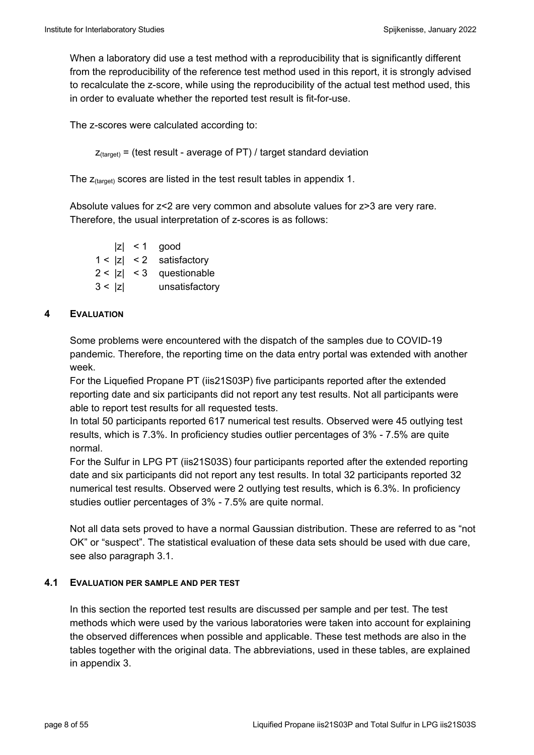When a laboratory did use a test method with a reproducibility that is significantly different from the reproducibility of the reference test method used in this report, it is strongly advised to recalculate the z-score, while using the reproducibility of the actual test method used, this in order to evaluate whether the reported test result is fit-for-use.

The z-scores were calculated according to:

 $Z_{\text{fran}et}$  = (test result - average of PT) / target standard deviation

The  $z_{\text{(target)}}$  scores are listed in the test result tables in appendix 1.

Absolute values for z<2 are very common and absolute values for z>3 are very rare. Therefore, the usual interpretation of z-scores is as follows:

 $|z|$  < 1 good 1 < |z| < 2 satisfactory  $2 < |z| < 3$  questionable 3 < |z| unsatisfactory

### **4 EVALUATION**

Some problems were encountered with the dispatch of the samples due to COVID-19 pandemic. Therefore, the reporting time on the data entry portal was extended with another week.

For the Liquefied Propane PT (iis21S03P) five participants reported after the extended reporting date and six participants did not report any test results. Not all participants were able to report test results for all requested tests.

In total 50 participants reported 617 numerical test results. Observed were 45 outlying test results, which is 7.3%. In proficiency studies outlier percentages of 3% - 7.5% are quite normal.

For the Sulfur in LPG PT (iis21S03S) four participants reported after the extended reporting date and six participants did not report any test results. In total 32 participants reported 32 numerical test results. Observed were 2 outlying test results, which is 6.3%. In proficiency studies outlier percentages of 3% - 7.5% are quite normal.

Not all data sets proved to have a normal Gaussian distribution. These are referred to as "not OK" or "suspect". The statistical evaluation of these data sets should be used with due care, see also paragraph 3.1.

#### **4.1 EVALUATION PER SAMPLE AND PER TEST**

In this section the reported test results are discussed per sample and per test. The test methods which were used by the various laboratories were taken into account for explaining the observed differences when possible and applicable. These test methods are also in the tables together with the original data. The abbreviations, used in these tables, are explained in appendix 3.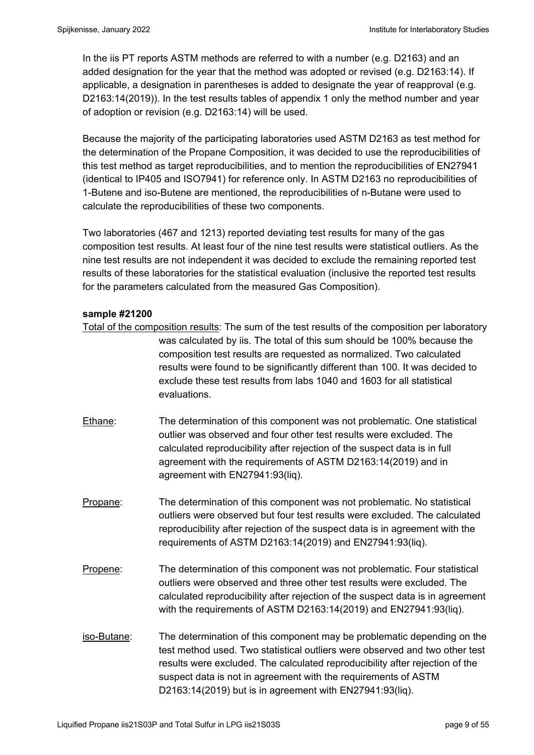In the iis PT reports ASTM methods are referred to with a number (e.g. D2163) and an added designation for the year that the method was adopted or revised (e.g. D2163:14). If applicable, a designation in parentheses is added to designate the year of reapproval (e.g. D2163:14(2019)). In the test results tables of appendix 1 only the method number and year of adoption or revision (e.g. D2163:14) will be used.

Because the majority of the participating laboratories used ASTM D2163 as test method for the determination of the Propane Composition, it was decided to use the reproducibilities of this test method as target reproducibilities, and to mention the reproducibilities of EN27941 (identical to IP405 and ISO7941) for reference only. In ASTM D2163 no reproducibilities of 1-Butene and iso-Butene are mentioned, the reproducibilities of n-Butane were used to calculate the reproducibilities of these two components.

Two laboratories (467 and 1213) reported deviating test results for many of the gas composition test results. At least four of the nine test results were statistical outliers. As the nine test results are not independent it was decided to exclude the remaining reported test results of these laboratories for the statistical evaluation (inclusive the reported test results for the parameters calculated from the measured Gas Composition).

### **sample #21200**

| Total of the composition results: The sum of the test results of the composition per laboratory |  |
|-------------------------------------------------------------------------------------------------|--|
| was calculated by iis. The total of this sum should be 100% because the                         |  |
| composition test results are requested as normalized. Two calculated                            |  |
| results were found to be significantly different than 100. It was decided to                    |  |
| exclude these test results from labs 1040 and 1603 for all statistical                          |  |
| evaluations.                                                                                    |  |

- Ethane: The determination of this component was not problematic. One statistical outlier was observed and four other test results were excluded. The calculated reproducibility after rejection of the suspect data is in full agreement with the requirements of ASTM D2163:14(2019) and in agreement with EN27941:93(liq).
- Propane: The determination of this component was not problematic. No statistical outliers were observed but four test results were excluded. The calculated reproducibility after rejection of the suspect data is in agreement with the requirements of ASTM D2163:14(2019) and EN27941:93(liq).
- Propene: The determination of this component was not problematic. Four statistical outliers were observed and three other test results were excluded. The calculated reproducibility after rejection of the suspect data is in agreement with the requirements of ASTM D2163:14(2019) and EN27941:93(liq).
- iso-Butane: The determination of this component may be problematic depending on the test method used. Two statistical outliers were observed and two other test results were excluded. The calculated reproducibility after rejection of the suspect data is not in agreement with the requirements of ASTM D2163:14(2019) but is in agreement with EN27941:93(liq).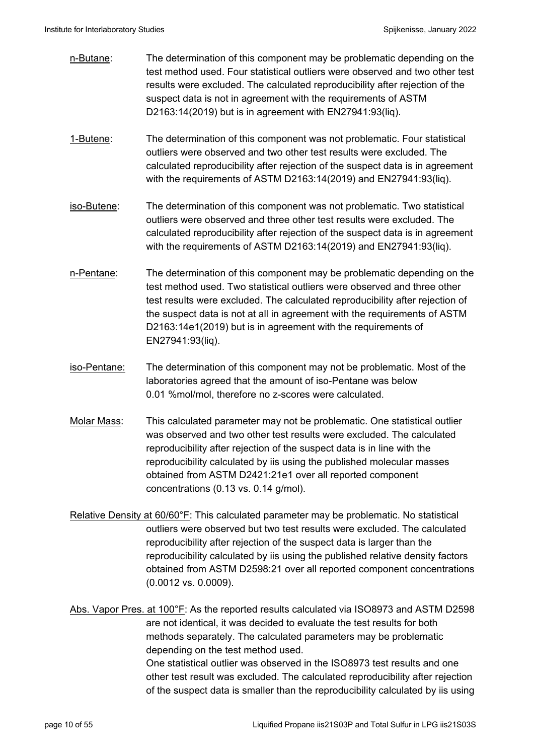- n-Butane: The determination of this component may be problematic depending on the test method used. Four statistical outliers were observed and two other test results were excluded. The calculated reproducibility after rejection of the suspect data is not in agreement with the requirements of ASTM D2163:14(2019) but is in agreement with EN27941:93(liq).
- 1-Butene: The determination of this component was not problematic. Four statistical outliers were observed and two other test results were excluded. The calculated reproducibility after rejection of the suspect data is in agreement with the requirements of ASTM D2163:14(2019) and EN27941:93(liq).
- iso-Butene: The determination of this component was not problematic. Two statistical outliers were observed and three other test results were excluded. The calculated reproducibility after rejection of the suspect data is in agreement with the requirements of ASTM D2163:14(2019) and EN27941:93(liq).
- n-Pentane: The determination of this component may be problematic depending on the test method used. Two statistical outliers were observed and three other test results were excluded. The calculated reproducibility after rejection of the suspect data is not at all in agreement with the requirements of ASTM D2163:14e1(2019) but is in agreement with the requirements of EN27941:93(liq).
- iso-Pentane: The determination of this component may not be problematic. Most of the laboratories agreed that the amount of iso-Pentane was below 0.01 %mol/mol, therefore no z-scores were calculated.
- Molar Mass: This calculated parameter may not be problematic. One statistical outlier was observed and two other test results were excluded. The calculated reproducibility after rejection of the suspect data is in line with the reproducibility calculated by iis using the published molecular masses obtained from ASTM D2421:21e1 over all reported component concentrations (0.13 vs. 0.14 g/mol).
- Relative Density at 60/60°F: This calculated parameter may be problematic. No statistical outliers were observed but two test results were excluded. The calculated reproducibility after rejection of the suspect data is larger than the reproducibility calculated by iis using the published relative density factors obtained from ASTM D2598:21 over all reported component concentrations (0.0012 vs. 0.0009).

Abs. Vapor Pres. at 100°F: As the reported results calculated via ISO8973 and ASTM D2598 are not identical, it was decided to evaluate the test results for both methods separately. The calculated parameters may be problematic depending on the test method used. One statistical outlier was observed in the ISO8973 test results and one other test result was excluded. The calculated reproducibility after rejection of the suspect data is smaller than the reproducibility calculated by iis using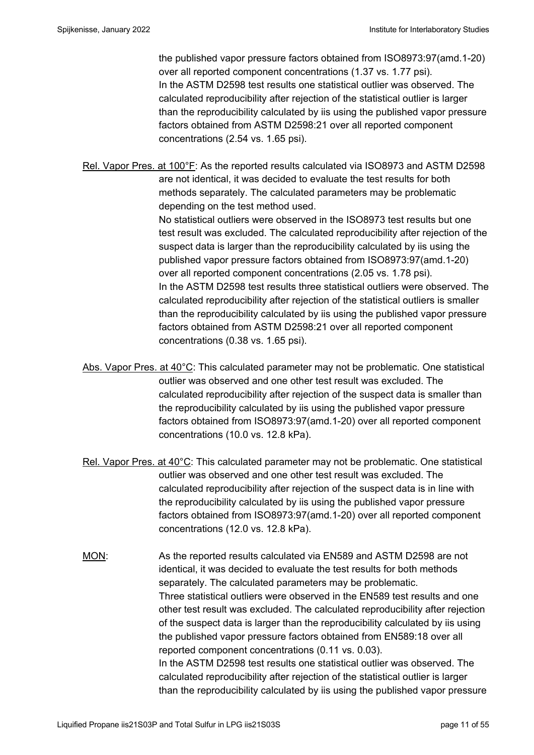the published vapor pressure factors obtained from ISO8973:97(amd.1-20) over all reported component concentrations (1.37 vs. 1.77 psi). In the ASTM D2598 test results one statistical outlier was observed. The calculated reproducibility after rejection of the statistical outlier is larger than the reproducibility calculated by iis using the published vapor pressure factors obtained from ASTM D2598:21 over all reported component concentrations (2.54 vs. 1.65 psi).

Rel. Vapor Pres. at 100°F: As the reported results calculated via ISO8973 and ASTM D2598 are not identical, it was decided to evaluate the test results for both methods separately. The calculated parameters may be problematic depending on the test method used. No statistical outliers were observed in the ISO8973 test results but one test result was excluded. The calculated reproducibility after rejection of the suspect data is larger than the reproducibility calculated by iis using the published vapor pressure factors obtained from ISO8973:97(amd.1-20) over all reported component concentrations (2.05 vs. 1.78 psi). In the ASTM D2598 test results three statistical outliers were observed. The calculated reproducibility after rejection of the statistical outliers is smaller than the reproducibility calculated by iis using the published vapor pressure factors obtained from ASTM D2598:21 over all reported component concentrations (0.38 vs. 1.65 psi).

Abs. Vapor Pres. at 40°C: This calculated parameter may not be problematic. One statistical outlier was observed and one other test result was excluded. The calculated reproducibility after rejection of the suspect data is smaller than the reproducibility calculated by iis using the published vapor pressure factors obtained from ISO8973:97(amd.1-20) over all reported component concentrations (10.0 vs. 12.8 kPa).

Rel. Vapor Pres. at 40°C: This calculated parameter may not be problematic. One statistical outlier was observed and one other test result was excluded. The calculated reproducibility after rejection of the suspect data is in line with the reproducibility calculated by iis using the published vapor pressure factors obtained from ISO8973:97(amd.1-20) over all reported component concentrations (12.0 vs. 12.8 kPa).

MON: As the reported results calculated via EN589 and ASTM D2598 are not identical, it was decided to evaluate the test results for both methods separately. The calculated parameters may be problematic. Three statistical outliers were observed in the EN589 test results and one other test result was excluded. The calculated reproducibility after rejection of the suspect data is larger than the reproducibility calculated by iis using the published vapor pressure factors obtained from EN589:18 over all reported component concentrations (0.11 vs. 0.03). In the ASTM D2598 test results one statistical outlier was observed. The calculated reproducibility after rejection of the statistical outlier is larger than the reproducibility calculated by iis using the published vapor pressure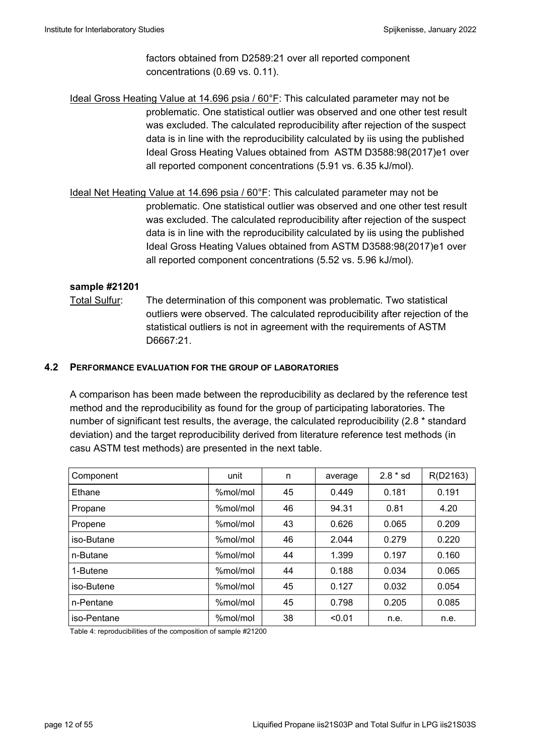factors obtained from D2589:21 over all reported component concentrations (0.69 vs. 0.11).

Ideal Gross Heating Value at 14.696 psia / 60°F: This calculated parameter may not be problematic. One statistical outlier was observed and one other test result was excluded. The calculated reproducibility after rejection of the suspect data is in line with the reproducibility calculated by iis using the published Ideal Gross Heating Values obtained from ASTM D3588:98(2017)e1 over all reported component concentrations (5.91 vs. 6.35 kJ/mol).

Ideal Net Heating Value at 14.696 psia / 60°F: This calculated parameter may not be problematic. One statistical outlier was observed and one other test result was excluded. The calculated reproducibility after rejection of the suspect data is in line with the reproducibility calculated by iis using the published Ideal Gross Heating Values obtained from ASTM D3588:98(2017)e1 over all reported component concentrations (5.52 vs. 5.96 kJ/mol).

#### **sample #21201**

Total Sulfur: The determination of this component was problematic. Two statistical outliers were observed. The calculated reproducibility after rejection of the statistical outliers is not in agreement with the requirements of ASTM D6667:21.

#### **4.2 PERFORMANCE EVALUATION FOR THE GROUP OF LABORATORIES**

A comparison has been made between the reproducibility as declared by the reference test method and the reproducibility as found for the group of participating laboratories. The number of significant test results, the average, the calculated reproducibility (2.8 \* standard deviation) and the target reproducibility derived from literature reference test methods (in casu ASTM test methods) are presented in the next table.

| Component   | unit     | n  | average | $2.8 * sd$ | R(D2163) |
|-------------|----------|----|---------|------------|----------|
| Ethane      | %mol/mol | 45 | 0.449   | 0.181      | 0.191    |
| Propane     | %mol/mol | 46 | 94.31   | 0.81       | 4.20     |
| Propene     | %mol/mol | 43 | 0.626   | 0.065      | 0.209    |
| iso-Butane  | %mol/mol | 46 | 2.044   | 0.279      | 0.220    |
| n-Butane    | %mol/mol | 44 | 1.399   | 0.197      | 0.160    |
| 1-Butene    | %mol/mol | 44 | 0.188   | 0.034      | 0.065    |
| iso-Butene  | %mol/mol | 45 | 0.127   | 0.032      | 0.054    |
| n-Pentane   | %mol/mol | 45 | 0.798   | 0.205      | 0.085    |
| iso-Pentane | %mol/mol | 38 | < 0.01  | n.e.       | n.e.     |

Table 4: reproducibilities of the composition of sample #21200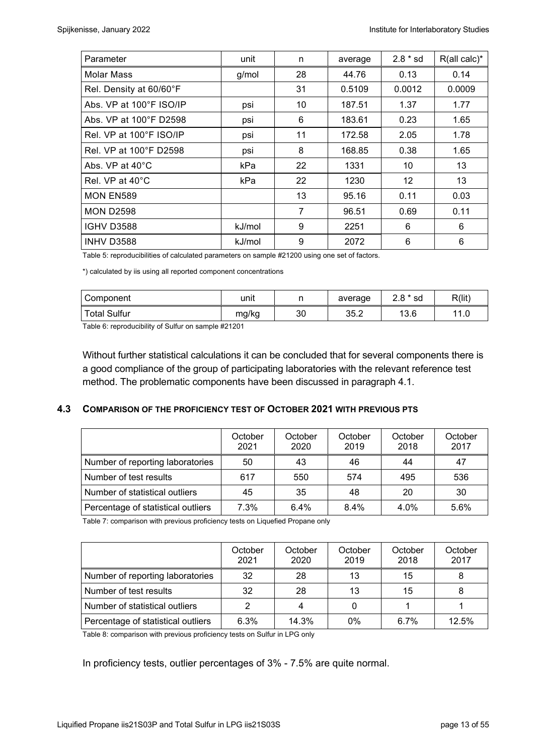| Parameter                   | unit   | n              | average | $2.8 * sd$        | $R(all calc)^*$ |
|-----------------------------|--------|----------------|---------|-------------------|-----------------|
| Molar Mass                  | g/mol  | 28             | 44.76   | 0.13              | 0.14            |
| Rel. Density at 60/60°F     |        | 31             | 0.5109  | 0.0012            | 0.0009          |
| Abs. VP at 100°F ISO/IP     | psi    | 10             | 187.51  | 1.37              | 1.77            |
| Abs. VP at 100°F D2598      | psi    | 6              | 183.61  | 0.23              | 1.65            |
| Rel. VP at 100°F ISO/IP     | psi    | 11             | 172.58  | 2.05              | 1.78            |
| Rel. VP at 100°F D2598      | psi    | 8              | 168.85  | 0.38              | 1.65            |
| Abs. $VP$ at $40^{\circ}$ C | kPa    | 22             | 1331    | 10                | 13              |
| Rel. $VP$ at $40^{\circ}$ C | kPa    | 22             | 1230    | $12 \overline{ }$ | 13              |
| <b>MON EN589</b>            |        | 13             | 95.16   | 0.11              | 0.03            |
| <b>MON D2598</b>            |        | $\overline{7}$ | 96.51   | 0.69              | 0.11            |
| <b>IGHV D3588</b>           | kJ/mol | 9              | 2251    | 6                 | 6               |
| <b>INHV D3588</b>           | kJ/mol | 9              | 2072    | 6                 | 6               |

Table 5: reproducibilities of calculated parameters on sample #21200 using one set of factors.

\*) calculated by iis using all reported component concentrations

| Component    | unit  | r  | average | $2.8 * sd$ | R(lit)                  |
|--------------|-------|----|---------|------------|-------------------------|
| Total Sulfur | mg/kg | 30 | 35.2    | 13.6       | 11 <sup>0</sup><br>1. U |

Table 6: reproducibility of Sulfur on sample #21201

Without further statistical calculations it can be concluded that for several components there is a good compliance of the group of participating laboratories with the relevant reference test method. The problematic components have been discussed in paragraph 4.1.

#### **4.3 COMPARISON OF THE PROFICIENCY TEST OF OCTOBER 2021 WITH PREVIOUS PTS**

|                                    | October<br>2021 | October<br>2020 | October<br>2019 | October<br>2018 | October<br>2017 |
|------------------------------------|-----------------|-----------------|-----------------|-----------------|-----------------|
| Number of reporting laboratories   | 50              | 43              | 46              | 44              | 47              |
| Number of test results             | 617             | 550             | 574             | 495             | 536             |
| Number of statistical outliers     | 45              | 35              | 48              | 20              | 30              |
| Percentage of statistical outliers | 7.3%            | 6.4%            | 8.4%            | 4.0%            | 5.6%            |

Table 7: comparison with previous proficiency tests on Liquefied Propane only

|                                    | October<br>2021 | October<br>2020 | October<br>2019 | October<br>2018 | October<br>2017 |
|------------------------------------|-----------------|-----------------|-----------------|-----------------|-----------------|
| Number of reporting laboratories   | 32              | 28              | 13              | 15              |                 |
| Number of test results             | 32              | 28              | 13              | 15              |                 |
| Number of statistical outliers     | 2               |                 |                 |                 |                 |
| Percentage of statistical outliers | 6.3%            | 14.3%           | 0%              | 6.7%            | 12.5%           |

Table 8: comparison with previous proficiency tests on Sulfur in LPG only

In proficiency tests, outlier percentages of 3% - 7.5% are quite normal.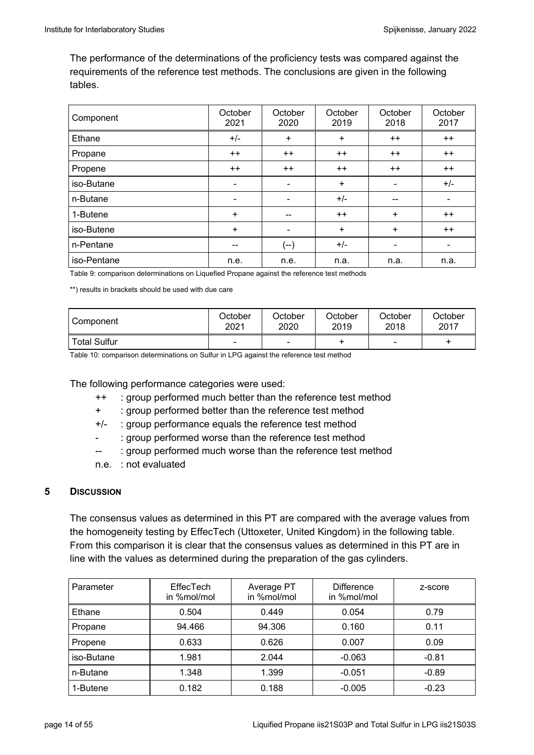The performance of the determinations of the proficiency tests was compared against the requirements of the reference test methods. The conclusions are given in the following tables.

| Component   | October<br>2021          | October<br>2020          | October<br>2019 | October<br>2018 | October<br>2017 |
|-------------|--------------------------|--------------------------|-----------------|-----------------|-----------------|
| Ethane      | $+/-$                    | $+$                      | $\ddot{}$       | $++$            | $++$            |
| Propane     | $++$                     | $^{\mathrm{+}}$          | $^{\mathrm{+}}$ | $++$            | $++$            |
| Propene     | $++$                     | $++$                     | $++$            | $++$            | $++$            |
| iso-Butane  | $\blacksquare$           | $\blacksquare$           | $\ddot{}$       | -               | $+/-$           |
| n-Butane    | $\overline{\phantom{a}}$ | $\blacksquare$           | $+/-$           | $- -$           | -               |
| 1-Butene    | $\ddot{}$                | --                       | $++$            | $\ddot{}$       | $++$            |
| iso-Butene  | $+$                      | $\overline{\phantom{a}}$ | $\ddot{}$       | $\ddot{}$       | $++$            |
| n-Pentane   | --                       | (--)                     | $+/-$           |                 |                 |
| iso-Pentane | n.e.                     | n.e.                     | n.a.            | n.a.            | n.a.            |

Table 9: comparison determinations on Liquefied Propane against the reference test methods

\*\*) results in brackets should be used with due care

| Component           | October                  | October                  | October | October        | October |
|---------------------|--------------------------|--------------------------|---------|----------------|---------|
|                     | 2021                     | 2020                     | 2019    | 2018           | 2017    |
| <b>Total Sulfur</b> | $\overline{\phantom{0}}$ | $\overline{\phantom{a}}$ |         | $\blacksquare$ |         |

Table 10: comparison determinations on Sulfur in LPG against the reference test method

The following performance categories were used:

- ++ : group performed much better than the reference test method
- + : group performed better than the reference test method
- +/- : group performance equals the reference test method
- : group performed worse than the reference test method
- -- : group performed much worse than the reference test method
- n.e. : not evaluated

#### **5 DISCUSSION**

The consensus values as determined in this PT are compared with the average values from the homogeneity testing by EffecTech (Uttoxeter, United Kingdom) in the following table. From this comparison it is clear that the consensus values as determined in this PT are in line with the values as determined during the preparation of the gas cylinders.

| Parameter  | EffecTech<br>in %mol/mol | Average PT<br>in %mol/mol | <b>Difference</b><br>in %mol/mol | z-score |
|------------|--------------------------|---------------------------|----------------------------------|---------|
| Ethane     | 0.504                    | 0.449                     | 0.054                            | 0.79    |
| Propane    | 94.466                   | 94.306                    | 0.160                            | 0.11    |
| Propene    | 0.633                    | 0.626                     | 0.007                            | 0.09    |
| iso-Butane | 1.981                    | 2.044                     | $-0.063$                         | $-0.81$ |
| n-Butane   | 1.348                    | 1.399                     | $-0.051$                         | $-0.89$ |
| 1-Butene   | 0.182                    | 0.188                     | $-0.005$                         | $-0.23$ |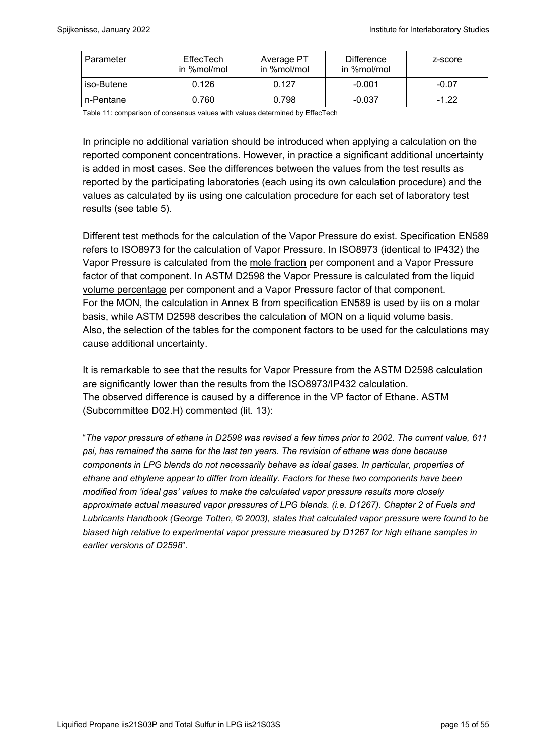| l Parameter  | <b>EffecTech</b><br>in %mol/mol | Average PT<br>in %mol/mol | Difference<br>in %mol/mol | z-score |
|--------------|---------------------------------|---------------------------|---------------------------|---------|
| l iso-Butene | 0.126                           | 0.127                     | $-0.001$                  | $-0.07$ |
| l n-Pentane  | 0.760                           | 0.798                     | $-0.037$                  | $-1.22$ |

Table 11: comparison of consensus values with values determined by EffecTech

In principle no additional variation should be introduced when applying a calculation on the reported component concentrations. However, in practice a significant additional uncertainty is added in most cases. See the differences between the values from the test results as reported by the participating laboratories (each using its own calculation procedure) and the values as calculated by iis using one calculation procedure for each set of laboratory test results (see table 5).

Different test methods for the calculation of the Vapor Pressure do exist. Specification EN589 refers to ISO8973 for the calculation of Vapor Pressure. In ISO8973 (identical to IP432) the Vapor Pressure is calculated from the mole fraction per component and a Vapor Pressure factor of that component. In ASTM D2598 the Vapor Pressure is calculated from the liquid volume percentage per component and a Vapor Pressure factor of that component. For the MON, the calculation in Annex B from specification EN589 is used by iis on a molar basis, while ASTM D2598 describes the calculation of MON on a liquid volume basis. Also, the selection of the tables for the component factors to be used for the calculations may cause additional uncertainty.

It is remarkable to see that the results for Vapor Pressure from the ASTM D2598 calculation are significantly lower than the results from the ISO8973/IP432 calculation. The observed difference is caused by a difference in the VP factor of Ethane. ASTM (Subcommittee D02.H) commented (lit. 13):

"*The vapor pressure of ethane in D2598 was revised a few times prior to 2002. The current value, 611 psi, has remained the same for the last ten years. The revision of ethane was done because components in LPG blends do not necessarily behave as ideal gases. In particular, properties of ethane and ethylene appear to differ from ideality. Factors for these two components have been modified from 'ideal gas' values to make the calculated vapor pressure results more closely approximate actual measured vapor pressures of LPG blends. (i.e. D1267). Chapter 2 of Fuels and Lubricants Handbook (George Totten, © 2003), states that calculated vapor pressure were found to be biased high relative to experimental vapor pressure measured by D1267 for high ethane samples in earlier versions of D2598*".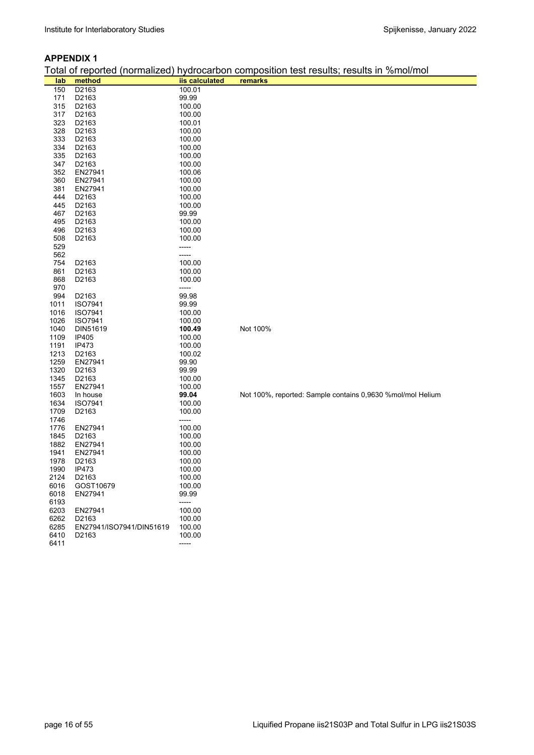#### **APPENDIX 1**

Total of reported (normalized) hydrocarbon composition test results; results in %mol/mol

|      | $10$ ial of Toponica (Homilalizca) |                 | <u>11981008100110011Iposition tost results, results in 7011Iol/11Iol</u> |
|------|------------------------------------|-----------------|--------------------------------------------------------------------------|
| lab  | method                             | iis calculated  | remarks                                                                  |
| 150  | D2163                              | 100.01          |                                                                          |
| 171  | D2163                              | 99.99           |                                                                          |
| 315  | D2163                              | 100.00          |                                                                          |
| 317  | D2163                              | 100.00          |                                                                          |
| 323  | D2163                              | 100.01          |                                                                          |
| 328  | D2163                              | 100.00          |                                                                          |
| 333  | D2163                              | 100.00          |                                                                          |
| 334  | D2163                              | 100.00          |                                                                          |
| 335  |                                    | 100.00          |                                                                          |
|      | D2163                              |                 |                                                                          |
| 347  | D2163                              | 100.00          |                                                                          |
| 352  | EN27941                            | 100.06          |                                                                          |
| 360  | EN27941                            | 100.00          |                                                                          |
| 381  | EN27941                            | 100.00          |                                                                          |
| 444  | D2163                              | 100.00          |                                                                          |
| 445  | D2163                              | 100.00          |                                                                          |
| 467  | D2163                              | 99.99           |                                                                          |
| 495  | D2163                              | 100.00          |                                                                          |
| 496  | D2163                              | 100.00          |                                                                          |
| 508  | D2163                              | 100.00          |                                                                          |
| 529  |                                    | -----           |                                                                          |
| 562  |                                    | -----           |                                                                          |
| 754  | D2163                              | 100.00          |                                                                          |
| 861  | D2163                              | 100.00          |                                                                          |
| 868  | D2163                              | 100.00          |                                                                          |
|      |                                    |                 |                                                                          |
| 970  |                                    | -----           |                                                                          |
| 994  | D2163                              | 99.98           |                                                                          |
| 1011 | <b>ISO7941</b>                     | 99.99           |                                                                          |
| 1016 | <b>ISO7941</b>                     | 100.00          |                                                                          |
| 1026 | ISO7941                            | 100.00          |                                                                          |
| 1040 | DIN51619                           | 100.49          | Not 100%                                                                 |
| 1109 | IP405                              | 100.00          |                                                                          |
| 1191 | <b>IP473</b>                       | 100.00          |                                                                          |
| 1213 | D2163                              | 100.02          |                                                                          |
| 1259 | EN27941                            | 99.90           |                                                                          |
| 1320 | D2163                              | 99.99           |                                                                          |
| 1345 | D2163                              | 100.00          |                                                                          |
| 1557 | EN27941                            | 100.00          |                                                                          |
| 1603 | In house                           | 99.04           | Not 100%, reported: Sample contains 0,9630 %mol/mol Helium               |
| 1634 | ISO7941                            | 100.00          |                                                                          |
| 1709 |                                    |                 |                                                                          |
| 1746 | D2163                              | 100.00<br>----- |                                                                          |
|      |                                    | 100.00          |                                                                          |
| 1776 | EN27941                            |                 |                                                                          |
| 1845 | D2163                              | 100.00          |                                                                          |
| 1882 | EN27941                            | 100.00          |                                                                          |
| 1941 | EN27941                            | 100.00          |                                                                          |
| 1978 | D2163                              | 100.00          |                                                                          |
| 1990 | <b>IP473</b>                       | 100.00          |                                                                          |
| 2124 | D2163                              | 100.00          |                                                                          |
| 6016 | GOST10679                          | 100.00          |                                                                          |
| 6018 | EN27941                            | 99.99           |                                                                          |
| 6193 |                                    | -----           |                                                                          |
| 6203 | EN27941                            | 100.00          |                                                                          |
| 6262 | D2163                              | 100.00          |                                                                          |
| 6285 | EN27941/ISO7941/DIN51619           | 100.00          |                                                                          |
| 6410 | D2163                              | 100.00          |                                                                          |
| 6411 |                                    | -----           |                                                                          |
|      |                                    |                 |                                                                          |
|      |                                    |                 |                                                                          |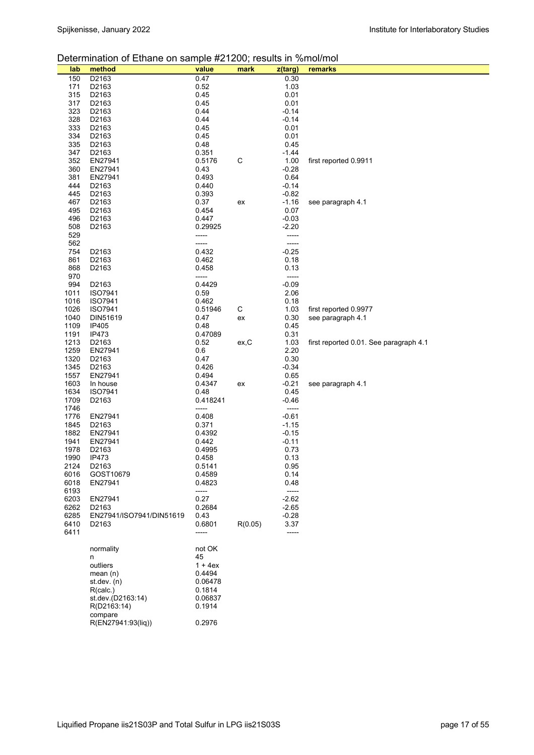# Determination of Ethane on sample #21200; results in %mol/mol

| lab  | method                   | value     | mark    | z(targ) | remarks                                |
|------|--------------------------|-----------|---------|---------|----------------------------------------|
| 150  | D2163                    | 0.47      |         | 0.30    |                                        |
| 171  | D2163                    | 0.52      |         | 1.03    |                                        |
| 315  | D2163                    | 0.45      |         | 0.01    |                                        |
| 317  | D2163                    | 0.45      |         | 0.01    |                                        |
| 323  | D2163                    | 0.44      |         | $-0.14$ |                                        |
| 328  | D2163                    | 0.44      |         | $-0.14$ |                                        |
| 333  | D2163                    | 0.45      |         | 0.01    |                                        |
| 334  | D2163                    | 0.45      |         | 0.01    |                                        |
| 335  | D2163                    | 0.48      |         | 0.45    |                                        |
| 347  | D2163                    | 0.351     |         | $-1.44$ |                                        |
| 352  | EN27941                  | 0.5176    | C       | 1.00    | first reported 0.9911                  |
| 360  | EN27941                  | 0.43      |         | $-0.28$ |                                        |
| 381  | EN27941                  | 0.493     |         | 0.64    |                                        |
| 444  | D2163                    | 0.440     |         | $-0.14$ |                                        |
| 445  | D2163                    |           |         | $-0.82$ |                                        |
|      |                          | 0.393     |         |         |                                        |
| 467  | D <sub>2</sub> 163       | 0.37      | ex      | $-1.16$ | see paragraph 4.1                      |
| 495  | D2163                    | 0.454     |         | 0.07    |                                        |
| 496  | D2163                    | 0.447     |         | $-0.03$ |                                        |
| 508  | D2163                    | 0.29925   |         | $-2.20$ |                                        |
| 529  |                          | -----     |         | -----   |                                        |
| 562  |                          | -----     |         |         |                                        |
| 754  | D <sub>2</sub> 163       | 0.432     |         | $-0.25$ |                                        |
| 861  | D2163                    | 0.462     |         | 0.18    |                                        |
| 868  | D2163                    | 0.458     |         | 0.13    |                                        |
| 970  |                          | -----     |         | -----   |                                        |
| 994  | D2163                    | 0.4429    |         | $-0.09$ |                                        |
| 1011 | <b>ISO7941</b>           | 0.59      |         | 2.06    |                                        |
| 1016 | ISO7941                  | 0.462     |         | 0.18    |                                        |
| 1026 | <b>ISO7941</b>           | 0.51946   | С       | 1.03    | first reported 0.9977                  |
| 1040 | DIN51619                 | 0.47      | ex      | 0.30    | see paragraph 4.1                      |
| 1109 | IP405                    | 0.48      |         | 0.45    |                                        |
| 1191 | <b>IP473</b>             | 0.47089   |         | 0.31    |                                        |
| 1213 | D2163                    | 0.52      | ex, C   | 1.03    | first reported 0.01. See paragraph 4.1 |
| 1259 | EN27941                  | 0.6       |         | 2.20    |                                        |
| 1320 | D2163                    | 0.47      |         | 0.30    |                                        |
| 1345 |                          | 0.426     |         | $-0.34$ |                                        |
|      | D <sub>2</sub> 163       |           |         |         |                                        |
| 1557 | EN27941                  | 0.494     |         | 0.65    |                                        |
| 1603 | In house                 | 0.4347    | ex      | $-0.21$ | see paragraph 4.1                      |
| 1634 | <b>ISO7941</b>           | 0.48      |         | 0.45    |                                        |
| 1709 | D2163                    | 0.418241  |         | $-0.46$ |                                        |
| 1746 |                          | -----     |         | -----   |                                        |
| 1776 | EN27941                  | 0.408     |         | $-0.61$ |                                        |
| 1845 | D <sub>2</sub> 163       | 0.371     |         | -1.15   |                                        |
| 1882 | EN27941                  | 0.4392    |         | -0.15   |                                        |
| 1941 | EN27941                  | 0.442     |         | $-0.11$ |                                        |
| 1978 | D <sub>2</sub> 163       | 0.4995    |         | 0.73    |                                        |
| 1990 | IP473                    | 0.458     |         | 0.13    |                                        |
| 2124 | D2163                    | 0.5141    |         | 0.95    |                                        |
| 6016 | GOST10679                | 0.4589    |         | 0.14    |                                        |
| 6018 | EN27941                  | 0.4823    |         | 0.48    |                                        |
| 6193 |                          | -----     |         | -----   |                                        |
| 6203 | EN27941                  | 0.27      |         | $-2.62$ |                                        |
| 6262 | D2163                    | 0.2684    |         | $-2.65$ |                                        |
| 6285 | EN27941/ISO7941/DIN51619 | 0.43      |         | $-0.28$ |                                        |
| 6410 | D2163                    | 0.6801    | R(0.05) | 3.37    |                                        |
| 6411 |                          | -----     |         | -----   |                                        |
|      |                          |           |         |         |                                        |
|      | normality                | not OK    |         |         |                                        |
|      |                          | 45        |         |         |                                        |
|      | n                        |           |         |         |                                        |
|      | outliers                 | $1 + 4ex$ |         |         |                                        |
|      | mean $(n)$               | 0.4494    |         |         |                                        |
|      | st.dev. $(n)$            | 0.06478   |         |         |                                        |
|      | R(calc.)                 | 0.1814    |         |         |                                        |
|      | st.dev.(D2163:14)        | 0.06837   |         |         |                                        |
|      | R(D2163:14)              | 0.1914    |         |         |                                        |
|      | compare                  |           |         |         |                                        |
|      | R(EN27941:93(liq))       | 0.2976    |         |         |                                        |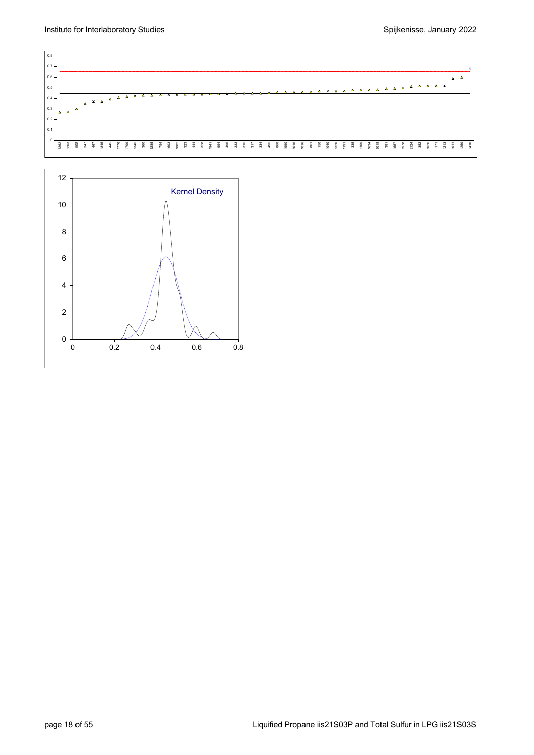

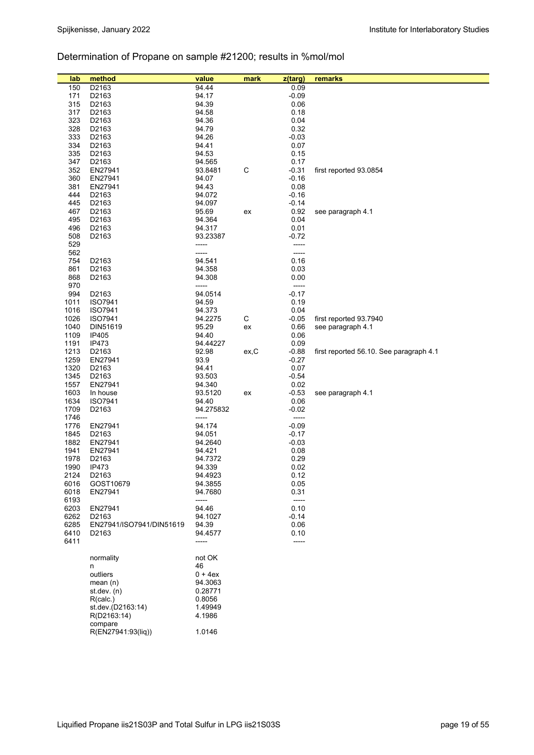# Determination of Propane on sample #21200; results in %mol/mol

| lab  | method                   | value     | mark        | z(targ) | remarks                                 |
|------|--------------------------|-----------|-------------|---------|-----------------------------------------|
| 150  | D2163                    | 94.44     |             | 0.09    |                                         |
| 171  | D2163                    | 94.17     |             | $-0.09$ |                                         |
| 315  | D2163                    | 94.39     |             | 0.06    |                                         |
| 317  | D2163                    | 94.58     |             | 0.18    |                                         |
| 323  | D2163                    | 94.36     |             | 0.04    |                                         |
| 328  | D2163                    | 94.79     |             | 0.32    |                                         |
| 333  | D2163                    | 94.26     |             | $-0.03$ |                                         |
| 334  | D2163                    | 94.41     |             | 0.07    |                                         |
| 335  | D2163                    | 94.53     |             | 0.15    |                                         |
| 347  | D2163                    | 94.565    |             | 0.17    |                                         |
| 352  | EN27941                  | 93.8481   | C           | $-0.31$ | first reported 93.0854                  |
| 360  | EN27941                  | 94.07     |             | $-0.16$ |                                         |
| 381  | EN27941                  | 94.43     |             | 0.08    |                                         |
| 444  | D2163                    | 94.072    |             | $-0.16$ |                                         |
| 445  | D <sub>2</sub> 163       | 94.097    |             | $-0.14$ |                                         |
| 467  | D <sub>2</sub> 163       | 95.69     | ex          | 0.92    | see paragraph 4.1                       |
| 495  | D <sub>2</sub> 163       | 94.364    |             | 0.04    |                                         |
| 496  | D2163                    | 94.317    |             | 0.01    |                                         |
| 508  | D2163                    | 93.23387  |             | $-0.72$ |                                         |
| 529  |                          | -----     |             | -----   |                                         |
| 562  |                          |           |             | -----   |                                         |
| 754  | D2163                    | 94.541    |             | 0.16    |                                         |
| 861  | D2163                    | 94.358    |             | 0.03    |                                         |
| 868  | D2163                    | 94.308    |             | 0.00    |                                         |
| 970  |                          | -----     |             | -----   |                                         |
| 994  | D2163                    | 94.0514   |             | $-0.17$ |                                         |
| 1011 | ISO7941                  | 94.59     |             | 0.19    |                                         |
| 1016 | <b>ISO7941</b>           | 94.373    |             | 0.04    |                                         |
| 1026 | ISO7941                  | 94.2275   | $\mathsf C$ | $-0.05$ | first reported 93.7940                  |
| 1040 | DIN51619                 | 95.29     | ex          | 0.66    | see paragraph 4.1                       |
| 1109 | IP405                    | 94.40     |             | 0.06    |                                         |
| 1191 | <b>IP473</b>             | 94.44227  |             | 0.09    |                                         |
| 1213 | D2163                    | 92.98     | ex,C        | $-0.88$ | first reported 56.10. See paragraph 4.1 |
| 1259 | EN27941                  | 93.9      |             | $-0.27$ |                                         |
| 1320 | D2163                    | 94.41     |             | 0.07    |                                         |
| 1345 | D2163                    | 93.503    |             | $-0.54$ |                                         |
| 1557 | EN27941                  | 94.340    |             | 0.02    |                                         |
| 1603 | In house                 | 93.5120   | ex          | $-0.53$ | see paragraph 4.1                       |
| 1634 | <b>ISO7941</b>           | 94.40     |             | 0.06    |                                         |
| 1709 | D2163                    | 94.275832 |             | $-0.02$ |                                         |
| 1746 |                          | -----     |             | -----   |                                         |
| 1776 | EN27941                  | 94.174    |             | $-0.09$ |                                         |
| 1845 | D <sub>2</sub> 163       | 94.051    |             | $-0.17$ |                                         |
| 1882 | EN27941                  | 94.2640   |             | $-0.03$ |                                         |
| 1941 | EN27941                  | 94.421    |             | 0.08    |                                         |
| 1978 | D2163                    | 94.7372   |             | 0.29    |                                         |
| 1990 | IP473                    | 94.339    |             | 0.02    |                                         |
| 2124 | D <sub>2</sub> 163       | 94.4923   |             | 0.12    |                                         |
| 6016 | GOST10679                | 94.3855   |             | 0.05    |                                         |
| 6018 | EN27941                  | 94.7680   |             | 0.31    |                                         |
| 6193 |                          | -----     |             | -----   |                                         |
| 6203 | EN27941                  | 94.46     |             | 0.10    |                                         |
| 6262 | D2163                    | 94.1027   |             | $-0.14$ |                                         |
| 6285 | EN27941/ISO7941/DIN51619 | 94.39     |             | 0.06    |                                         |
| 6410 | D2163                    | 94.4577   |             | 0.10    |                                         |
| 6411 |                          | -----     |             | -----   |                                         |
|      |                          |           |             |         |                                         |
|      | normality                | not OK    |             |         |                                         |
|      | n                        | 46        |             |         |                                         |
|      | outliers                 | $0 + 4ex$ |             |         |                                         |
|      | mean $(n)$               | 94.3063   |             |         |                                         |
|      | st.dev. (n)              | 0.28771   |             |         |                                         |
|      | R(calc.)                 | 0.8056    |             |         |                                         |
|      | st.dev.(D2163:14)        | 1.49949   |             |         |                                         |
|      | R(D2163:14)              | 4.1986    |             |         |                                         |
|      | compare                  |           |             |         |                                         |
|      | R(EN27941:93(liq))       | 1.0146    |             |         |                                         |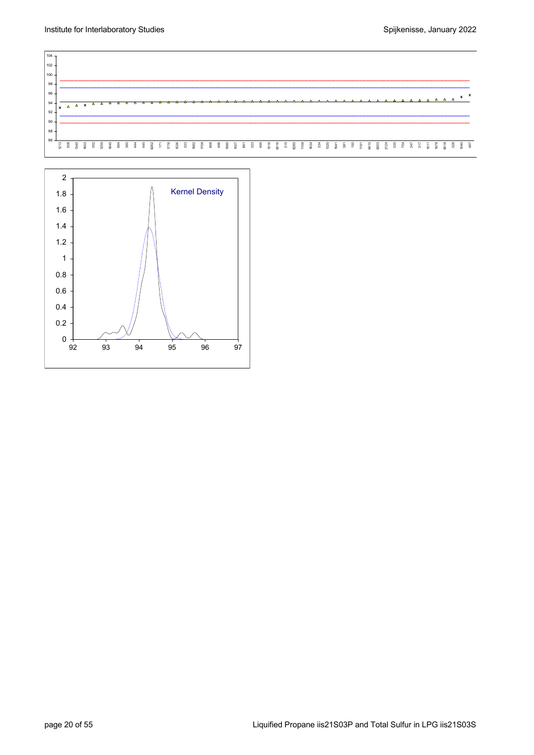

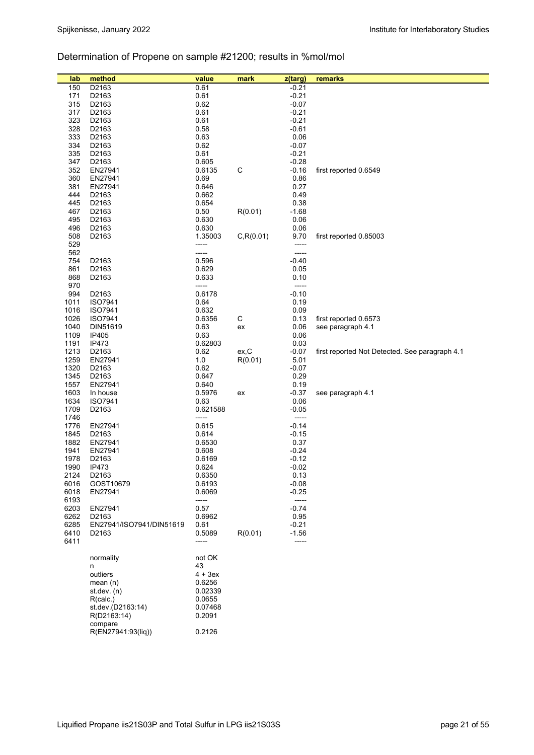# Determination of Propene on sample #21200; results in %mol/mol

| lab  | method                        | value          | mark        | z(targ)        | remarks                                        |
|------|-------------------------------|----------------|-------------|----------------|------------------------------------------------|
| 150  | D2163                         | 0.61           |             | $-0.21$        |                                                |
| 171  | D2163                         | 0.61           |             | $-0.21$        |                                                |
| 315  | D2163                         | 0.62           |             | $-0.07$        |                                                |
| 317  | D2163                         | 0.61           |             | $-0.21$        |                                                |
| 323  | D2163                         | 0.61           |             | $-0.21$        |                                                |
| 328  | D2163                         | 0.58           |             | $-0.61$        |                                                |
| 333  | D2163                         | 0.63           |             | 0.06           |                                                |
| 334  | D2163                         | 0.62           |             | $-0.07$        |                                                |
| 335  | D2163                         | 0.61           |             | $-0.21$        |                                                |
| 347  | D2163                         | 0.605          |             | $-0.28$        |                                                |
| 352  | EN27941                       | 0.6135         | C           | $-0.16$        | first reported 0.6549                          |
| 360  | EN27941                       | 0.69           |             | 0.86           |                                                |
| 381  | EN27941                       | 0.646          |             | 0.27           |                                                |
| 444  | D2163                         | 0.662          |             | 0.49           |                                                |
| 445  | D2163                         | 0.654          |             | 0.38           |                                                |
| 467  | D2163                         | 0.50           | R(0.01)     | $-1.68$        |                                                |
| 495  | D <sub>2</sub> 163            | 0.630          |             | 0.06           |                                                |
| 496  | D2163                         | 0.630          |             | 0.06           |                                                |
| 508  | D2163                         | 1.35003        |             | 9.70           |                                                |
|      |                               |                | C, R(0.01)  |                | first reported 0.85003                         |
| 529  |                               | -----<br>----- |             | -----<br>----- |                                                |
| 562  |                               |                |             |                |                                                |
| 754  | D2163                         | 0.596          |             | $-0.40$        |                                                |
| 861  | D2163                         | 0.629          |             | 0.05           |                                                |
| 868  | D2163                         | 0.633          |             | 0.10           |                                                |
| 970  |                               | -----          |             | $---$          |                                                |
| 994  | D2163                         | 0.6178         |             | $-0.10$        |                                                |
| 1011 | ISO7941                       | 0.64           |             | 0.19           |                                                |
| 1016 | <b>ISO7941</b>                | 0.632          |             | 0.09           |                                                |
| 1026 | ISO7941                       | 0.6356         | $\mathsf C$ | 0.13           | first reported 0.6573                          |
| 1040 | DIN51619                      | 0.63           | ex          | 0.06           | see paragraph 4.1                              |
| 1109 | IP405                         | 0.63           |             | 0.06           |                                                |
| 1191 | <b>IP473</b>                  | 0.62803        |             | 0.03           |                                                |
| 1213 | D2163                         | 0.62           | ex, C       | $-0.07$        | first reported Not Detected. See paragraph 4.1 |
| 1259 | EN27941                       | 1.0            | R(0.01)     | 5.01           |                                                |
| 1320 | D2163                         | 0.62           |             | $-0.07$        |                                                |
| 1345 | D2163                         | 0.647          |             | 0.29           |                                                |
| 1557 | EN27941                       | 0.640          |             | 0.19           |                                                |
| 1603 | In house                      | 0.5976         | ex          | $-0.37$        | see paragraph 4.1                              |
| 1634 | ISO7941                       | 0.63           |             | 0.06           |                                                |
| 1709 | D2163                         | 0.621588       |             | $-0.05$        |                                                |
| 1746 |                               | -----          |             | -----          |                                                |
| 1776 | EN27941                       | 0.615          |             | $-0.14$        |                                                |
| 1845 | D2163                         | 0.614          |             | $-0.15$        |                                                |
| 1882 | EN27941                       | 0.6530         |             | 0.37           |                                                |
| 1941 | EN27941                       | 0.608          |             | $-0.24$        |                                                |
| 1978 | D2163                         | 0.6169         |             | $-0.12$        |                                                |
| 1990 | IP473                         | 0.624          |             | $-0.02$        |                                                |
| 2124 | D2163                         | 0.6350         |             | 0.13           |                                                |
| 6016 | GOST10679                     | 0.6193         |             | $-0.08$        |                                                |
| 6018 | EN27941                       | 0.6069         |             | $-0.25$        |                                                |
| 6193 |                               | -----          |             | $-----$        |                                                |
| 6203 | EN27941                       | 0.57           |             | $-0.74$        |                                                |
| 6262 | D2163                         | 0.6962         |             | 0.95           |                                                |
| 6285 | EN27941/ISO7941/DIN51619      | 0.61           |             | $-0.21$        |                                                |
| 6410 | D2163                         | 0.5089         | R(0.01)     | $-1.56$        |                                                |
| 6411 |                               | -----          |             | -----          |                                                |
|      |                               |                |             |                |                                                |
|      | normality                     | not OK         |             |                |                                                |
|      | n                             | 43             |             |                |                                                |
|      | outliers                      | $4 + 3ex$      |             |                |                                                |
|      | mean $(n)$                    | 0.6256         |             |                |                                                |
|      | st.dev. (n)                   | 0.02339        |             |                |                                                |
|      | R(calc.)                      | 0.0655         |             |                |                                                |
|      | st.dev.(D2163:14)             | 0.07468        |             |                |                                                |
|      | R(D2163:14)                   | 0.2091         |             |                |                                                |
|      | compare<br>R(EN27941:93(liq)) | 0.2126         |             |                |                                                |
|      |                               |                |             |                |                                                |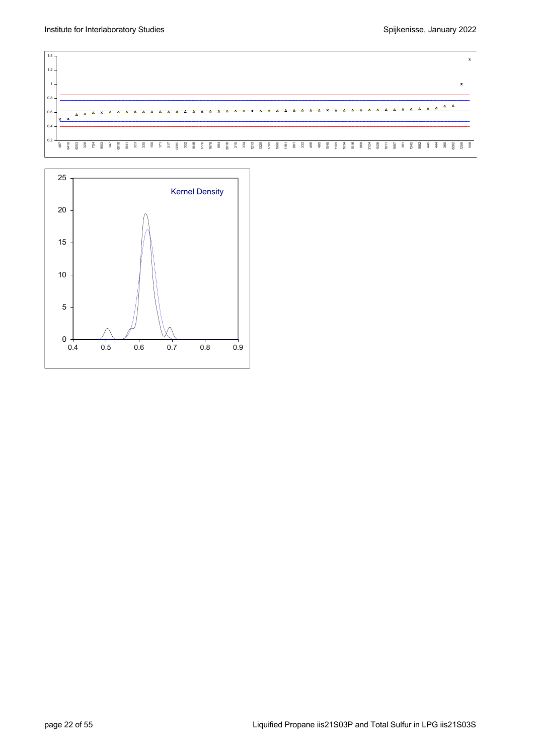

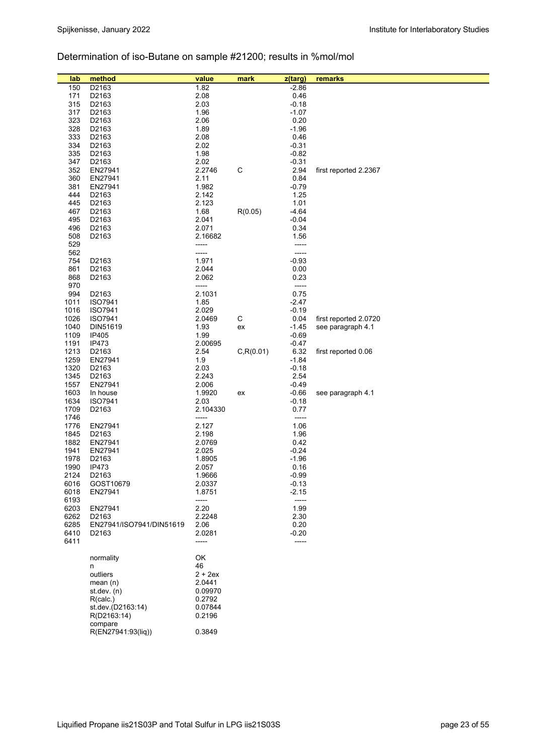# Determination of iso-Butane on sample #21200; results in %mol/mol

| lab          | method                   | value           | mark        | z(targ)          | remarks               |
|--------------|--------------------------|-----------------|-------------|------------------|-----------------------|
| 150          | D2163                    | 1.82            |             | $-2.86$          |                       |
| 171          | D2163                    | 2.08            |             | 0.46             |                       |
| 315          | D2163                    | 2.03            |             | $-0.18$          |                       |
| 317          | D2163                    | 1.96            |             | $-1.07$          |                       |
| 323          | D2163                    | 2.06            |             | 0.20             |                       |
| 328          | D2163                    | 1.89            |             | $-1.96$          |                       |
| 333          | D2163                    | 2.08            |             | 0.46             |                       |
| 334          | D2163                    | 2.02            |             | $-0.31$          |                       |
| 335          | D2163                    | 1.98            |             | $-0.82$          |                       |
| 347          | D2163                    | 2.02            |             | $-0.31$          |                       |
| 352          | EN27941                  | 2.2746          | C           | 2.94             | first reported 2.2367 |
| 360          | EN27941                  | 2.11            |             | 0.84             |                       |
| 381          | EN27941                  | 1.982           |             | $-0.79$          |                       |
| 444          | D2163                    | 2.142           |             | 1.25             |                       |
| 445          | D <sub>2</sub> 163       | 2.123           |             | 1.01             |                       |
| 467          | D2163                    | 1.68            | R(0.05)     | $-4.64$          |                       |
| 495          | D <sub>2</sub> 163       | 2.041           |             | $-0.04$          |                       |
| 496          | D2163                    | 2.071           |             | 0.34             |                       |
| 508          | D2163                    | 2.16682         |             | 1.56             |                       |
| 529          |                          | -----           |             | -----            |                       |
| 562          |                          | -----           |             | -----            |                       |
| 754          | D2163                    | 1.971           |             | $-0.93$          |                       |
| 861          | D2163                    | 2.044           |             | 0.00             |                       |
| 868          | D2163                    | 2.062           |             | 0.23             |                       |
| 970          |                          | -----           |             | -----            |                       |
| 994          | D2163                    | 2.1031          |             | 0.75             |                       |
| 1011         | ISO7941                  | 1.85            |             | $-2.47$          |                       |
| 1016         | ISO7941                  | 2.029           |             | $-0.19$          |                       |
| 1026         | ISO7941                  | 2.0469          | $\mathsf C$ | 0.04             | first reported 2.0720 |
| 1040         | DIN51619                 | 1.93            | ex          | $-1.45$          | see paragraph 4.1     |
| 1109         | IP405                    | 1.99            |             | $-0.69$          |                       |
| 1191         | <b>IP473</b>             | 2.00695         |             | $-0.47$          |                       |
| 1213         | D2163                    | 2.54            | C, R(0.01)  | 6.32             | first reported 0.06   |
| 1259         | EN27941                  | 1.9             |             | $-1.84$          |                       |
| 1320         | D2163                    | 2.03            |             | $-0.18$          |                       |
| 1345         | D2163                    | 2.243           |             | 2.54             |                       |
| 1557         | EN27941                  | 2.006           |             | $-0.49$          |                       |
| 1603         | In house                 | 1.9920          | ex          | $-0.66$          | see paragraph 4.1     |
| 1634         | ISO7941                  | 2.03            |             | $-0.18$          |                       |
| 1709         | D2163                    | 2.104330        |             | 0.77             |                       |
| 1746         |                          | -----           |             | -----            |                       |
| 1776         | EN27941                  | 2.127           |             | 1.06             |                       |
| 1845         | D2163                    | 2.198           |             | 1.96             |                       |
| 1882         | EN27941                  | 2.0769          |             | 0.42             |                       |
| 1941         | EN27941                  | 2.025           |             | $-0.24$          |                       |
| 1978         | D2163                    | 1.8905          |             | $-1.96$          |                       |
| 1990         | <b>IP473</b>             | 2.057           |             | 0.16             |                       |
| 2124         | D2163                    | 1.9666          |             | $-0.99$          |                       |
| 6016         | GOST10679                | 2.0337          |             | $-0.13$          |                       |
| 6018         | EN27941                  | 1.8751<br>----- |             | $-2.15$<br>----- |                       |
| 6193<br>6203 | EN27941                  | 2.20            |             | 1.99             |                       |
| 6262         | D2163                    | 2.2248          |             | 2.30             |                       |
| 6285         | EN27941/ISO7941/DIN51619 | 2.06            |             | 0.20             |                       |
| 6410         | D2163                    | 2.0281          |             | $-0.20$          |                       |
| 6411         |                          | -----           |             | -----            |                       |
|              |                          |                 |             |                  |                       |
|              | normality                | OK              |             |                  |                       |
|              | n                        | 46              |             |                  |                       |
|              | outliers                 | $2 + 2ex$       |             |                  |                       |
|              | mean $(n)$               | 2.0441          |             |                  |                       |
|              | st.dev. (n)              | 0.09970         |             |                  |                       |
|              | R(calc.)                 | 0.2792          |             |                  |                       |
|              | st.dev.(D2163:14)        | 0.07844         |             |                  |                       |
|              | R(D2163:14)              | 0.2196          |             |                  |                       |
|              | compare                  |                 |             |                  |                       |
|              | R(EN27941:93(liq))       | 0.3849          |             |                  |                       |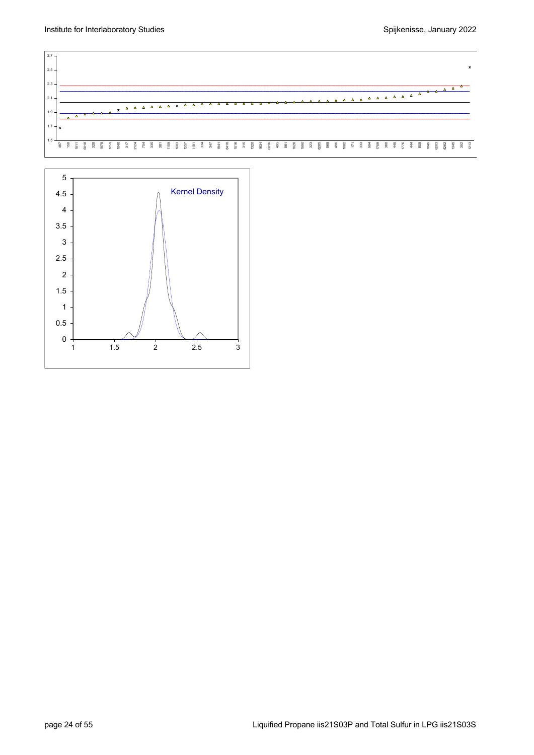

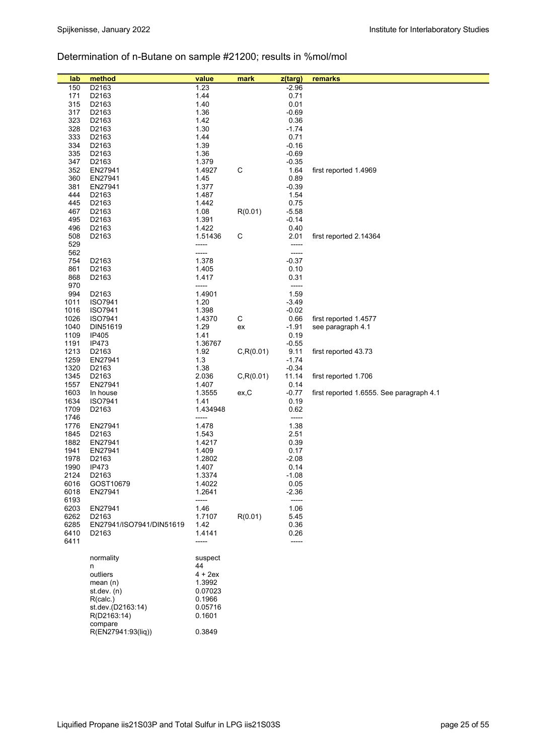# Determination of n-Butane on sample #21200; results in %mol/mol

| lab          | method                   | value            | mark        | z(targ)         | remarks                                  |
|--------------|--------------------------|------------------|-------------|-----------------|------------------------------------------|
| 150          | D2163                    | 1.23             |             | $-2.96$         |                                          |
| 171          | D2163                    | 1.44             |             | 0.71            |                                          |
| 315          | D2163                    | 1.40             |             | 0.01            |                                          |
| 317          | D2163                    | 1.36             |             | $-0.69$         |                                          |
| 323          | D2163                    | 1.42             |             | 0.36            |                                          |
| 328          | D2163                    | 1.30             |             | $-1.74$         |                                          |
| 333          | D2163                    | 1.44             |             | 0.71            |                                          |
| 334          | D2163                    | 1.39             |             | $-0.16$         |                                          |
| 335          | D2163                    | 1.36             |             | $-0.69$         |                                          |
| 347          | D2163                    | 1.379            |             | $-0.35$         |                                          |
| 352          | EN27941                  | 1.4927           | C           | 1.64            | first reported 1.4969                    |
| 360          | EN27941                  | 1.45             |             | 0.89            |                                          |
| 381          | EN27941                  | 1.377            |             | $-0.39$         |                                          |
| 444          | D <sub>2</sub> 163       | 1.487            |             | 1.54            |                                          |
| 445          | D <sub>2</sub> 163       | 1.442            |             | 0.75            |                                          |
| 467          | D2163                    | 1.08             | R(0.01)     | $-5.58$         |                                          |
| 495          | D2163                    | 1.391            |             | $-0.14$         |                                          |
| 496          | D2163                    | 1.422            |             | 0.40            |                                          |
| 508          | D2163                    | 1.51436          | C           | 2.01            | first reported 2.14364                   |
| 529          |                          | -----            |             | -----<br>-----  |                                          |
| 562          |                          | -----            |             |                 |                                          |
| 754          | D2163<br>D2163           | 1.378<br>1.405   |             | $-0.37$<br>0.10 |                                          |
| 861<br>868   | D2163                    | 1.417            |             |                 |                                          |
| 970          |                          | -----            |             | 0.31<br>-----   |                                          |
| 994          | D2163                    | 1.4901           |             | 1.59            |                                          |
| 1011         | ISO7941                  | 1.20             |             | $-3.49$         |                                          |
| 1016         | ISO7941                  | 1.398            |             | $-0.02$         |                                          |
| 1026         | ISO7941                  | 1.4370           | $\mathsf C$ | 0.66            | first reported 1.4577                    |
| 1040         | DIN51619                 | 1.29             | ex          | $-1.91$         | see paragraph 4.1                        |
| 1109         | IP405                    | 1.41             |             | 0.19            |                                          |
| 1191         | <b>IP473</b>             | 1.36767          |             | $-0.55$         |                                          |
| 1213         | D2163                    | 1.92             | C, R(0.01)  | 9.11            | first reported 43.73                     |
| 1259         | EN27941                  | 1.3              |             | $-1.74$         |                                          |
| 1320         | D2163                    | 1.38             |             | $-0.34$         |                                          |
| 1345         | D2163                    | 2.036            | C, R(0.01)  | 11.14           | first reported 1.706                     |
| 1557         | EN27941                  | 1.407            |             | 0.14            |                                          |
| 1603         | In house                 | 1.3555           | ex, C       | $-0.77$         | first reported 1.6555. See paragraph 4.1 |
| 1634         | ISO7941                  | 1.41             |             | 0.19            |                                          |
| 1709         | D2163                    | 1.434948         |             | 0.62            |                                          |
| 1746         |                          | -----            |             | -----           |                                          |
| 1776         | EN27941                  | 1.478            |             | 1.38            |                                          |
| 1845         | D <sub>2</sub> 163       | 1.543            |             | 2.51            |                                          |
| 1882         | EN27941                  | 1.4217           |             | 0.39            |                                          |
| 1941         | EN27941                  | 1.409            |             | 0.17            |                                          |
| 1978         | D2163                    | 1.2802           |             | $-2.08$         |                                          |
| 1990<br>2124 | <b>IP473</b><br>D2163    | 1.407            |             | 0.14            |                                          |
| 6016         | GOST10679                | 1.3374<br>1.4022 |             | $-1.08$<br>0.05 |                                          |
| 6018         | EN27941                  | 1.2641           |             | $-2.36$         |                                          |
| 6193         |                          | -----            |             | -----           |                                          |
| 6203         | EN27941                  | 1.46             |             | 1.06            |                                          |
| 6262         | D <sub>2163</sub>        | 1.7107           | R(0.01)     | 5.45            |                                          |
| 6285         | EN27941/ISO7941/DIN51619 | 1.42             |             | 0.36            |                                          |
| 6410         | D2163                    | 1.4141           |             | 0.26            |                                          |
| 6411         |                          | -----            |             | -----           |                                          |
|              |                          |                  |             |                 |                                          |
|              | normality                | suspect          |             |                 |                                          |
|              | n                        | 44               |             |                 |                                          |
|              | outliers                 | $4 + 2ex$        |             |                 |                                          |
|              | mean $(n)$               | 1.3992           |             |                 |                                          |
|              | st. dev. (n)             | 0.07023          |             |                 |                                          |
|              | R(calc.)                 | 0.1966           |             |                 |                                          |
|              | st.dev.(D2163:14)        | 0.05716          |             |                 |                                          |
|              | R(D2163:14)              | 0.1601           |             |                 |                                          |
|              | compare                  |                  |             |                 |                                          |
|              | R(EN27941:93(liq))       | 0.3849           |             |                 |                                          |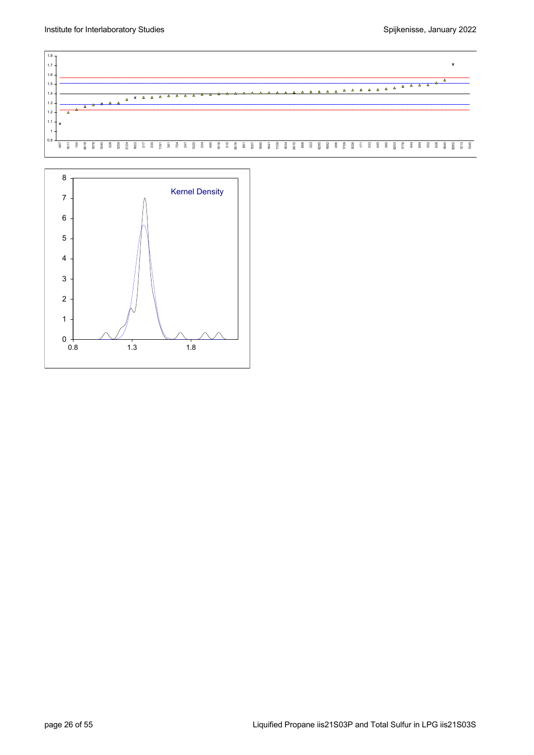

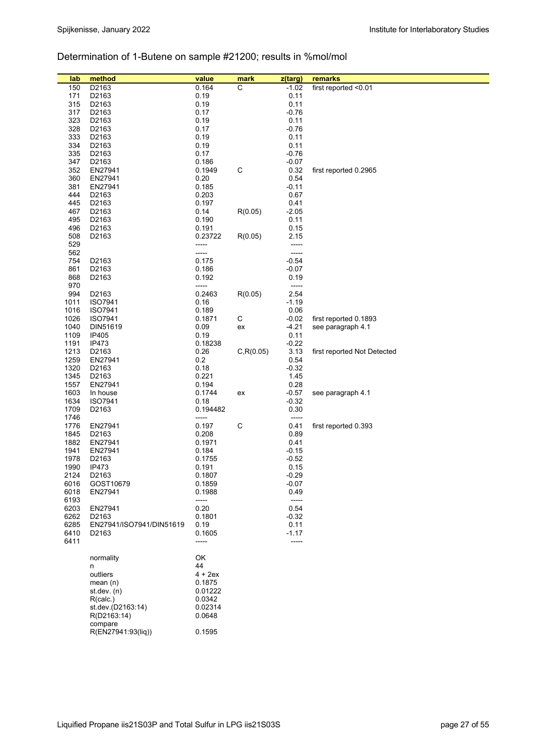# Determination of 1-Butene on sample #21200; results in %mol/mol

| lab          | method                        | value            | mark        | z(targ)         | remarks                     |
|--------------|-------------------------------|------------------|-------------|-----------------|-----------------------------|
| 150          | D2163                         | 0.164            | C           | $-1.02$         | first reported <0.01        |
| 171          | D2163                         | 0.19             |             | 0.11            |                             |
| 315          | D2163                         | 0.19             |             | 0.11            |                             |
| 317          | D2163                         | 0.17             |             | $-0.76$         |                             |
| 323          | D2163                         | 0.19             |             | 0.11            |                             |
| 328          | D2163                         | 0.17             |             | $-0.76$         |                             |
| 333          | D2163                         | 0.19             |             | 0.11            |                             |
| 334          | D2163                         | 0.19             |             | 0.11            |                             |
| 335          | D2163                         | 0.17             |             | $-0.76$         |                             |
| 347          | D2163                         | 0.186            |             | $-0.07$         |                             |
| 352          | EN27941                       | 0.1949           | C           | 0.32            | first reported 0.2965       |
| 360          | EN27941                       | 0.20             |             | 0.54            |                             |
| 381          | EN27941                       | 0.185            |             | $-0.11$         |                             |
| 444          | D <sub>2</sub> 163            | 0.203            |             | 0.67            |                             |
| 445          | D <sub>2</sub> 163            | 0.197            |             | 0.41            |                             |
| 467          | D2163                         | 0.14             | R(0.05)     | $-2.05$         |                             |
| 495          | D <sub>2</sub> 163            | 0.190            |             | 0.11            |                             |
| 496<br>508   | D2163<br>D2163                | 0.191<br>0.23722 | R(0.05)     | 0.15<br>2.15    |                             |
| 529          |                               | -----            |             | -----           |                             |
| 562          |                               | -----            |             | -----           |                             |
| 754          | D2163                         | 0.175            |             | $-0.54$         |                             |
| 861          | D2163                         | 0.186            |             | $-0.07$         |                             |
| 868          | D2163                         | 0.192            |             | 0.19            |                             |
| 970          |                               | -----            |             | -----           |                             |
| 994          | D2163                         | 0.2463           | R(0.05)     | 2.54            |                             |
| 1011         | ISO7941                       | 0.16             |             | $-1.19$         |                             |
| 1016         | ISO7941                       | 0.189            |             | 0.06            |                             |
| 1026         | ISO7941                       | 0.1871           | $\mathsf C$ | $-0.02$         | first reported 0.1893       |
| 1040         | DIN51619                      | 0.09             | ex          | $-4.21$         | see paragraph 4.1           |
| 1109         | IP405                         | 0.19             |             | 0.11            |                             |
| 1191         | <b>IP473</b>                  | 0.18238          |             | $-0.22$         |                             |
| 1213         | D2163                         | 0.26             | C, R(0.05)  | 3.13            | first reported Not Detected |
| 1259         | EN27941                       | 0.2              |             | 0.54            |                             |
| 1320         | D2163                         | 0.18             |             | $-0.32$         |                             |
| 1345         | D2163                         | 0.221            |             | 1.45            |                             |
| 1557         | EN27941                       | 0.194            |             | 0.28            |                             |
| 1603         | In house                      | 0.1744           | ex          | $-0.57$         | see paragraph 4.1           |
| 1634         | ISO7941                       | 0.18             |             | $-0.32$         |                             |
| 1709         | D2163                         | 0.194482         |             | 0.30            |                             |
| 1746         |                               | -----            |             | -----           |                             |
| 1776         | EN27941                       | 0.197            | C           | 0.41            | first reported 0.393        |
| 1845         | D2163                         | 0.208            |             | 0.89            |                             |
| 1882<br>1941 | EN27941<br>EN27941            | 0.1971<br>0.184  |             | 0.41<br>$-0.15$ |                             |
| 1978         | D <sub>2</sub> 163            | 0.1755           |             | $-0.52$         |                             |
| 1990         | IP473                         | 0.191            |             | 0.15            |                             |
| 2124         | D2163                         | 0.1807           |             | $-0.29$         |                             |
| 6016         | GOST10679                     | 0.1859           |             | $-0.07$         |                             |
| 6018         | EN27941                       | 0.1988           |             | 0.49            |                             |
| 6193         |                               | -----            |             | $-----$         |                             |
| 6203         | EN27941                       | 0.20             |             | 0.54            |                             |
| 6262         | D2163                         | 0.1801           |             | $-0.32$         |                             |
| 6285         | EN27941/ISO7941/DIN51619      | 0.19             |             | 0.11            |                             |
| 6410         | D2163                         | 0.1605           |             | $-1.17$         |                             |
| 6411         |                               | -----            |             | -----           |                             |
|              |                               |                  |             |                 |                             |
|              | normality                     | OK               |             |                 |                             |
|              | n                             | 44               |             |                 |                             |
|              | outliers                      | $4 + 2ex$        |             |                 |                             |
|              | mean $(n)$                    | 0.1875           |             |                 |                             |
|              | st.dev. (n)                   | 0.01222          |             |                 |                             |
|              | R(calc.)                      | 0.0342           |             |                 |                             |
|              | st.dev.(D2163:14)             | 0.02314          |             |                 |                             |
|              | R(D2163:14)                   | 0.0648           |             |                 |                             |
|              | compare<br>R(EN27941:93(liq)) | 0.1595           |             |                 |                             |
|              |                               |                  |             |                 |                             |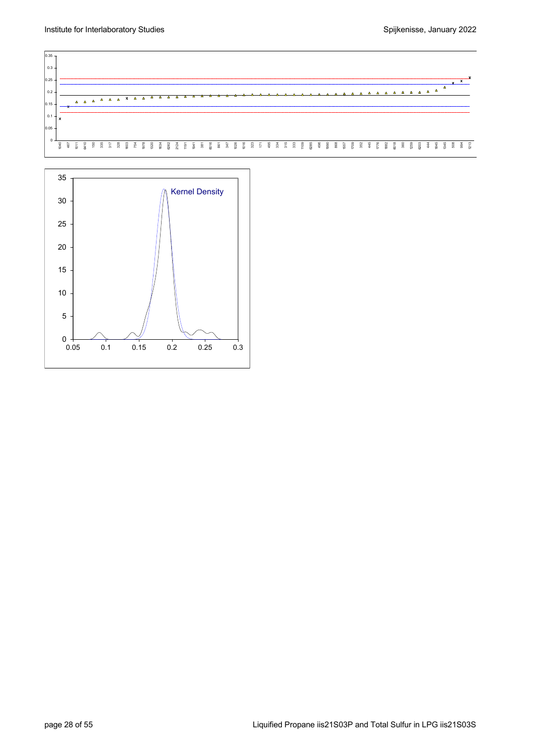

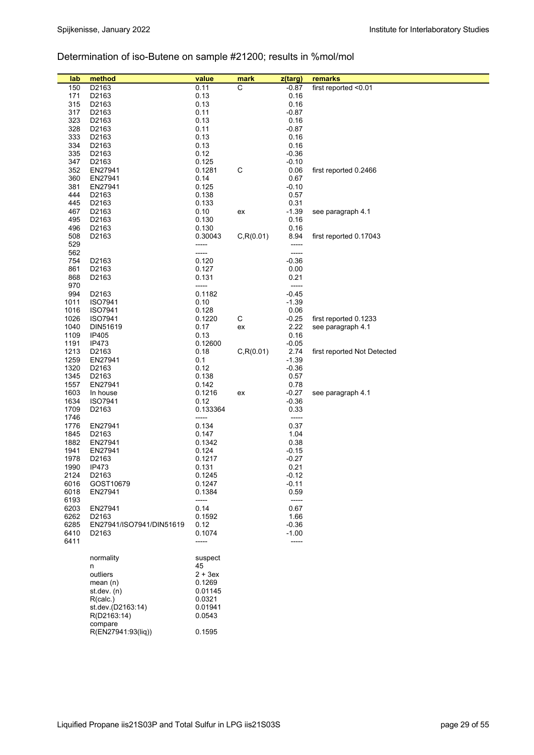# Determination of iso-Butene on sample #21200; results in %mol/mol

| lab          | method                   | value            | mark        | z(targ)         | remarks                     |
|--------------|--------------------------|------------------|-------------|-----------------|-----------------------------|
| 150          | D2163                    | 0.11             | С           | $-0.87$         | first reported <0.01        |
| 171          | D2163                    | 0.13             |             | 0.16            |                             |
| 315          | D2163                    | 0.13             |             | 0.16            |                             |
| 317          | D2163                    | 0.11             |             | $-0.87$         |                             |
| 323          | D2163                    | 0.13             |             | 0.16            |                             |
| 328          | D2163                    | 0.11             |             | $-0.87$         |                             |
| 333          | D2163                    | 0.13             |             | 0.16            |                             |
| 334          | D2163                    | 0.13             |             | 0.16            |                             |
| 335          | D2163                    | 0.12             |             | $-0.36$         |                             |
| 347          | D2163                    | 0.125            |             | $-0.10$         |                             |
| 352          | EN27941                  | 0.1281           | C           | 0.06            | first reported 0.2466       |
| 360          | EN27941                  | 0.14             |             | 0.67            |                             |
| 381          | EN27941                  | 0.125            |             | $-0.10$         |                             |
| 444          | D <sub>2</sub> 163       | 0.138            |             | 0.57            |                             |
| 445          | D <sub>2</sub> 163       | 0.133            |             | 0.31            |                             |
| 467          | D <sub>2</sub> 163       | 0.10             | ex          | $-1.39$         | see paragraph 4.1           |
| 495          | D <sub>2</sub> 163       | 0.130            |             | 0.16            |                             |
| 496          | D2163                    | 0.130            |             | 0.16            |                             |
| 508          | D2163                    | 0.30043          | C, R(0.01)  | 8.94            | first reported 0.17043      |
| 529<br>562   |                          | -----<br>-----   |             | -----<br>-----  |                             |
| 754          | D2163                    | 0.120            |             | $-0.36$         |                             |
| 861          | D2163                    | 0.127            |             | 0.00            |                             |
| 868          | D2163                    | 0.131            |             | 0.21            |                             |
| 970          |                          | -----            |             | -----           |                             |
| 994          | D2163                    | 0.1182           |             | $-0.45$         |                             |
| 1011         | ISO7941                  | 0.10             |             | $-1.39$         |                             |
| 1016         | ISO7941                  | 0.128            |             | 0.06            |                             |
| 1026         | ISO7941                  | 0.1220           | $\mathsf C$ | $-0.25$         | first reported 0.1233       |
| 1040         | DIN51619                 | 0.17             | ex          | 2.22            | see paragraph 4.1           |
| 1109         | IP405                    | 0.13             |             | 0.16            |                             |
| 1191         | <b>IP473</b>             | 0.12600          |             | $-0.05$         |                             |
| 1213         | D2163                    | 0.18             | C, R(0.01)  | 2.74            | first reported Not Detected |
| 1259         | EN27941                  | 0.1              |             | $-1.39$         |                             |
| 1320         | D2163                    | 0.12             |             | $-0.36$         |                             |
| 1345         | D2163                    | 0.138            |             | 0.57            |                             |
| 1557         | EN27941                  | 0.142            |             | 0.78            |                             |
| 1603         | In house                 | 0.1216           | ex          | $-0.27$         | see paragraph 4.1           |
| 1634         | <b>ISO7941</b>           | 0.12             |             | $-0.36$         |                             |
| 1709         | D2163                    | 0.133364         |             | 0.33            |                             |
| 1746         |                          | -----            |             | -----           |                             |
| 1776         | EN27941                  | 0.134            |             | 0.37            |                             |
| 1845         | D2163                    | 0.147            |             | 1.04            |                             |
| 1882         | EN27941                  | 0.1342           |             | 0.38            |                             |
| 1941         | EN27941                  | 0.124            |             | $-0.15$         |                             |
| 1978         | D2163                    | 0.1217           |             | $-0.27$         |                             |
| 1990         | IP473                    | 0.131            |             | 0.21            |                             |
| 2124         | D <sub>2</sub> 163       | 0.1245           |             | $-0.12$         |                             |
| 6016<br>6018 | GOST10679<br>EN27941     | 0.1247<br>0.1384 |             | $-0.11$<br>0.59 |                             |
| 6193         |                          | -----            |             | -----           |                             |
| 6203         | EN27941                  | 0.14             |             | 0.67            |                             |
| 6262         | D2163                    | 0.1592           |             | 1.66            |                             |
| 6285         | EN27941/ISO7941/DIN51619 | 0.12             |             | $-0.36$         |                             |
| 6410         | D2163                    | 0.1074           |             | $-1.00$         |                             |
| 6411         |                          | -----            |             | $-----$         |                             |
|              |                          |                  |             |                 |                             |
|              | normality                | suspect          |             |                 |                             |
|              | n                        | 45               |             |                 |                             |
|              | outliers                 | $2 + 3ex$        |             |                 |                             |
|              | mean $(n)$               | 0.1269           |             |                 |                             |
|              | st.dev. (n)              | 0.01145          |             |                 |                             |
|              | R(calc.)                 | 0.0321           |             |                 |                             |
|              | st.dev.(D2163:14)        | 0.01941          |             |                 |                             |
|              | R(D2163:14)              | 0.0543           |             |                 |                             |
|              | compare                  |                  |             |                 |                             |
|              | R(EN27941:93(liq))       | 0.1595           |             |                 |                             |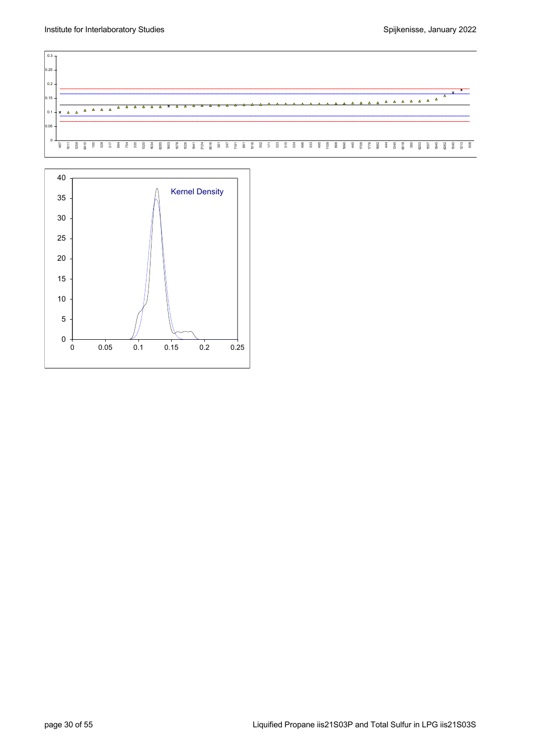

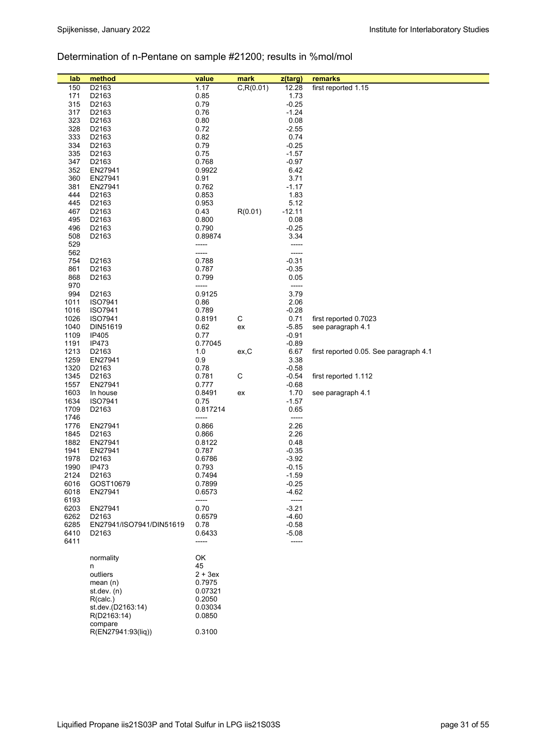# Determination of n-Pentane on sample #21200; results in %mol/mol

| lab          | method                   | value            | mark        | z(targ)          | remarks                                |
|--------------|--------------------------|------------------|-------------|------------------|----------------------------------------|
| 150          | D2163                    | 1.17             | C, R(0.01)  | 12.28            | first reported 1.15                    |
| 171          | D2163                    | 0.85             |             | 1.73             |                                        |
| 315          | D2163                    | 0.79             |             | $-0.25$          |                                        |
| 317          | D2163                    | 0.76             |             | $-1.24$          |                                        |
| 323          | D2163                    | 0.80             |             | 0.08             |                                        |
| 328          | D2163                    | 0.72             |             | $-2.55$          |                                        |
| 333          | D2163                    | 0.82             |             | 0.74             |                                        |
| 334          | D2163                    | 0.79             |             | $-0.25$          |                                        |
| 335          | D2163                    | 0.75             |             | $-1.57$          |                                        |
| 347          | D2163                    | 0.768            |             | $-0.97$          |                                        |
| 352          | EN27941                  | 0.9922           |             | 6.42             |                                        |
| 360          | EN27941                  | 0.91             |             | 3.71             |                                        |
| 381          | EN27941                  | 0.762            |             | $-1.17$          |                                        |
| 444          | D2163                    | 0.853            |             | 1.83             |                                        |
| 445          | D <sub>2163</sub>        | 0.953            |             | 5.12             |                                        |
| 467          | D <sub>2163</sub>        | 0.43             | R(0.01)     | $-12.11$         |                                        |
| 495          | D <sub>2</sub> 163       | 0.800            |             | 0.08             |                                        |
| 496          | D2163                    | 0.790            |             | $-0.25$          |                                        |
| 508          | D2163                    | 0.89874          |             | 3.34             |                                        |
| 529<br>562   |                          | -----<br>-----   |             | -----<br>-----   |                                        |
| 754          | D2163                    | 0.788            |             | $-0.31$          |                                        |
| 861          | D2163                    | 0.787            |             | $-0.35$          |                                        |
| 868          | D2163                    | 0.799            |             | 0.05             |                                        |
| 970          |                          | -----            |             | $-----$          |                                        |
| 994          | D2163                    | 0.9125           |             | 3.79             |                                        |
| 1011         | ISO7941                  | 0.86             |             | 2.06             |                                        |
| 1016         | ISO7941                  | 0.789            |             | $-0.28$          |                                        |
| 1026         | ISO7941                  | 0.8191           | C           | 0.71             | first reported 0.7023                  |
| 1040         | DIN51619                 | 0.62             | ex          | $-5.85$          | see paragraph 4.1                      |
| 1109         | IP405                    | 0.77             |             | $-0.91$          |                                        |
| 1191         | IP473                    | 0.77045          |             | $-0.89$          |                                        |
| 1213         | D2163                    | 1.0              | ex, C       | 6.67             | first reported 0.05. See paragraph 4.1 |
| 1259         | EN27941                  | 0.9              |             | 3.38             |                                        |
| 1320         | D2163                    | 0.78             |             | $-0.58$          |                                        |
| 1345         | D2163                    | 0.781            | $\mathsf C$ | $-0.54$          | first reported 1.112                   |
| 1557         | EN27941                  | 0.777            |             | $-0.68$          |                                        |
| 1603         | In house                 | 0.8491           | ex          | 1.70             | see paragraph 4.1                      |
| 1634         | <b>ISO7941</b>           | 0.75             |             | $-1.57$          |                                        |
| 1709         | D2163                    | 0.817214         |             | 0.65             |                                        |
| 1746         |                          | -----            |             | -----            |                                        |
| 1776         | EN27941                  | 0.866            |             | 2.26             |                                        |
| 1845         | D2163                    | 0.866            |             | 2.26             |                                        |
| 1882         | EN27941                  | 0.8122           |             | 0.48             |                                        |
| 1941         | EN27941                  | 0.787            |             | $-0.35$          |                                        |
| 1978         | D2163                    | 0.6786           |             | $-3.92$          |                                        |
| 1990         | <b>IP473</b>             | 0.793            |             | $-0.15$          |                                        |
| 2124         | D <sub>2</sub> 163       | 0.7494           |             | $-1.59$          |                                        |
| 6016         | GOST10679                | 0.7899<br>0.6573 |             | $-0.25$          |                                        |
| 6018         | EN27941                  | -----            |             | $-4.62$<br>----- |                                        |
| 6193<br>6203 | EN27941                  | 0.70             |             | $-3.21$          |                                        |
| 6262         | D2163                    | 0.6579           |             | $-4.60$          |                                        |
| 6285         | EN27941/ISO7941/DIN51619 | 0.78             |             | $-0.58$          |                                        |
| 6410         | D <sub>2163</sub>        | 0.6433           |             | $-5.08$          |                                        |
| 6411         |                          | -----            |             | $-----$          |                                        |
|              |                          |                  |             |                  |                                        |
|              | normality                | OK               |             |                  |                                        |
|              | n                        | 45               |             |                  |                                        |
|              | outliers                 | $2 + 3ex$        |             |                  |                                        |
|              | mean $(n)$               | 0.7975           |             |                  |                                        |
|              | st.dev. $(n)$            | 0.07321          |             |                  |                                        |
|              | R(calc.)                 | 0.2050           |             |                  |                                        |
|              | st.dev.(D2163:14)        | 0.03034          |             |                  |                                        |
|              | R(D2163:14)              | 0.0850           |             |                  |                                        |
|              | compare                  |                  |             |                  |                                        |
|              | R(EN27941:93(liq))       | 0.3100           |             |                  |                                        |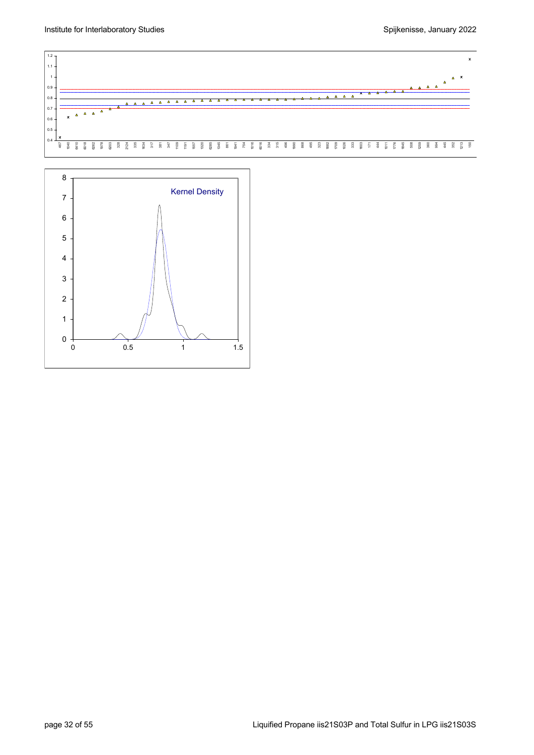

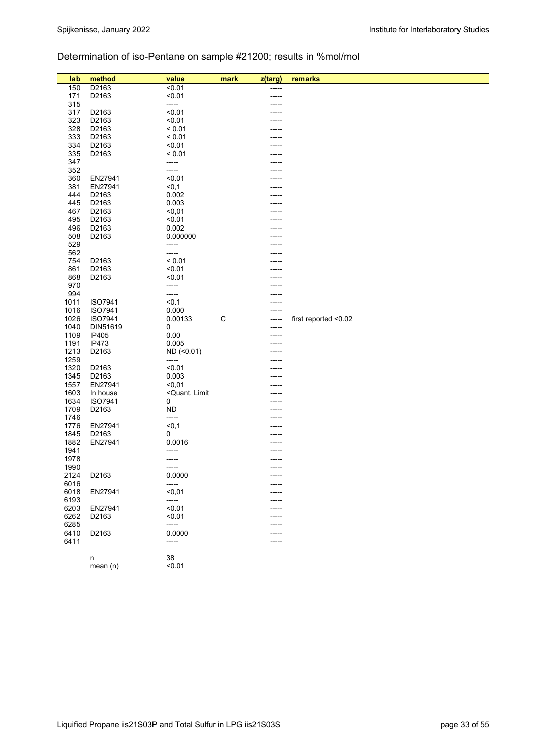# Determination of iso-Pentane on sample #21200; results in %mol/mol

| lab  | method         | value                                                        | mark        | z(targ) | remarks              |
|------|----------------|--------------------------------------------------------------|-------------|---------|----------------------|
| 150  | D2163<br>D2163 | < 0.01                                                       |             | -----   |                      |
| 171  |                | 50.01                                                        |             | -----   |                      |
| 315  |                | -----                                                        |             |         |                      |
| 317  | D2163          | < 0.01                                                       |             |         |                      |
| 323  | D2163          | < 0.01                                                       |             |         |                      |
| 328  | D2163          | < 0.01                                                       |             |         |                      |
| 333  | D2163          | < 0.01                                                       |             |         |                      |
| 334  | D2163          | < 0.01                                                       |             |         |                      |
| 335  | D2163          | < 0.01                                                       |             |         |                      |
| 347  |                | -----                                                        |             |         |                      |
| 352  |                | -----                                                        |             |         |                      |
| 360  | EN27941        | < 0.01                                                       |             |         |                      |
| 381  | EN27941        | $0,1$                                                        |             |         |                      |
| 444  | D2163          | 0.002                                                        |             |         |                      |
| 445  | D2163          | 0.003                                                        |             |         |                      |
| 467  | D2163          | $0,01$                                                       |             |         |                      |
| 495  | D2163          | < 0.01                                                       |             |         |                      |
| 496  | D2163          | 0.002                                                        |             |         |                      |
| 508  | D2163          | 0.000000                                                     |             |         |                      |
| 529  |                | -----                                                        |             |         |                      |
| 562  |                | -----                                                        |             |         |                      |
| 754  | D2163          | < 0.01                                                       |             |         |                      |
| 861  | D2163          | < 0.01                                                       |             |         |                      |
| 868  | D2163          | < 0.01                                                       |             |         |                      |
| 970  |                | -----                                                        |             |         |                      |
| 994  |                | -----                                                        |             |         |                      |
| 1011 | ISO7941        | < 0.1                                                        |             | -----   |                      |
| 1016 | ISO7941        | 0.000                                                        |             | ----    |                      |
| 1026 | ISO7941        | 0.00133                                                      | $\mathsf C$ | -----   | first reported <0.02 |
| 1040 | DIN51619       | 0                                                            |             | -----   |                      |
| 1109 | IP405          | 0.00                                                         |             |         |                      |
| 1191 | <b>IP473</b>   | 0.005                                                        |             |         |                      |
| 1213 | D2163          | ND (<0.01)                                                   |             |         |                      |
| 1259 |                | -----                                                        |             |         |                      |
| 1320 | D2163          | < 0.01                                                       |             |         |                      |
| 1345 | D2163          | 0.003                                                        |             |         |                      |
| 1557 | EN27941        | < 0, 01                                                      |             |         |                      |
| 1603 | In house       | <quant. limit<="" td=""><td></td><td></td><td></td></quant.> |             |         |                      |
| 1634 | <b>ISO7941</b> | 0                                                            |             |         |                      |
| 1709 | D2163          | <b>ND</b>                                                    |             |         |                      |
| 1746 |                | -----                                                        |             |         |                      |
| 1776 | EN27941        | < 0, 1                                                       |             |         |                      |
| 1845 | D2163          | 0                                                            |             |         |                      |
| 1882 | EN27941        | 0.0016                                                       |             |         |                      |
| 1941 |                | ------                                                       |             |         |                      |
| 1978 |                | -----                                                        |             |         |                      |
| 1990 |                | -----                                                        |             | -----   |                      |
| 2124 | D2163          | 0.0000                                                       |             | -----   |                      |
| 6016 |                | -----                                                        |             |         |                      |
| 6018 | EN27941        | $0,01$                                                       |             |         |                      |
| 6193 |                | -----                                                        |             |         |                      |
| 6203 | EN27941        | < 0.01                                                       |             |         |                      |
| 6262 | D2163          | < 0.01                                                       |             |         |                      |
| 6285 |                | -----                                                        |             |         |                      |
| 6410 | D2163          | 0.0000                                                       |             |         |                      |
| 6411 |                | -----                                                        |             | -----   |                      |
|      |                |                                                              |             |         |                      |
|      | n              | 38                                                           |             |         |                      |
|      | mean (n)       | 0.01                                                         |             |         |                      |
|      |                |                                                              |             |         |                      |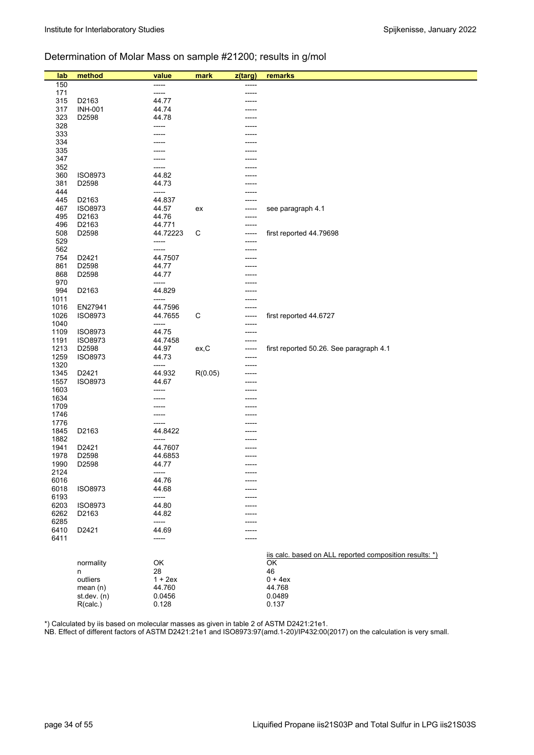#### Determination of Molar Mass on sample #21200; results in g/mol

| 150<br>-----<br>171<br>-----<br>315<br>D2163<br>44.77<br>317<br><b>INH-001</b><br>44.74<br>323<br>D2598<br>44.78<br>-----<br>328<br>-----<br>333<br>334<br>335<br>347<br>352<br>-----<br>360<br><b>ISO8973</b><br>44.82<br>381<br>D2598<br>44.73<br>444<br>-----<br>D2163<br>44.837<br>445<br>467<br><b>ISO8973</b><br>44.57<br>see paragraph 4.1<br>ex<br>495<br>44.76<br>D2163<br>496<br>D2163<br>44.771<br>-----<br>508<br>D2598<br>C<br>first reported 44.79698<br>44.72223<br>-----<br>529<br>-----<br>-----<br>562<br>-----<br>-----<br>754<br>D2421<br>44.7507<br>D2598<br>861<br>44.77<br>868<br>D2598<br>44.77<br>970<br>-----<br>994<br>D2163<br>44.829<br>1011<br>-----<br>1016<br>EN27941<br>44.7596<br>1026<br><b>ISO8973</b><br>C<br>44.7655<br>first reported 44.6727<br>1040<br>-----<br>1109<br><b>ISO8973</b><br>44.75<br>-----<br>1191<br><b>ISO8973</b><br>44.7458<br>1213<br>D2598<br>44.97<br>ex,C<br>first reported 50.26. See paragraph 4.1<br>------<br>1259<br>44.73<br><b>ISO8973</b><br>-----<br>1320<br>-----<br>-----<br>1345<br>D2421<br>44.932<br>R(0.05)<br>----<br>1557<br><b>ISO8973</b><br>44.67<br>1603<br>-----<br>1634<br>1709<br>1746<br>1776<br>-----<br>1845<br>D2163<br>44.8422<br>1882<br>-----<br>D2421<br>44.7607<br>1941<br>1978<br>D2598<br>44.6853<br>1990<br>D2598<br>44.77<br>2124<br>-----<br>-----<br>44.76<br>6016<br>6018<br>44.68<br><b>ISO8973</b><br>6193<br>-----<br>6203<br>44.80<br><b>ISO8973</b><br>6262<br>44.82<br>D2163<br>6285<br>-----<br>6410<br>44.69<br>D2421<br>6411<br>-----<br><br>iis calc. based on ALL reported composition results: *)<br>OK<br>OK<br>normality<br>46<br>28<br>n<br>$0 + 4ex$<br>outliers<br>$1 + 2ex$<br>mean(n)<br>44.760<br>44.768<br>st.dev. (n)<br>0.0456<br>0.0489 | lab | method | value | mark | z(targ) | remarks |
|------------------------------------------------------------------------------------------------------------------------------------------------------------------------------------------------------------------------------------------------------------------------------------------------------------------------------------------------------------------------------------------------------------------------------------------------------------------------------------------------------------------------------------------------------------------------------------------------------------------------------------------------------------------------------------------------------------------------------------------------------------------------------------------------------------------------------------------------------------------------------------------------------------------------------------------------------------------------------------------------------------------------------------------------------------------------------------------------------------------------------------------------------------------------------------------------------------------------------------------------------------------------------------------------------------------------------------------------------------------------------------------------------------------------------------------------------------------------------------------------------------------------------------------------------------------------------------------------------------------------------------------------------------------------------------------------------------------------------------------------------------------------|-----|--------|-------|------|---------|---------|
|                                                                                                                                                                                                                                                                                                                                                                                                                                                                                                                                                                                                                                                                                                                                                                                                                                                                                                                                                                                                                                                                                                                                                                                                                                                                                                                                                                                                                                                                                                                                                                                                                                                                                                                                                                        |     |        |       |      |         |         |
|                                                                                                                                                                                                                                                                                                                                                                                                                                                                                                                                                                                                                                                                                                                                                                                                                                                                                                                                                                                                                                                                                                                                                                                                                                                                                                                                                                                                                                                                                                                                                                                                                                                                                                                                                                        |     |        |       |      |         |         |
|                                                                                                                                                                                                                                                                                                                                                                                                                                                                                                                                                                                                                                                                                                                                                                                                                                                                                                                                                                                                                                                                                                                                                                                                                                                                                                                                                                                                                                                                                                                                                                                                                                                                                                                                                                        |     |        |       |      |         |         |
|                                                                                                                                                                                                                                                                                                                                                                                                                                                                                                                                                                                                                                                                                                                                                                                                                                                                                                                                                                                                                                                                                                                                                                                                                                                                                                                                                                                                                                                                                                                                                                                                                                                                                                                                                                        |     |        |       |      |         |         |
|                                                                                                                                                                                                                                                                                                                                                                                                                                                                                                                                                                                                                                                                                                                                                                                                                                                                                                                                                                                                                                                                                                                                                                                                                                                                                                                                                                                                                                                                                                                                                                                                                                                                                                                                                                        |     |        |       |      |         |         |
|                                                                                                                                                                                                                                                                                                                                                                                                                                                                                                                                                                                                                                                                                                                                                                                                                                                                                                                                                                                                                                                                                                                                                                                                                                                                                                                                                                                                                                                                                                                                                                                                                                                                                                                                                                        |     |        |       |      |         |         |
|                                                                                                                                                                                                                                                                                                                                                                                                                                                                                                                                                                                                                                                                                                                                                                                                                                                                                                                                                                                                                                                                                                                                                                                                                                                                                                                                                                                                                                                                                                                                                                                                                                                                                                                                                                        |     |        |       |      |         |         |
|                                                                                                                                                                                                                                                                                                                                                                                                                                                                                                                                                                                                                                                                                                                                                                                                                                                                                                                                                                                                                                                                                                                                                                                                                                                                                                                                                                                                                                                                                                                                                                                                                                                                                                                                                                        |     |        |       |      |         |         |
|                                                                                                                                                                                                                                                                                                                                                                                                                                                                                                                                                                                                                                                                                                                                                                                                                                                                                                                                                                                                                                                                                                                                                                                                                                                                                                                                                                                                                                                                                                                                                                                                                                                                                                                                                                        |     |        |       |      |         |         |
|                                                                                                                                                                                                                                                                                                                                                                                                                                                                                                                                                                                                                                                                                                                                                                                                                                                                                                                                                                                                                                                                                                                                                                                                                                                                                                                                                                                                                                                                                                                                                                                                                                                                                                                                                                        |     |        |       |      |         |         |
|                                                                                                                                                                                                                                                                                                                                                                                                                                                                                                                                                                                                                                                                                                                                                                                                                                                                                                                                                                                                                                                                                                                                                                                                                                                                                                                                                                                                                                                                                                                                                                                                                                                                                                                                                                        |     |        |       |      |         |         |
|                                                                                                                                                                                                                                                                                                                                                                                                                                                                                                                                                                                                                                                                                                                                                                                                                                                                                                                                                                                                                                                                                                                                                                                                                                                                                                                                                                                                                                                                                                                                                                                                                                                                                                                                                                        |     |        |       |      |         |         |
|                                                                                                                                                                                                                                                                                                                                                                                                                                                                                                                                                                                                                                                                                                                                                                                                                                                                                                                                                                                                                                                                                                                                                                                                                                                                                                                                                                                                                                                                                                                                                                                                                                                                                                                                                                        |     |        |       |      |         |         |
|                                                                                                                                                                                                                                                                                                                                                                                                                                                                                                                                                                                                                                                                                                                                                                                                                                                                                                                                                                                                                                                                                                                                                                                                                                                                                                                                                                                                                                                                                                                                                                                                                                                                                                                                                                        |     |        |       |      |         |         |
|                                                                                                                                                                                                                                                                                                                                                                                                                                                                                                                                                                                                                                                                                                                                                                                                                                                                                                                                                                                                                                                                                                                                                                                                                                                                                                                                                                                                                                                                                                                                                                                                                                                                                                                                                                        |     |        |       |      |         |         |
|                                                                                                                                                                                                                                                                                                                                                                                                                                                                                                                                                                                                                                                                                                                                                                                                                                                                                                                                                                                                                                                                                                                                                                                                                                                                                                                                                                                                                                                                                                                                                                                                                                                                                                                                                                        |     |        |       |      |         |         |
|                                                                                                                                                                                                                                                                                                                                                                                                                                                                                                                                                                                                                                                                                                                                                                                                                                                                                                                                                                                                                                                                                                                                                                                                                                                                                                                                                                                                                                                                                                                                                                                                                                                                                                                                                                        |     |        |       |      |         |         |
|                                                                                                                                                                                                                                                                                                                                                                                                                                                                                                                                                                                                                                                                                                                                                                                                                                                                                                                                                                                                                                                                                                                                                                                                                                                                                                                                                                                                                                                                                                                                                                                                                                                                                                                                                                        |     |        |       |      |         |         |
|                                                                                                                                                                                                                                                                                                                                                                                                                                                                                                                                                                                                                                                                                                                                                                                                                                                                                                                                                                                                                                                                                                                                                                                                                                                                                                                                                                                                                                                                                                                                                                                                                                                                                                                                                                        |     |        |       |      |         |         |
|                                                                                                                                                                                                                                                                                                                                                                                                                                                                                                                                                                                                                                                                                                                                                                                                                                                                                                                                                                                                                                                                                                                                                                                                                                                                                                                                                                                                                                                                                                                                                                                                                                                                                                                                                                        |     |        |       |      |         |         |
|                                                                                                                                                                                                                                                                                                                                                                                                                                                                                                                                                                                                                                                                                                                                                                                                                                                                                                                                                                                                                                                                                                                                                                                                                                                                                                                                                                                                                                                                                                                                                                                                                                                                                                                                                                        |     |        |       |      |         |         |
|                                                                                                                                                                                                                                                                                                                                                                                                                                                                                                                                                                                                                                                                                                                                                                                                                                                                                                                                                                                                                                                                                                                                                                                                                                                                                                                                                                                                                                                                                                                                                                                                                                                                                                                                                                        |     |        |       |      |         |         |
|                                                                                                                                                                                                                                                                                                                                                                                                                                                                                                                                                                                                                                                                                                                                                                                                                                                                                                                                                                                                                                                                                                                                                                                                                                                                                                                                                                                                                                                                                                                                                                                                                                                                                                                                                                        |     |        |       |      |         |         |
|                                                                                                                                                                                                                                                                                                                                                                                                                                                                                                                                                                                                                                                                                                                                                                                                                                                                                                                                                                                                                                                                                                                                                                                                                                                                                                                                                                                                                                                                                                                                                                                                                                                                                                                                                                        |     |        |       |      |         |         |
|                                                                                                                                                                                                                                                                                                                                                                                                                                                                                                                                                                                                                                                                                                                                                                                                                                                                                                                                                                                                                                                                                                                                                                                                                                                                                                                                                                                                                                                                                                                                                                                                                                                                                                                                                                        |     |        |       |      |         |         |
|                                                                                                                                                                                                                                                                                                                                                                                                                                                                                                                                                                                                                                                                                                                                                                                                                                                                                                                                                                                                                                                                                                                                                                                                                                                                                                                                                                                                                                                                                                                                                                                                                                                                                                                                                                        |     |        |       |      |         |         |
|                                                                                                                                                                                                                                                                                                                                                                                                                                                                                                                                                                                                                                                                                                                                                                                                                                                                                                                                                                                                                                                                                                                                                                                                                                                                                                                                                                                                                                                                                                                                                                                                                                                                                                                                                                        |     |        |       |      |         |         |
|                                                                                                                                                                                                                                                                                                                                                                                                                                                                                                                                                                                                                                                                                                                                                                                                                                                                                                                                                                                                                                                                                                                                                                                                                                                                                                                                                                                                                                                                                                                                                                                                                                                                                                                                                                        |     |        |       |      |         |         |
|                                                                                                                                                                                                                                                                                                                                                                                                                                                                                                                                                                                                                                                                                                                                                                                                                                                                                                                                                                                                                                                                                                                                                                                                                                                                                                                                                                                                                                                                                                                                                                                                                                                                                                                                                                        |     |        |       |      |         |         |
|                                                                                                                                                                                                                                                                                                                                                                                                                                                                                                                                                                                                                                                                                                                                                                                                                                                                                                                                                                                                                                                                                                                                                                                                                                                                                                                                                                                                                                                                                                                                                                                                                                                                                                                                                                        |     |        |       |      |         |         |
|                                                                                                                                                                                                                                                                                                                                                                                                                                                                                                                                                                                                                                                                                                                                                                                                                                                                                                                                                                                                                                                                                                                                                                                                                                                                                                                                                                                                                                                                                                                                                                                                                                                                                                                                                                        |     |        |       |      |         |         |
|                                                                                                                                                                                                                                                                                                                                                                                                                                                                                                                                                                                                                                                                                                                                                                                                                                                                                                                                                                                                                                                                                                                                                                                                                                                                                                                                                                                                                                                                                                                                                                                                                                                                                                                                                                        |     |        |       |      |         |         |
|                                                                                                                                                                                                                                                                                                                                                                                                                                                                                                                                                                                                                                                                                                                                                                                                                                                                                                                                                                                                                                                                                                                                                                                                                                                                                                                                                                                                                                                                                                                                                                                                                                                                                                                                                                        |     |        |       |      |         |         |
|                                                                                                                                                                                                                                                                                                                                                                                                                                                                                                                                                                                                                                                                                                                                                                                                                                                                                                                                                                                                                                                                                                                                                                                                                                                                                                                                                                                                                                                                                                                                                                                                                                                                                                                                                                        |     |        |       |      |         |         |
|                                                                                                                                                                                                                                                                                                                                                                                                                                                                                                                                                                                                                                                                                                                                                                                                                                                                                                                                                                                                                                                                                                                                                                                                                                                                                                                                                                                                                                                                                                                                                                                                                                                                                                                                                                        |     |        |       |      |         |         |
|                                                                                                                                                                                                                                                                                                                                                                                                                                                                                                                                                                                                                                                                                                                                                                                                                                                                                                                                                                                                                                                                                                                                                                                                                                                                                                                                                                                                                                                                                                                                                                                                                                                                                                                                                                        |     |        |       |      |         |         |
|                                                                                                                                                                                                                                                                                                                                                                                                                                                                                                                                                                                                                                                                                                                                                                                                                                                                                                                                                                                                                                                                                                                                                                                                                                                                                                                                                                                                                                                                                                                                                                                                                                                                                                                                                                        |     |        |       |      |         |         |
|                                                                                                                                                                                                                                                                                                                                                                                                                                                                                                                                                                                                                                                                                                                                                                                                                                                                                                                                                                                                                                                                                                                                                                                                                                                                                                                                                                                                                                                                                                                                                                                                                                                                                                                                                                        |     |        |       |      |         |         |
|                                                                                                                                                                                                                                                                                                                                                                                                                                                                                                                                                                                                                                                                                                                                                                                                                                                                                                                                                                                                                                                                                                                                                                                                                                                                                                                                                                                                                                                                                                                                                                                                                                                                                                                                                                        |     |        |       |      |         |         |
|                                                                                                                                                                                                                                                                                                                                                                                                                                                                                                                                                                                                                                                                                                                                                                                                                                                                                                                                                                                                                                                                                                                                                                                                                                                                                                                                                                                                                                                                                                                                                                                                                                                                                                                                                                        |     |        |       |      |         |         |
|                                                                                                                                                                                                                                                                                                                                                                                                                                                                                                                                                                                                                                                                                                                                                                                                                                                                                                                                                                                                                                                                                                                                                                                                                                                                                                                                                                                                                                                                                                                                                                                                                                                                                                                                                                        |     |        |       |      |         |         |
|                                                                                                                                                                                                                                                                                                                                                                                                                                                                                                                                                                                                                                                                                                                                                                                                                                                                                                                                                                                                                                                                                                                                                                                                                                                                                                                                                                                                                                                                                                                                                                                                                                                                                                                                                                        |     |        |       |      |         |         |
|                                                                                                                                                                                                                                                                                                                                                                                                                                                                                                                                                                                                                                                                                                                                                                                                                                                                                                                                                                                                                                                                                                                                                                                                                                                                                                                                                                                                                                                                                                                                                                                                                                                                                                                                                                        |     |        |       |      |         |         |
|                                                                                                                                                                                                                                                                                                                                                                                                                                                                                                                                                                                                                                                                                                                                                                                                                                                                                                                                                                                                                                                                                                                                                                                                                                                                                                                                                                                                                                                                                                                                                                                                                                                                                                                                                                        |     |        |       |      |         |         |
|                                                                                                                                                                                                                                                                                                                                                                                                                                                                                                                                                                                                                                                                                                                                                                                                                                                                                                                                                                                                                                                                                                                                                                                                                                                                                                                                                                                                                                                                                                                                                                                                                                                                                                                                                                        |     |        |       |      |         |         |
|                                                                                                                                                                                                                                                                                                                                                                                                                                                                                                                                                                                                                                                                                                                                                                                                                                                                                                                                                                                                                                                                                                                                                                                                                                                                                                                                                                                                                                                                                                                                                                                                                                                                                                                                                                        |     |        |       |      |         |         |
|                                                                                                                                                                                                                                                                                                                                                                                                                                                                                                                                                                                                                                                                                                                                                                                                                                                                                                                                                                                                                                                                                                                                                                                                                                                                                                                                                                                                                                                                                                                                                                                                                                                                                                                                                                        |     |        |       |      |         |         |
|                                                                                                                                                                                                                                                                                                                                                                                                                                                                                                                                                                                                                                                                                                                                                                                                                                                                                                                                                                                                                                                                                                                                                                                                                                                                                                                                                                                                                                                                                                                                                                                                                                                                                                                                                                        |     |        |       |      |         |         |
|                                                                                                                                                                                                                                                                                                                                                                                                                                                                                                                                                                                                                                                                                                                                                                                                                                                                                                                                                                                                                                                                                                                                                                                                                                                                                                                                                                                                                                                                                                                                                                                                                                                                                                                                                                        |     |        |       |      |         |         |
|                                                                                                                                                                                                                                                                                                                                                                                                                                                                                                                                                                                                                                                                                                                                                                                                                                                                                                                                                                                                                                                                                                                                                                                                                                                                                                                                                                                                                                                                                                                                                                                                                                                                                                                                                                        |     |        |       |      |         |         |
|                                                                                                                                                                                                                                                                                                                                                                                                                                                                                                                                                                                                                                                                                                                                                                                                                                                                                                                                                                                                                                                                                                                                                                                                                                                                                                                                                                                                                                                                                                                                                                                                                                                                                                                                                                        |     |        |       |      |         |         |
|                                                                                                                                                                                                                                                                                                                                                                                                                                                                                                                                                                                                                                                                                                                                                                                                                                                                                                                                                                                                                                                                                                                                                                                                                                                                                                                                                                                                                                                                                                                                                                                                                                                                                                                                                                        |     |        |       |      |         |         |
|                                                                                                                                                                                                                                                                                                                                                                                                                                                                                                                                                                                                                                                                                                                                                                                                                                                                                                                                                                                                                                                                                                                                                                                                                                                                                                                                                                                                                                                                                                                                                                                                                                                                                                                                                                        |     |        |       |      |         |         |
| 0.137<br>R(calc.)                                                                                                                                                                                                                                                                                                                                                                                                                                                                                                                                                                                                                                                                                                                                                                                                                                                                                                                                                                                                                                                                                                                                                                                                                                                                                                                                                                                                                                                                                                                                                                                                                                                                                                                                                      |     |        | 0.128 |      |         |         |

\*) Calculated by iis based on molecular masses as given in table 2 of ASTM D2421:21e1.

NB. Effect of different factors of ASTM D2421:21e1 and ISO8973:97(amd.1-20)/IP432:00(2017) on the calculation is very small.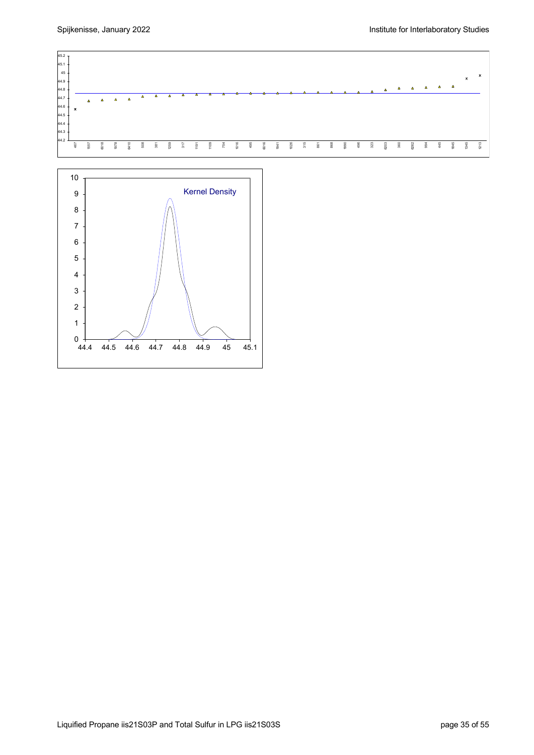

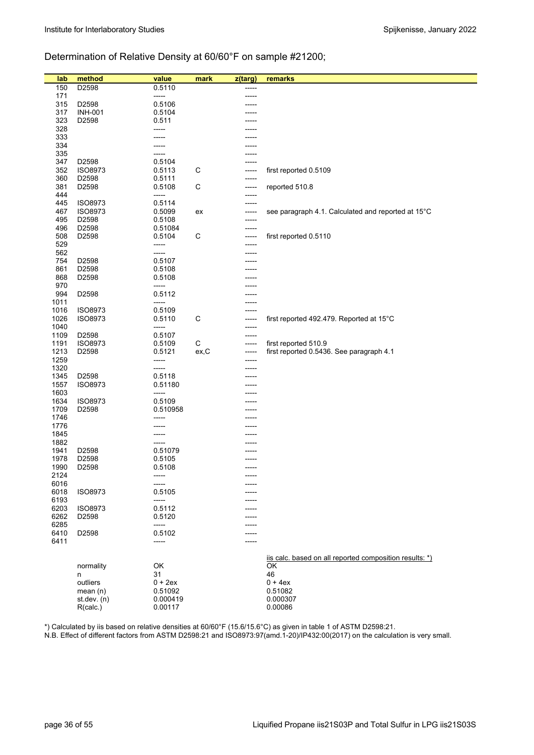# Determination of Relative Density at 60/60°F on sample #21200;

| lab          | method            | value           | mark | z(targ)        | remarks                                                 |
|--------------|-------------------|-----------------|------|----------------|---------------------------------------------------------|
| 150          | D2598             | 0.5110          |      | -----          |                                                         |
| 171          |                   | -----           |      | -----          |                                                         |
| 315          | D2598             | 0.5106          |      |                |                                                         |
| 317          | <b>INH-001</b>    | 0.5104          |      |                |                                                         |
| 323          | D2598             | 0.511           |      |                |                                                         |
| 328          |                   | -----           |      |                |                                                         |
| 333          |                   |                 |      |                |                                                         |
| 334          |                   |                 |      |                |                                                         |
| 335          |                   | -----           |      |                |                                                         |
| 347          | D2598             | 0.5104          |      | -----          |                                                         |
| 352          | <b>ISO8973</b>    | 0.5113          | C    | -----          | first reported 0.5109                                   |
| 360          | D2598             | 0.5111          |      | -----          |                                                         |
| 381<br>444   | D <sub>2598</sub> | 0.5108          | C    | -----          | reported 510.8                                          |
| 445          | <b>ISO8973</b>    | -----<br>0.5114 |      | -----          |                                                         |
| 467          | <b>ISO8973</b>    | 0.5099          | ex   | -----          | see paragraph 4.1. Calculated and reported at 15°C      |
| 495          | D2598             | 0.5108          |      | -----          |                                                         |
| 496          | D2598             | 0.51084         |      | -----          |                                                         |
| 508          | D2598             | 0.5104          | C    | -----          | first reported 0.5110                                   |
| 529          |                   | -----           |      | -----          |                                                         |
| 562          |                   | ------          |      | -----          |                                                         |
| 754          | D <sub>2598</sub> | 0.5107          |      |                |                                                         |
| 861          | D2598             | 0.5108          |      |                |                                                         |
| 868          | D2598             | 0.5108          |      |                |                                                         |
| 970          |                   | -----           |      |                |                                                         |
| 994          | D2598             | 0.5112          |      |                |                                                         |
| 1011         |                   | -----           |      |                |                                                         |
| 1016         | <b>ISO8973</b>    | 0.5109          |      |                |                                                         |
| 1026         | <b>ISO8973</b>    | 0.5110          | C    |                | first reported 492.479. Reported at 15°C                |
| 1040         |                   | -----           |      | -----          |                                                         |
| 1109         | D2598             | 0.5107          |      | -----          |                                                         |
| 1191         | <b>ISO8973</b>    | 0.5109          | С    | -----          | first reported 510.9                                    |
| 1213<br>1259 | D2598             | 0.5121          | ex,C | -----          | first reported 0.5436. See paragraph 4.1                |
| 1320         |                   | -----<br>-----  |      | -----<br>----- |                                                         |
| 1345         | D2598             | 0.5118          |      |                |                                                         |
| 1557         | <b>ISO8973</b>    | 0.51180         |      |                |                                                         |
| 1603         |                   | -----           |      |                |                                                         |
| 1634         | <b>ISO8973</b>    | 0.5109          |      |                |                                                         |
| 1709         | D2598             | 0.510958        |      |                |                                                         |
| 1746         |                   | -----           |      |                |                                                         |
| 1776         |                   | -----           |      |                |                                                         |
| 1845         |                   |                 |      |                |                                                         |
| 1882         |                   |                 |      |                |                                                         |
| 1941         | D2598             | 0.51079         |      |                |                                                         |
| 1978         | D2598             | 0.5105          |      |                |                                                         |
| 1990         | D2598             | 0.5108          |      |                |                                                         |
| 2124         |                   | -----           |      |                |                                                         |
| 6016         |                   | ------          |      |                |                                                         |
| 6018<br>6193 | <b>ISO8973</b>    | 0.5105<br>----- |      |                |                                                         |
| 6203         | <b>ISO8973</b>    | 0.5112          |      |                |                                                         |
| 6262         | D2598             | 0.5120          |      |                |                                                         |
| 6285         |                   | -----           |      |                |                                                         |
| 6410         | D2598             | 0.5102          |      |                |                                                         |
| 6411         |                   | -----           |      | -----          |                                                         |
|              |                   |                 |      |                |                                                         |
|              |                   |                 |      |                | iis calc. based on all reported composition results: *) |
|              | normality         | OK              |      |                | OK                                                      |
|              | n                 | 31              |      |                | 46                                                      |
|              | outliers          | $0 + 2ex$       |      |                | $0 + 4ex$                                               |
|              | mean $(n)$        | 0.51092         |      |                | 0.51082                                                 |
|              | st.dev. (n)       | 0.000419        |      |                | 0.000307                                                |
|              | R(calc.)          | 0.00117         |      |                | 0.00086                                                 |

\*) Calculated by iis based on relative densities at 60/60°F (15.6/15.6°C) as given in table 1 of ASTM D2598:21.

N.B. Effect of different factors from ASTM D2598:21 and ISO8973:97(amd.1-20)/IP432:00(2017) on the calculation is very small.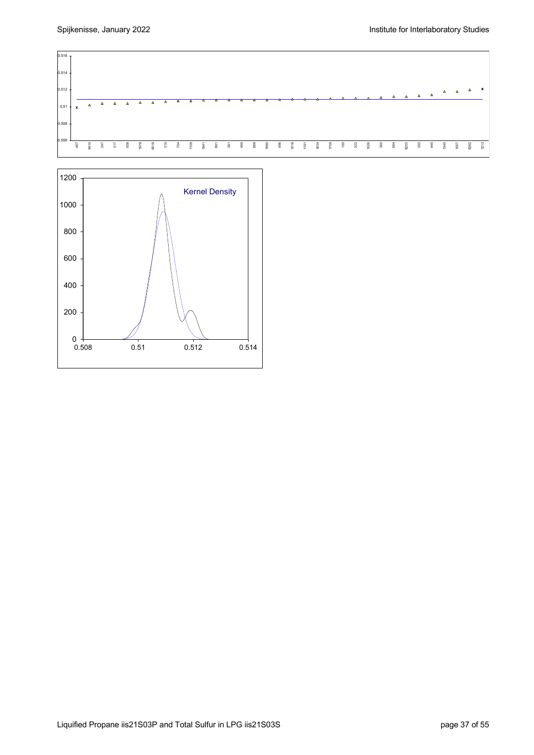

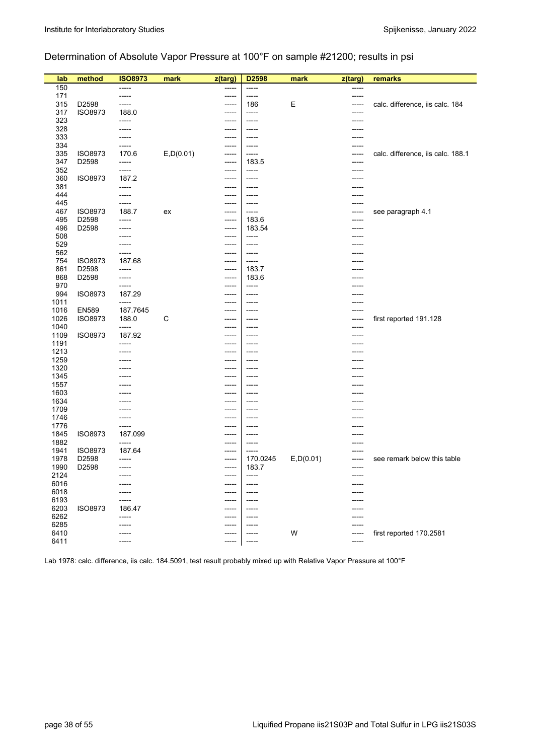# Determination of Absolute Vapor Pressure at 100°F on sample #21200; results in psi

| lab          | method         | <b>ISO8973</b>   | mark       | z(targ)         | D <sub>2598</sub>          | mark       | z(targ)        | remarks                           |
|--------------|----------------|------------------|------------|-----------------|----------------------------|------------|----------------|-----------------------------------|
| 150          |                | -----            |            | -----           | -----                      |            | -----          |                                   |
| 171          |                | -----            |            | -----           | -----                      |            | -----          |                                   |
| 315          | D2598          | -----            |            | -----           | 186                        | Ε          | -----          | calc. difference, iis calc. 184   |
| 317          | <b>ISO8973</b> | 188.0            |            | -----           | -----                      |            | -----          |                                   |
| 323<br>328   |                | -----<br>------  |            | -----<br>-----  | ------<br>$-----1$         |            | -----          |                                   |
| 333          |                | -----            |            | -----           | -----                      |            |                |                                   |
| 334          |                |                  |            | -----           | $- - - - -$                |            |                |                                   |
| 335          | <b>ISO8973</b> | 170.6            | E, D(0.01) | -----           | -----                      |            | -----          | calc. difference, iis calc. 188.1 |
| 347          | D2598          | -----            |            | -----           | 183.5                      |            | -----          |                                   |
| 352          |                | -----            |            | -----           | -----                      |            | -----          |                                   |
| 360          | <b>ISO8973</b> | 187.2            |            | -----           | $- - - - -$                |            |                |                                   |
| 381          |                | -----            |            | -----           | $- - - - -$                |            |                |                                   |
| 444          |                | -----            |            | -----           | -----                      |            |                |                                   |
| 445          |                | -----            |            | -----           | -----                      |            |                |                                   |
| 467          | <b>ISO8973</b> | 188.7            | ex         | -----           | -----                      |            | -----          | see paragraph 4.1                 |
| 495          | D2598          | -----            |            | -----           | 183.6                      |            |                |                                   |
| 496          | D2598          | -----            |            | -----           | 183.54                     |            |                |                                   |
| 508<br>529   |                | -----            |            | -----           | -----<br>$-----$           |            |                |                                   |
| 562          |                | ------<br>-----  |            | -----<br>-----  | $-----$                    |            |                |                                   |
| 754          | <b>ISO8973</b> | 187.68           |            | -----           | -----                      |            |                |                                   |
| 861          | D2598          | -----            |            | -----           | 183.7                      |            |                |                                   |
| 868          | D2598          | -----            |            | -----           | 183.6                      |            |                |                                   |
| 970          |                | -----            |            | -----           | -----                      |            |                |                                   |
| 994          | <b>ISO8973</b> | 187.29           |            | -----           | -----                      |            |                |                                   |
| 1011         |                | -----            |            | -----           | -----                      |            |                |                                   |
| 1016         | <b>EN589</b>   | 187.7645         |            | -----           | $- - - - -$                |            | -----          |                                   |
| 1026         | <b>ISO8973</b> | 188.0            | C          | -----           | ------                     |            | -----          | first reported 191.128            |
| 1040         |                | -----            |            | -----           | -----                      |            |                |                                   |
| 1109         | <b>ISO8973</b> | 187.92           |            | -----           | -----                      |            |                |                                   |
| 1191         |                | -----            |            | -----           | -----                      |            |                |                                   |
| 1213<br>1259 |                | -----            |            | -----           | -----                      |            |                |                                   |
| 1320         |                | -----            |            | -----<br>-----  | -----<br>-----             |            |                |                                   |
| 1345         |                |                  |            | -----           | $-----1$                   |            |                |                                   |
| 1557         |                |                  |            | -----           | -----                      |            |                |                                   |
| 1603         |                |                  |            | -----           | -----                      |            |                |                                   |
| 1634         |                |                  |            | -----           | -----                      |            |                |                                   |
| 1709         |                |                  |            | -----           | -----                      |            |                |                                   |
| 1746         |                | -----            |            | -----           | -----                      |            |                |                                   |
| 1776         |                | ------           |            | -----           | -----                      |            |                |                                   |
| 1845         | <b>ISO8973</b> | 187.099          |            | -----           | $- - - - -$                |            |                |                                   |
| 1882         |                |                  |            | -----           | -----                      |            |                |                                   |
| 1941         | <b>ISO8973</b> | 187.64           |            | -----           | $-----$                    |            |                |                                   |
| 1978         | D2598          | -----            |            | -----           | 170.0245                   | E, D(0.01) | -----          | see remark below this table       |
| 1990         | D2598          | -----            |            | -----           | 183.7                      |            | -----          |                                   |
| 2124         |                | -----            |            | -----           | -----                      |            | -----          |                                   |
| 6016<br>6018 |                | ------<br>------ |            | ------<br>----- | $- - - - -$<br>$- - - - -$ |            | -----<br>----- |                                   |
| 6193         |                | -----            |            | -----           | $- - - - -$                |            |                |                                   |
| 6203         | <b>ISO8973</b> | 186.47           |            | -----           | $- - - - -$                |            |                |                                   |
| 6262         |                | -----            |            | -----           | -----                      |            |                |                                   |
| 6285         |                | -----            |            | -----           | -----                      |            |                |                                   |
| 6410         |                | -----            |            | -----           | -----                      | W          | -----          | first reported 170.2581           |
| 6411         |                | -----            |            | -----           | -----                      |            | -----          |                                   |

Lab 1978: calc. difference, iis calc. 184.5091, test result probably mixed up with Relative Vapor Pressure at 100°F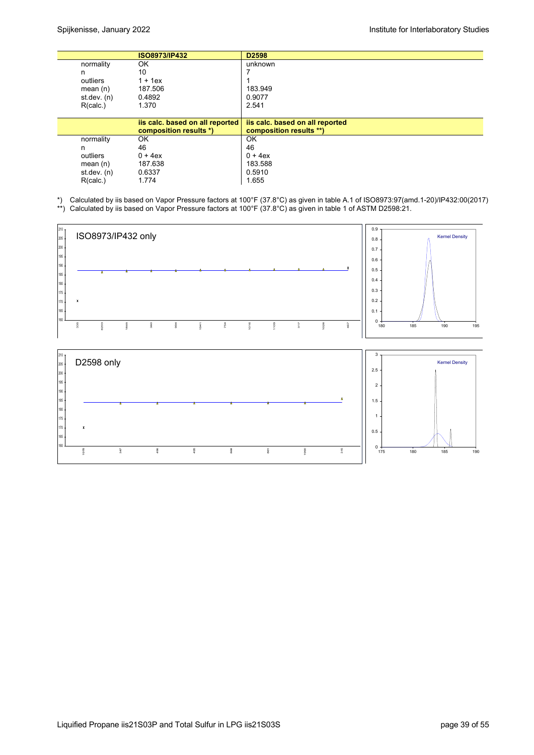1978

347

496

495

868

|               | <b>ISO8973/IP432</b>            | D <sub>2598</sub>               |
|---------------|---------------------------------|---------------------------------|
| normality     | OK                              | unknown                         |
| n             | 10                              |                                 |
| outliers      | $+1ex$                          |                                 |
| mean $(n)$    | 187.506                         | 183.949                         |
| st dev. $(n)$ | 0.4892                          | 0.9077                          |
| R(calc.)      | 1.370                           | 2.541                           |
|               |                                 |                                 |
|               |                                 |                                 |
|               | iis calc. based on all reported | iis calc. based on all reported |
|               | composition results *)          | composition results **)         |
| normality     | OK                              | OK                              |
| n             | 46                              | 46                              |
| outliers      | $0 + 4eX$                       | $0 + 4eX$                       |
| mean $(n)$    | 187.638                         | 183.588                         |
| st.dev. $(n)$ | 0.6337                          | 0.5910                          |

\*) Calculated by iis based on Vapor Pressure factors at 100°F (37.8°C) as given in table A.1 of ISO8973:97(amd.1-20)/IP432:00(2017) \*\*) Calculated by iis based on Vapor Pressure factors at 100°F (37.8°C) as given in table 1 of ASTM D2598:21.



861

1990

315

 $0 + 175$ 

175 180 185 190

0.5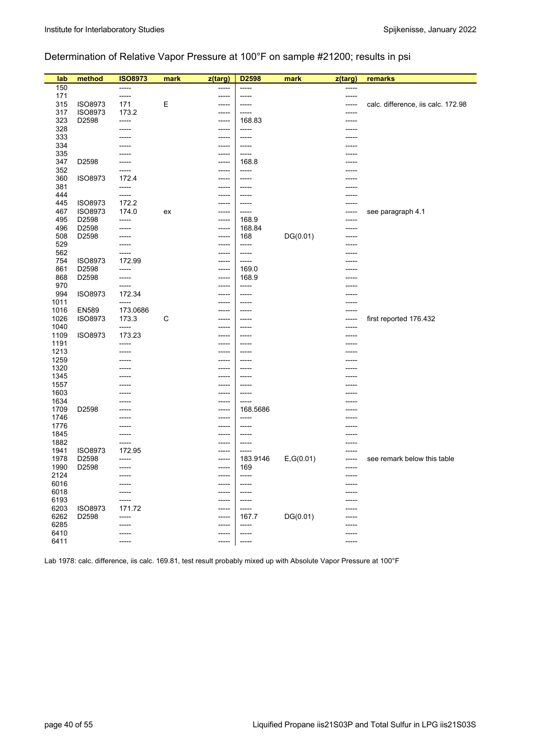# Determination of Relative Vapor Pressure at 100°F on sample #21200; results in psi

| lab          | method         | <b>ISO8973</b> | mark | z(targ)        | D2598             | mark       | z(targ) | remarks                            |
|--------------|----------------|----------------|------|----------------|-------------------|------------|---------|------------------------------------|
| 150          |                | -----          |      | -----          | -----             |            |         |                                    |
| 171          |                | -----          |      | -----          | -----             |            | -----   |                                    |
| 315          | <b>ISO8973</b> | 171            | Ε    | -----          | -----             |            | -----   | calc. difference, iis calc. 172.98 |
| 317          | <b>ISO8973</b> | 173.2          |      | -----          | -----             |            |         |                                    |
| 323<br>328   | D2598          | -----          |      | -----          | 168.83            |            | ----    |                                    |
| 333          |                |                |      | -----<br>----- | -----<br>-----    |            |         |                                    |
| 334          |                |                |      | ----           | -----             |            |         |                                    |
| 335          |                |                |      | -----          | -----             |            |         |                                    |
| 347          | D2598          |                |      | -----          | 168.8             |            |         |                                    |
| 352          |                | -----          |      | -----          | -----             |            |         |                                    |
| 360          | <b>ISO8973</b> | 172.4          |      | -----          | -----             |            |         |                                    |
| 381          |                | -----          |      | -----          | -----             |            |         |                                    |
| 444          |                | -----          |      | ----           | -----             |            |         |                                    |
| 445          | <b>ISO8973</b> | 172.2          |      | -----          | -----             |            |         |                                    |
| 467          | <b>ISO8973</b> | 174.0          | ex   | -----          | -----             |            |         | see paragraph 4.1                  |
| 495<br>496   | D2598<br>D2598 | -----<br>----- |      | -----<br>----- | 168.9<br>168.84   |            |         |                                    |
| 508          | D2598          |                |      | -----          | 168               | DG(0.01)   |         |                                    |
| 529          |                | -----          |      | -----          | -----             |            |         |                                    |
| 562          |                | -----          |      | -----          | -----             |            |         |                                    |
| 754          | <b>ISO8973</b> | 172.99         |      | -----          | -----             |            |         |                                    |
| 861          | D2598          | -----          |      | -----          | 169.0             |            |         |                                    |
| 868          | D2598          | -----          |      | -----          | 168.9             |            |         |                                    |
| 970          |                | -----          |      | -----          | -----             |            |         |                                    |
| 994          | <b>ISO8973</b> | 172.34         |      | -----          | -----             |            |         |                                    |
| 1011         |                | -----          |      | -----          | ------            |            |         |                                    |
| 1016         | <b>EN589</b>   | 173.0686       |      | -----          | ------            |            |         |                                    |
| 1026<br>1040 | <b>ISO8973</b> | 173.3<br>----- | C    | -----<br>----- | -----<br>-----    |            | ----    | first reported 176.432             |
| 1109         | <b>ISO8973</b> | 173.23         |      | -----          | -----             |            |         |                                    |
| 1191         |                | -----          |      | -----          | -----             |            |         |                                    |
| 1213         |                | -----          |      | -----          | -----             |            |         |                                    |
| 1259         |                |                |      | -----          | -----             |            |         |                                    |
| 1320         |                |                |      | -----          | ------            |            |         |                                    |
| 1345         |                |                |      | -----          | -----             |            |         |                                    |
| 1557         |                |                |      | -----          | -----             |            |         |                                    |
| 1603         |                |                |      | -----          | -----             |            |         |                                    |
| 1634<br>1709 | D2598          |                |      | -----          | -----<br>168.5686 |            |         |                                    |
| 1746         |                |                |      | -----<br>----- | -----             |            |         |                                    |
| 1776         |                |                |      | -----          | -----             |            |         |                                    |
| 1845         |                |                |      | -----          | -----             |            |         |                                    |
| 1882         |                | -----          |      | -----          | -----             |            |         |                                    |
| 1941         | <b>ISO8973</b> | 172.95         |      | -----          | -----             |            |         |                                    |
| 1978         | D2598          | -----          |      | -----          | 183.9146          | E, G(0.01) | -----   | see remark below this table        |
| 1990         | D2598          | -----          |      | -----          | 169               |            | -----   |                                    |
| 2124         |                |                |      | -----          |                   |            |         |                                    |
| 6016         |                |                |      | -----          | -----             |            | -----   |                                    |
| 6018<br>6193 |                |                |      | -----          | -----             |            |         |                                    |
| 6203         | <b>ISO8973</b> | 171.72         |      | ----<br>-----  | -----             |            |         |                                    |
| 6262         | D2598          | -----          |      | -----          | 167.7             | DG(0.01)   |         |                                    |
| 6285         |                |                |      | -----          | -----             |            |         |                                    |
| 6410         |                |                |      |                |                   |            |         |                                    |
| 6411         |                |                |      |                | -----             |            |         |                                    |
|              |                |                |      |                |                   |            |         |                                    |

Lab 1978: calc. difference, iis calc. 169.81, test result probably mixed up with Absolute Vapor Pressure at 100°F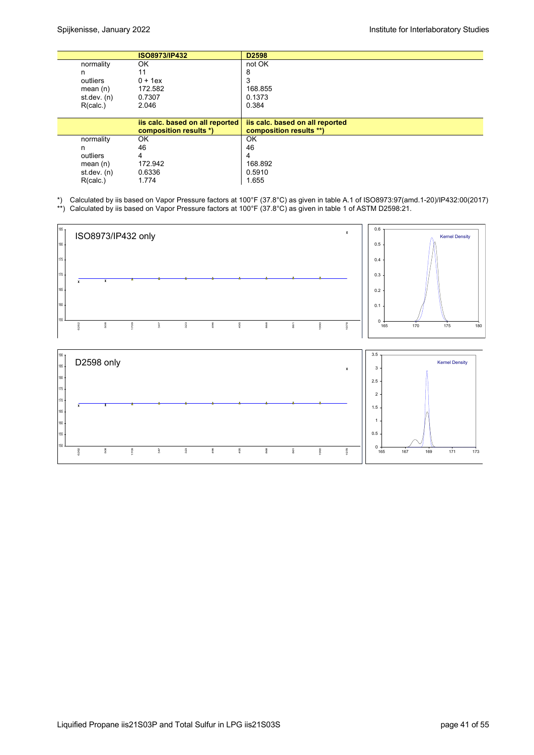|               | <b>ISO8973/IP432</b>            | D <sub>2598</sub>               |
|---------------|---------------------------------|---------------------------------|
| normality     | OK                              | not OK                          |
| n             | 11                              | 8                               |
| outliers      | $0 + 1ex$                       | 3                               |
| mean $(n)$    | 172.582                         | 168.855                         |
| st.dev. $(n)$ | 0.7307                          | 0.1373                          |
| R(calc.)      | 2.046                           | 0.384                           |
|               |                                 |                                 |
|               |                                 |                                 |
|               | iis calc. based on all reported | iis calc. based on all reported |
|               | composition results *)          | composition results **)         |
| normality     | OK                              | OK                              |
| n             | 46                              | 46                              |
| outliers      | 4                               | 4                               |
| mean $(n)$    | 172.942                         | 168.892                         |
| st.dev. $(n)$ | 0.6336                          | 0.5910                          |

\*) Calculated by iis based on Vapor Pressure factors at 100°F (37.8°C) as given in table A.1 of ISO8973:97(amd.1-20)/IP432:00(2017) \*\*) Calculated by iis based on Vapor Pressure factors at 100°F (37.8°C) as given in table 1 of ASTM D2598:21.



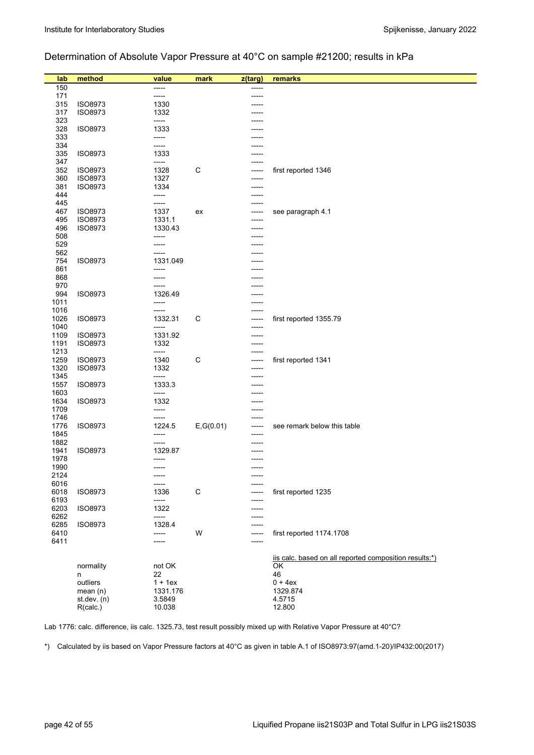# Determination of Absolute Vapor Pressure at 40°C on sample #21200; results in kPa

| lab          | method                           | value           | mark        | z(targ) | remarks                                                |
|--------------|----------------------------------|-----------------|-------------|---------|--------------------------------------------------------|
| 150          |                                  | -----           |             |         |                                                        |
| 171          |                                  | -----           |             | -----   |                                                        |
| 315          | <b>ISO8973</b>                   | 1330            |             |         |                                                        |
| 317          | <b>ISO8973</b>                   | 1332            |             |         |                                                        |
| 323          |                                  | -----           |             |         |                                                        |
| 328          | <b>ISO8973</b>                   | 1333            |             |         |                                                        |
| 333          |                                  | -----           |             |         |                                                        |
| 334          |                                  | -----           |             |         |                                                        |
| 335          | <b>ISO8973</b>                   | 1333            |             |         |                                                        |
| 347          |                                  | -----           |             |         |                                                        |
| 352<br>360   | <b>ISO8973</b><br><b>ISO8973</b> | 1328<br>1327    | C           |         | first reported 1346                                    |
| 381          | <b>ISO8973</b>                   | 1334            |             | -----   |                                                        |
| 444          |                                  | -----           |             |         |                                                        |
| 445          |                                  | -----           |             |         |                                                        |
| 467          | <b>ISO8973</b>                   | 1337            | ex          |         | see paragraph 4.1                                      |
| 495          | <b>ISO8973</b>                   | 1331.1          |             |         |                                                        |
| 496          | <b>ISO8973</b>                   | 1330.43         |             |         |                                                        |
| 508          |                                  | -----           |             |         |                                                        |
| 529          |                                  |                 |             |         |                                                        |
| 562          |                                  | -----           |             |         |                                                        |
| 754          | <b>ISO8973</b>                   | 1331.049        |             |         |                                                        |
| 861          |                                  | -----           |             |         |                                                        |
| 868<br>970   |                                  | -----<br>-----  |             |         |                                                        |
| 994          | <b>ISO8973</b>                   | 1326.49         |             |         |                                                        |
| 1011         |                                  | -----           |             |         |                                                        |
| 1016         |                                  | -----           |             |         |                                                        |
| 1026         | <b>ISO8973</b>                   | 1332.31         | C           | -----   | first reported 1355.79                                 |
| 1040         |                                  | -----           |             |         |                                                        |
| 1109         | <b>ISO8973</b>                   | 1331.92         |             |         |                                                        |
| 1191         | <b>ISO8973</b>                   | 1332            |             |         |                                                        |
| 1213         |                                  | -----           |             |         |                                                        |
| 1259         | <b>ISO8973</b>                   | 1340            | С           | -----   | first reported 1341                                    |
| 1320         | <b>ISO8973</b>                   | 1332<br>-----   |             |         |                                                        |
| 1345<br>1557 | <b>ISO8973</b>                   | 1333.3          |             |         |                                                        |
| 1603         |                                  | -----           |             |         |                                                        |
| 1634         | <b>ISO8973</b>                   | 1332            |             |         |                                                        |
| 1709         |                                  | -----           |             |         |                                                        |
| 1746         |                                  | -----           |             |         |                                                        |
| 1776         | <b>ISO8973</b>                   | 1224.5          | E, G(0.01)  | -----   | see remark below this table                            |
| 1845         |                                  | -----           |             |         |                                                        |
| 1882         |                                  | -----           |             |         |                                                        |
| 1941         | <b>ISO8973</b>                   | 1329.87         |             |         |                                                        |
| 1978<br>1990 |                                  | -----           |             |         |                                                        |
| 2124         |                                  | -----<br>------ |             | -----   |                                                        |
| 6016         |                                  | -----           |             |         |                                                        |
| 6018         | <b>ISO8973</b>                   | 1336            | $\mathsf C$ |         | first reported 1235                                    |
| 6193         |                                  | -----           |             |         |                                                        |
| 6203         | <b>ISO8973</b>                   | 1322            |             |         |                                                        |
| 6262         |                                  | -----           |             |         |                                                        |
| 6285         | <b>ISO8973</b>                   | 1328.4          |             |         |                                                        |
| 6410         |                                  | -----           | W           |         | first reported 1174.1708                               |
| 6411         |                                  |                 |             |         |                                                        |
|              |                                  |                 |             |         | iis calc. based on all reported composition results:*) |
|              | normality                        | not OK          |             |         | OK                                                     |
|              | n                                | 22              |             |         | 46                                                     |
|              | outliers                         | $1 + 1ex$       |             |         | $0 + 4ex$                                              |
|              | mean(n)                          | 1331.176        |             |         | 1329.874                                               |
|              | st. dev. (n)                     | 3.5849          |             |         | 4.5715                                                 |
|              | R(calc.)                         | 10.038          |             |         | 12.800                                                 |

Lab 1776: calc. difference, iis calc. 1325.73, test result possibly mixed up with Relative Vapor Pressure at 40°C?

\*) Calculated by iis based on Vapor Pressure factors at 40°C as given in table A.1 of ISO8973:97(amd.1-20)/IP432:00(2017)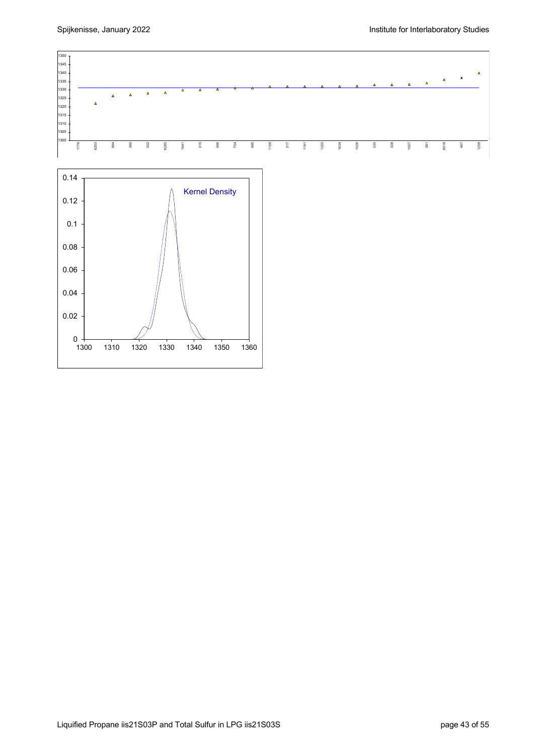

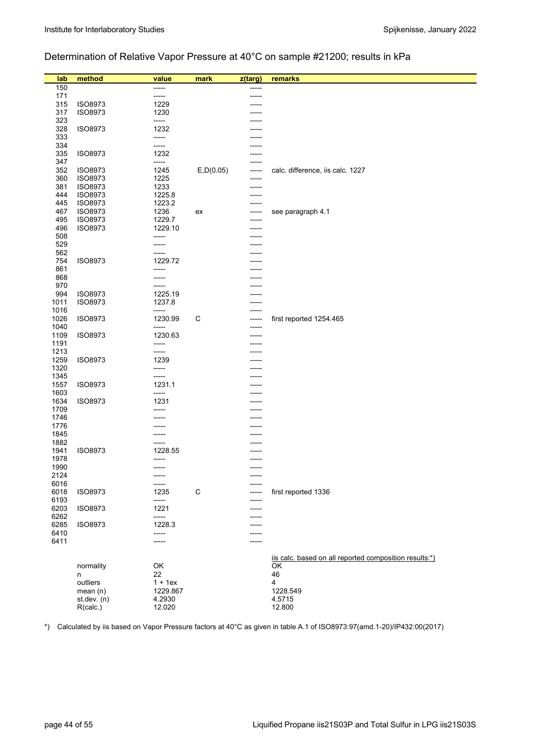# Determination of Relative Vapor Pressure at 40°C on sample #21200; results in kPa

| lab          | method                           | value            | mark        | z(targ)        | remarks                                                |
|--------------|----------------------------------|------------------|-------------|----------------|--------------------------------------------------------|
| 150          |                                  | -----            |             | -----          |                                                        |
| 171          |                                  | -----            |             | -----          |                                                        |
| 315          | <b>ISO8973</b>                   | 1229             |             |                |                                                        |
| 317          | <b>ISO8973</b>                   | 1230             |             |                |                                                        |
| 323          |                                  | -----            |             |                |                                                        |
| 328          | <b>ISO8973</b>                   | 1232             |             |                |                                                        |
| 333          |                                  | -----            |             |                |                                                        |
| 334          |                                  | -----            |             |                |                                                        |
| 335          | <b>ISO8973</b>                   | 1232             |             |                |                                                        |
| 347          |                                  | -----            |             |                |                                                        |
| 352          | <b>ISO8973</b>                   | 1245             | E, D(0.05)  | -----          | calc. difference, iis calc. 1227                       |
| 360          | <b>ISO8973</b>                   | 1225             |             | -----          |                                                        |
| 381<br>444   | <b>ISO8973</b><br><b>ISO8973</b> | 1233             |             | -----          |                                                        |
| 445          | <b>ISO8973</b>                   | 1225.8<br>1223.2 |             |                |                                                        |
| 467          | <b>ISO8973</b>                   | 1236             | ex          | -----          | see paragraph 4.1                                      |
| 495          | <b>ISO8973</b>                   | 1229.7           |             | -----          |                                                        |
| 496          | <b>ISO8973</b>                   | 1229.10          |             |                |                                                        |
| 508          |                                  | -----            |             |                |                                                        |
| 529          |                                  | -----            |             |                |                                                        |
| 562          |                                  | -----            |             |                |                                                        |
| 754          | <b>ISO8973</b>                   | 1229.72          |             |                |                                                        |
| 861          |                                  | -----            |             |                |                                                        |
| 868          |                                  | -----            |             |                |                                                        |
| 970          |                                  | -----            |             |                |                                                        |
| 994          | <b>ISO8973</b>                   | 1225.19          |             |                |                                                        |
| 1011         | <b>ISO8973</b>                   | 1237.8           |             |                |                                                        |
| 1016         |                                  | -----            |             |                |                                                        |
| 1026<br>1040 | <b>ISO8973</b>                   | 1230.99<br>----- | C           | -----<br>----- | first reported 1254.465                                |
| 1109         | <b>ISO8973</b>                   | 1230.63          |             |                |                                                        |
| 1191         |                                  | -----            |             |                |                                                        |
| 1213         |                                  | -----            |             |                |                                                        |
| 1259         | <b>ISO8973</b>                   | 1239             |             |                |                                                        |
| 1320         |                                  | -----            |             |                |                                                        |
| 1345         |                                  | -----            |             |                |                                                        |
| 1557         | <b>ISO8973</b>                   | 1231.1           |             |                |                                                        |
| 1603         |                                  | -----            |             |                |                                                        |
| 1634         | <b>ISO8973</b>                   | 1231             |             |                |                                                        |
| 1709         |                                  | -----            |             |                |                                                        |
| 1746         |                                  |                  |             |                |                                                        |
| 1776         |                                  |                  |             |                |                                                        |
| 1845<br>1882 |                                  |                  |             |                |                                                        |
| 1941         | <b>ISO8973</b>                   | 1228.55          |             |                |                                                        |
| 1978         |                                  | -----            |             |                |                                                        |
| 1990         |                                  | -----            |             | -----          |                                                        |
| 2124         |                                  | -----            |             |                |                                                        |
| 6016         |                                  | -----            |             |                |                                                        |
| 6018         | <b>ISO8973</b>                   | 1235             | $\mathbf C$ |                | first reported 1336                                    |
| 6193         |                                  | -----            |             |                |                                                        |
| 6203         | <b>ISO8973</b>                   | 1221             |             |                |                                                        |
| 6262         |                                  | -----            |             |                |                                                        |
| 6285         | <b>ISO8973</b>                   | 1228.3           |             |                |                                                        |
| 6410         |                                  | -----            |             |                |                                                        |
| 6411         |                                  |                  |             |                |                                                        |
|              |                                  |                  |             |                | iis calc. based on all reported composition results:*) |
|              | normality                        | OK               |             |                | OK                                                     |
|              | n                                | 22               |             |                | 46                                                     |
|              | outliers                         | $1 + 1ex$        |             |                | $\overline{4}$                                         |
|              | mean(n)                          | 1229.867         |             |                | 1228.549                                               |
|              | st.dev. (n)                      | 4.2930           |             |                | 4.5715                                                 |
|              | R(calc.)                         | 12.020           |             |                | 12.800                                                 |

\*) Calculated by iis based on Vapor Pressure factors at 40°C as given in table A.1 of ISO8973:97(amd.1-20)/IP432:00(2017)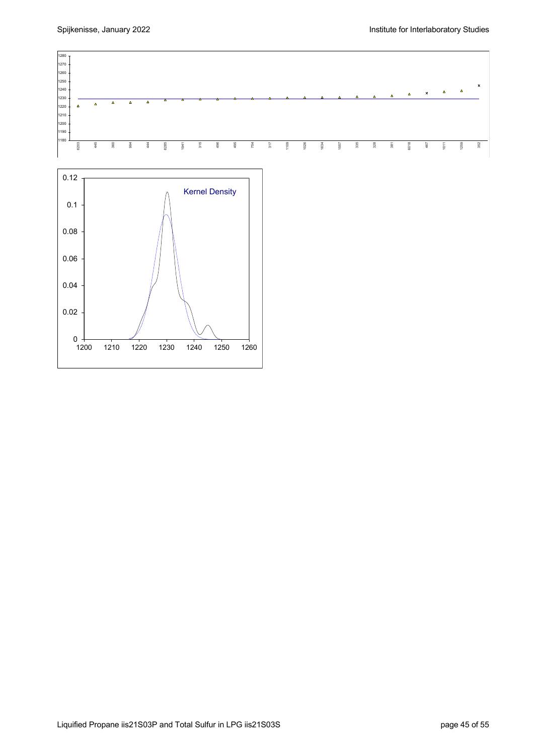

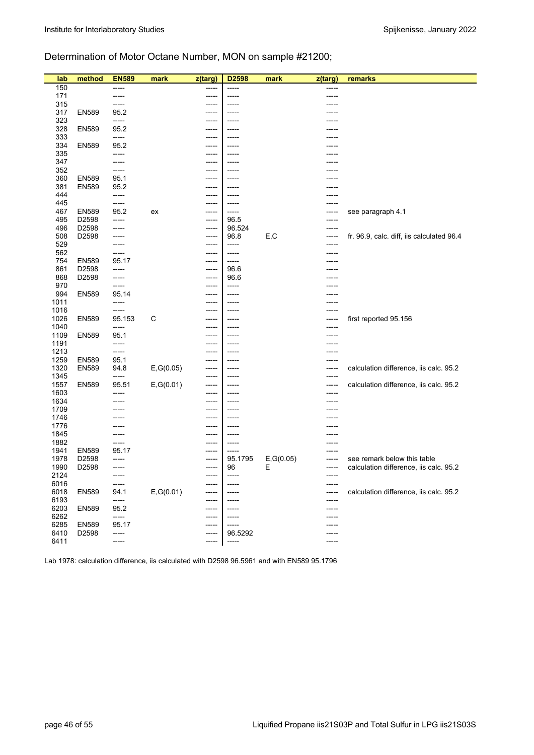# Determination of Motor Octane Number, MON on sample #21200;

| lab          | method            | <b>EN589</b>   | mark       | z(targ)        | D2598          | mark       | z(targ) | remarks                                   |
|--------------|-------------------|----------------|------------|----------------|----------------|------------|---------|-------------------------------------------|
| 150          |                   |                |            |                | -----          |            |         |                                           |
| 171          |                   |                |            |                | -----          |            |         |                                           |
| 315          |                   | -----          |            |                | -----          |            |         |                                           |
| 317          | <b>EN589</b>      | 95.2           |            | -----          | -----          |            |         |                                           |
| 323          |                   | -----          |            |                | -----          |            |         |                                           |
| 328          | <b>EN589</b>      | 95.2           |            | -----          | -----          |            |         |                                           |
| 333          |                   | -----          |            | -----          | -----          |            |         |                                           |
| 334          | <b>EN589</b>      | 95.2           |            | -----          | -----          |            |         |                                           |
| 335<br>347   |                   | -----<br>----- |            | -----<br>----- | -----<br>----- |            |         |                                           |
| 352          |                   | -----          |            | -----          | -----          |            |         |                                           |
| 360          | <b>EN589</b>      | 95.1           |            | -----          | -----          |            |         |                                           |
| 381          | <b>EN589</b>      | 95.2           |            | -----          | -----          |            |         |                                           |
| 444          |                   | -----          |            | -----          | -----          |            |         |                                           |
| 445          |                   | -----          |            | -----          | -----          |            |         |                                           |
| 467          | <b>EN589</b>      | 95.2           | ex         | -----          | -----          |            |         | see paragraph 4.1                         |
| 495          | D <sub>2598</sub> | -----          |            | -----          | 96.5           |            |         |                                           |
| 496          | D <sub>2598</sub> | -----          |            | -----          | 96.524         |            | -----   |                                           |
| 508          | D2598             | -----          |            | -----          | 96.8           | E, C       |         | fr. 96.9, calc. diff, iis calculated 96.4 |
| 529          |                   |                |            | -----          | -----          |            | -----   |                                           |
| 562          |                   | -----          |            | -----          | -----          |            |         |                                           |
| 754          | <b>EN589</b>      | 95.17          |            | -----          | -----          |            |         |                                           |
| 861          | D2598             | -----          |            | -----          | 96.6           |            |         |                                           |
| 868<br>970   | D2598             | -----<br>----- |            | -----<br>----- | 96.6           |            |         |                                           |
| 994          | <b>EN589</b>      | 95.14          |            | -----          | -----<br>----- |            |         |                                           |
| 1011         |                   | -----          |            | -----          | -----          |            |         |                                           |
| 1016         |                   | -----          |            | -----          | -----          |            |         |                                           |
| 1026         | <b>EN589</b>      | 95.153         | C          | -----          | -----          |            |         | first reported 95.156                     |
| 1040         |                   | -----          |            | -----          | -----          |            |         |                                           |
| 1109         | <b>EN589</b>      | 95.1           |            | -----          | -----          |            |         |                                           |
| 1191         |                   | -----          |            |                | -----          |            |         |                                           |
| 1213         |                   | -----          |            |                | -----          |            |         |                                           |
| 1259         | <b>EN589</b>      | 95.1           |            |                |                |            |         |                                           |
| 1320         | <b>EN589</b>      | 94.8           | E, G(0.05) | -----          | -----          |            | -----   | calculation difference, iis calc. 95.2    |
| 1345         |                   | -----          |            | -----          | -----          |            |         |                                           |
| 1557         | EN589             | 95.51          | E, G(0.01) | -----          | -----          |            | -----   | calculation difference, iis calc. 95.2    |
| 1603<br>1634 |                   | -----          |            | -----<br>----- | -----<br>----- |            |         |                                           |
| 1709         |                   |                |            | -----          | -----          |            |         |                                           |
| 1746         |                   |                |            | -----          | -----          |            |         |                                           |
| 1776         |                   |                |            | -----          | -----          |            |         |                                           |
| 1845         |                   | -----          |            | -----          | -----          |            |         |                                           |
| 1882         |                   | -----          |            | -----          | -----          |            |         |                                           |
| 1941         | <b>EN589</b>      | 95.17          |            | -----          | -----          |            |         |                                           |
| 1978         | D2598             | -----          |            | -----          | 95.1795        | E, G(0.05) | -----   | see remark below this table               |
| 1990         | D2598             | -----          |            | -----          | 96             | Ε          | -----   | calculation difference, iis calc. 95.2    |
| 2124         |                   | -----          |            | -----          | -----          |            | -----   |                                           |
| 6016         |                   | -----          |            | -----          | -----          |            |         |                                           |
| 6018         | <b>EN589</b>      | 94.1           | E, G(0.01) | -----          | -----          |            | -----   | calculation difference, iis calc. 95.2    |
| 6193         | <b>EN589</b>      | -----<br>95.2  |            | ----           | -----          |            |         |                                           |
| 6203<br>6262 |                   | -----          |            | -----          | ------         |            | -----   |                                           |
| 6285         | <b>EN589</b>      | 95.17          |            | ----<br>-----  | -----<br>----- |            |         |                                           |
| 6410         | D2598             | -----          |            | -----          | 96.5292        |            |         |                                           |
| 6411         |                   | -----          |            | -----          | $-----$        |            |         |                                           |
|              |                   |                |            |                |                |            |         |                                           |

Lab 1978: calculation difference, iis calculated with D2598 96.5961 and with EN589 95.1796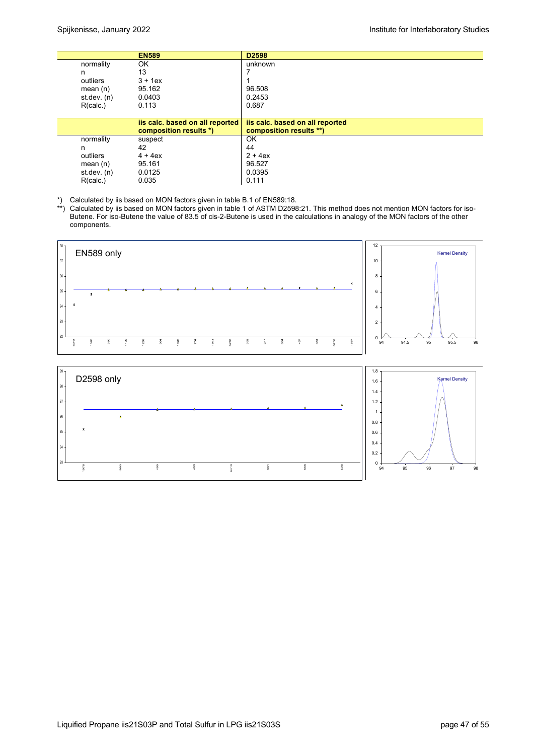|               | <b>EN589</b>                    | D <sub>2598</sub>               |
|---------------|---------------------------------|---------------------------------|
| normality     | <b>OK</b>                       | unknown                         |
| n             | 13                              |                                 |
| outliers      | $3 + 1ex$                       |                                 |
| mean $(n)$    | 95.162                          | 96.508                          |
| st dev. $(n)$ | 0.0403                          | 0.2453                          |
| R(calc.)      | 0.113                           | 0.687                           |
|               |                                 |                                 |
|               |                                 |                                 |
|               | iis calc. based on all reported | iis calc. based on all reported |
|               | composition results *)          | composition results **)         |
| normality     | suspect                         | OK                              |
| n             | 42                              | 44                              |
| outliers      | $4 + 4eX$                       | $2 + 4ex$                       |
| mean $(n)$    | 95.161                          | 96.527                          |
| st.dev. $(n)$ | 0.0125                          | 0.0395                          |

\*) Calculated by iis based on MON factors given in table B.1 of EN589:18.

\*\*) Calculated by iis based on MON factors given in table 1 of ASTM D2598:21. This method does not mention MON factors for iso-Butene. For iso-Butene the value of 83.5 of cis-2-Butene is used in the calculations in analogy of the MON factors of the other components.

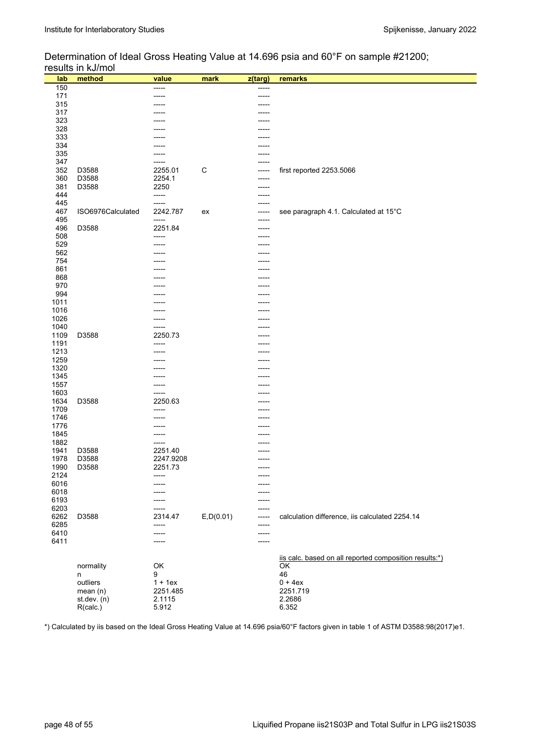### Determination of Ideal Gross Heating Value at 14.696 psia and 60°F on sample #21200; results in kJ/mol

| lab          | method            | value          | mark       | z(targ)        | remarks                                                |
|--------------|-------------------|----------------|------------|----------------|--------------------------------------------------------|
| 150          |                   | -----          |            | -----          |                                                        |
| 171          |                   | $-----$        |            | -----          |                                                        |
| 315          |                   | -----          |            | -----          |                                                        |
| 317          |                   |                |            |                |                                                        |
| 323<br>328   |                   |                |            |                |                                                        |
| 333          |                   |                |            |                |                                                        |
| 334          |                   |                |            |                |                                                        |
| 335          |                   |                |            |                |                                                        |
| 347          |                   |                |            |                |                                                        |
| 352          | D3588             | 2255.01        | C          | -----          | first reported 2253.5066                               |
| 360          | D3588             | 2254.1         |            | -----          |                                                        |
| 381          | D3588             | 2250           |            | -----          |                                                        |
| 444<br>445   |                   | -----<br>----- |            | -----<br>----- |                                                        |
| 467          | ISO6976Calculated | 2242.787       | ex         |                | see paragraph 4.1. Calculated at 15°C                  |
| 495          |                   | -----          |            |                |                                                        |
| 496          | D3588             | 2251.84        |            | -----          |                                                        |
| 508          |                   | -----          |            |                |                                                        |
| 529          |                   | -----          |            |                |                                                        |
| 562          |                   |                |            |                |                                                        |
| 754          |                   |                |            |                |                                                        |
| 861<br>868   |                   |                |            |                |                                                        |
| 970          |                   |                |            |                |                                                        |
| 994          |                   |                |            |                |                                                        |
| 1011         |                   |                |            |                |                                                        |
| 1016         |                   |                |            |                |                                                        |
| 1026         |                   | ------         |            |                |                                                        |
| 1040         |                   | $-----1$       |            |                |                                                        |
| 1109         | D3588             | 2250.73        |            |                |                                                        |
| 1191<br>1213 |                   | -----<br>----- |            |                |                                                        |
| 1259         |                   |                |            |                |                                                        |
| 1320         |                   |                |            |                |                                                        |
| 1345         |                   |                |            |                |                                                        |
| 1557         |                   | -----          |            |                |                                                        |
| 1603         |                   | -----          |            |                |                                                        |
| 1634         | D3588             | 2250.63        |            |                |                                                        |
| 1709<br>1746 |                   | -----          |            |                |                                                        |
| 1776         |                   | -----          |            |                |                                                        |
| 1845         |                   | -----          |            |                |                                                        |
| 1882         |                   | $-----$        |            |                |                                                        |
| 1941         | D3588             | 2251.40        |            |                |                                                        |
| 1978         | D3588             | 2247.9208      |            |                |                                                        |
| 1990         | D3588             | 2251.73        |            | -----          |                                                        |
| 2124         |                   | -----          |            | -----          |                                                        |
| 6016<br>6018 |                   | ------         |            | -----          |                                                        |
| 6193         |                   |                |            |                |                                                        |
| 6203         |                   | -----          |            |                |                                                        |
| 6262         | D3588             | 2314.47        | E, D(0.01) |                | calculation difference, iis calculated 2254.14         |
| 6285         |                   | -----          |            |                |                                                        |
| 6410         |                   |                |            |                |                                                        |
| 6411         |                   | -----          |            | -----          |                                                        |
|              |                   |                |            |                | iis calc. based on all reported composition results:*) |
|              | normality         | OK             |            |                | OK                                                     |
|              | n                 | 9              |            |                | 46                                                     |
|              | outliers          | $1 + 1ex$      |            |                | $0 + 4ex$                                              |
|              | mean(n)           | 2251.485       |            |                | 2251.719                                               |
|              | st.dev. (n)       | 2.1115         |            |                | 2.2686                                                 |
|              | R(calc.)          | 5.912          |            |                | 6.352                                                  |

\*) Calculated by iis based on the Ideal Gross Heating Value at 14.696 psia/60°F factors given in table 1 of ASTM D3588:98(2017)e1.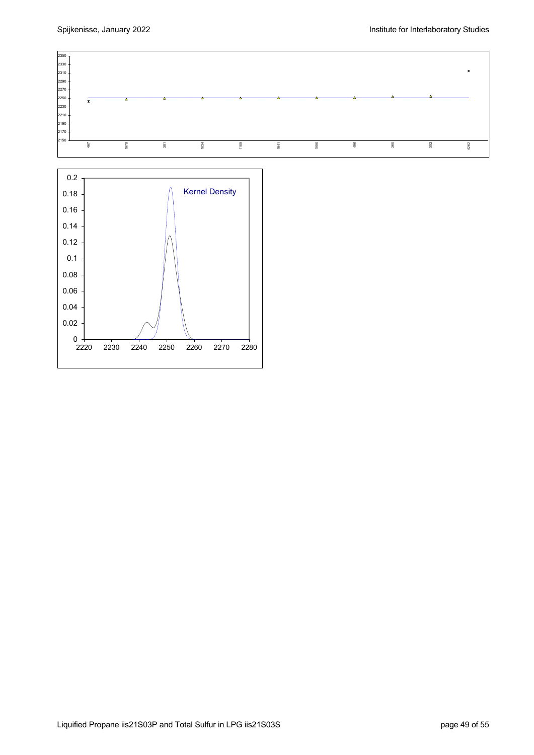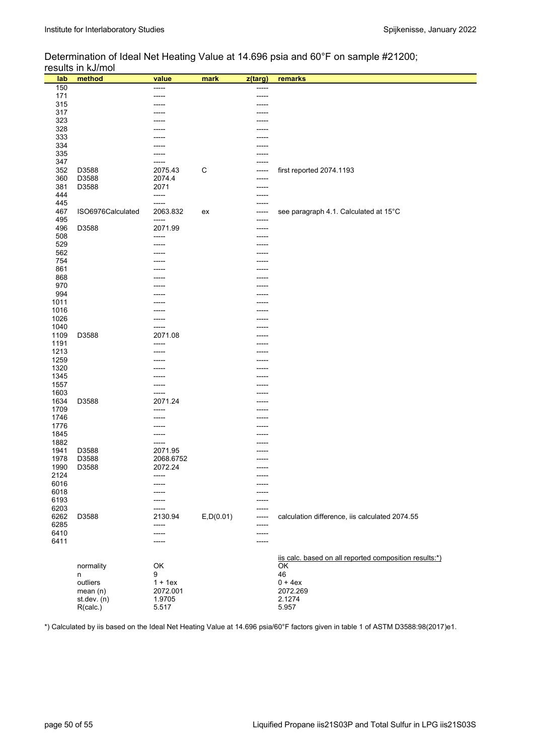### Determination of Ideal Net Heating Value at 14.696 psia and 60°F on sample #21200; results in kJ/mol

| lab          | method            | value                | mark       | z(targ)           | remarks                                                |
|--------------|-------------------|----------------------|------------|-------------------|--------------------------------------------------------|
| 150          |                   | $-----1$             |            | -----             |                                                        |
| 171          |                   | -----                |            | -----             |                                                        |
| 315          |                   |                      |            |                   |                                                        |
| 317          |                   |                      |            |                   |                                                        |
| 323          |                   | -----                |            | -----             |                                                        |
| 328          |                   |                      |            |                   |                                                        |
| 333          |                   |                      |            |                   |                                                        |
| 334          |                   |                      |            | -----             |                                                        |
| 335<br>347   |                   | -----<br>$-----1$    |            | -----<br>-----    |                                                        |
| 352          | D3588             | 2075.43              | C          | -----             | first reported 2074.1193                               |
| 360          | D3588             | 2074.4               |            | -----             |                                                        |
| 381          | D3588             | 2071                 |            | -----             |                                                        |
| 444          |                   | -----                |            | -----             |                                                        |
| 445          |                   | -----                |            |                   |                                                        |
| 467          | ISO6976Calculated | 2063.832             | ex         | -----             | see paragraph 4.1. Calculated at 15°C                  |
| 495          |                   | -----                |            |                   |                                                        |
| 496          | D3588             | 2071.99              |            |                   |                                                        |
| 508          |                   | -----                |            |                   |                                                        |
| 529          |                   | -----                |            |                   |                                                        |
| 562          |                   |                      |            | -----             |                                                        |
| 754<br>861   |                   |                      |            | ----              |                                                        |
| 868          |                   |                      |            |                   |                                                        |
| 970          |                   |                      |            |                   |                                                        |
| 994          |                   |                      |            |                   |                                                        |
| 1011         |                   | -----                |            | -----             |                                                        |
| 1016         |                   |                      |            |                   |                                                        |
| 1026         |                   | -----                |            |                   |                                                        |
| 1040         |                   | -----                |            |                   |                                                        |
| 1109         | D3588             | 2071.08              |            | -----             |                                                        |
| 1191         |                   | -----                |            |                   |                                                        |
| 1213         |                   |                      |            |                   |                                                        |
| 1259         |                   |                      |            |                   |                                                        |
| 1320<br>1345 |                   | -----<br>-----       |            | -----<br>-----    |                                                        |
| 1557         |                   | -----                |            |                   |                                                        |
| 1603         |                   | -----                |            |                   |                                                        |
| 1634         | D3588             | 2071.24              |            | ----              |                                                        |
| 1709         |                   | -----                |            |                   |                                                        |
| 1746         |                   |                      |            |                   |                                                        |
| 1776         |                   |                      |            | ----              |                                                        |
| 1845         |                   | -----                |            |                   |                                                        |
| 1882         |                   | -----                |            |                   |                                                        |
| 1941         | D3588             | 2071.95              |            |                   |                                                        |
| 1978<br>1990 | D3588<br>D3588    | 2068.6752<br>2072.24 |            | -----<br>$-----1$ |                                                        |
| 2124         |                   |                      |            |                   |                                                        |
| 6016         |                   | -----                |            | -----             |                                                        |
| 6018         |                   |                      |            |                   |                                                        |
| 6193         |                   |                      |            |                   |                                                        |
| 6203         |                   | -----                |            | ---               |                                                        |
| 6262         | D3588             | 2130.94              | E, D(0.01) | -----             | calculation difference, iis calculated 2074.55         |
| 6285         |                   | -----                |            | -----             |                                                        |
| 6410         |                   | -----                |            | -----             |                                                        |
| 6411         |                   | -----                |            | -----             |                                                        |
|              |                   |                      |            |                   | iis calc. based on all reported composition results:*) |
|              | normality         | OK                   |            |                   | OK                                                     |
|              | n                 | 9                    |            |                   | 46                                                     |
|              | outliers          | $1 + 1$ ex           |            |                   | $0 + 4ex$                                              |
|              | mean(n)           | 2072.001             |            |                   | 2072.269                                               |
|              | st.dev. (n)       | 1.9705               |            |                   | 2.1274                                                 |
|              | R(calc.)          | 5.517                |            |                   | 5.957                                                  |

\*) Calculated by iis based on the Ideal Net Heating Value at 14.696 psia/60°F factors given in table 1 of ASTM D3588:98(2017)e1.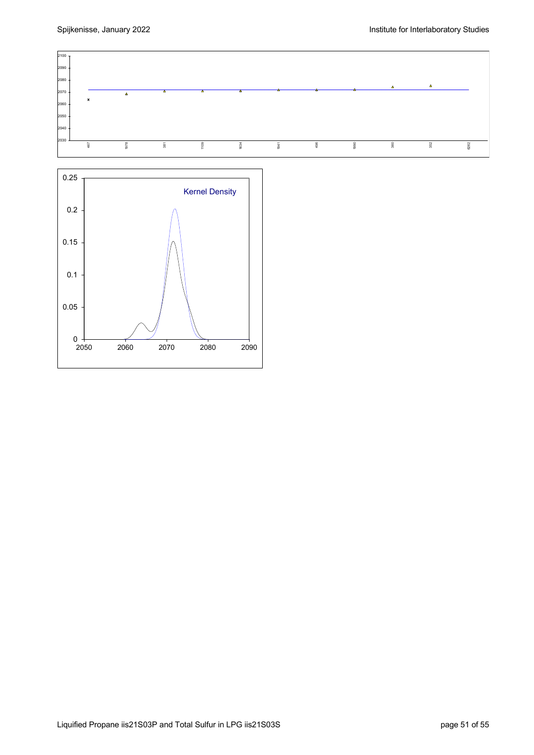

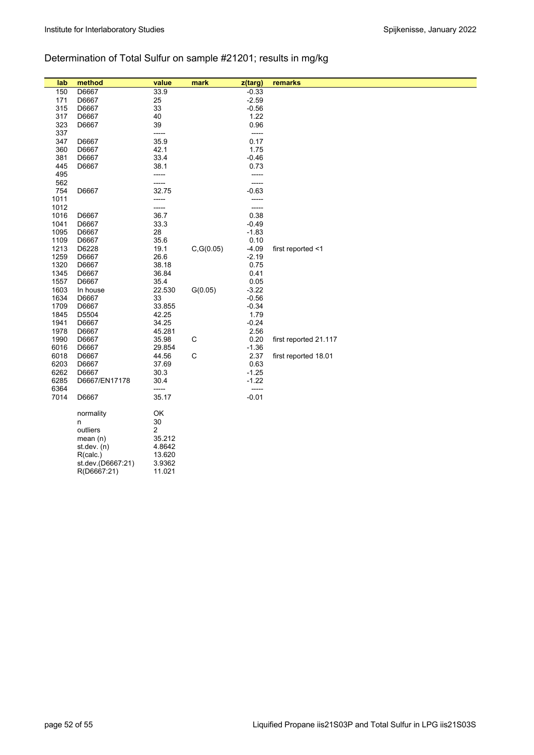# Determination of Total Sulfur on sample #21201; results in mg/kg

| lab  | method            | value  | mark        | z(targ) | remarks               |
|------|-------------------|--------|-------------|---------|-----------------------|
| 150  | D6667             | 33.9   |             | $-0.33$ |                       |
| 171  | D6667             | 25     |             | $-2.59$ |                       |
| 315  | D6667             | 33     |             | $-0.56$ |                       |
| 317  | D6667             | 40     |             | 1.22    |                       |
| 323  | D6667             | 39     |             | 0.96    |                       |
| 337  |                   | -----  |             | $-----$ |                       |
| 347  | D6667             | 35.9   |             | 0.17    |                       |
|      |                   |        |             |         |                       |
| 360  | D6667             | 42.1   |             | 1.75    |                       |
| 381  | D6667             | 33.4   |             | $-0.46$ |                       |
| 445  | D6667             | 38.1   |             | 0.73    |                       |
| 495  |                   | -----  |             | -----   |                       |
| 562  |                   | -----  |             | -----   |                       |
| 754  | D6667             | 32.75  |             | $-0.63$ |                       |
| 1011 |                   | -----  |             | -----   |                       |
| 1012 |                   | -----  |             | -----   |                       |
| 1016 | D6667             | 36.7   |             | 0.38    |                       |
| 1041 | D6667             | 33.3   |             | $-0.49$ |                       |
| 1095 | D6667             | 28     |             | $-1.83$ |                       |
| 1109 | D6667             | 35.6   |             | 0.10    |                       |
| 1213 | D6228             | 19.1   | C, G(0.05)  | $-4.09$ | first reported <1     |
| 1259 | D6667             | 26.6   |             | $-2.19$ |                       |
| 1320 | D6667             | 38.18  |             | 0.75    |                       |
| 1345 | D6667             | 36.84  |             | 0.41    |                       |
|      | D6667             |        |             |         |                       |
| 1557 |                   | 35.4   |             | 0.05    |                       |
| 1603 | In house          | 22.530 | G(0.05)     | $-3.22$ |                       |
| 1634 | D6667             | 33     |             | $-0.56$ |                       |
| 1709 | D6667             | 33.855 |             | $-0.34$ |                       |
| 1845 | D5504             | 42.25  |             | 1.79    |                       |
| 1941 | D6667             | 34.25  |             | $-0.24$ |                       |
| 1978 | D6667             | 45.281 |             | 2.56    |                       |
| 1990 | D6667             | 35.98  | C           | 0.20    | first reported 21.117 |
| 6016 | D6667             | 29.854 |             | $-1.36$ |                       |
| 6018 | D6667             | 44.56  | $\mathsf C$ | 2.37    | first reported 18.01  |
| 6203 | D6667             | 37.69  |             | 0.63    |                       |
| 6262 | D6667             | 30.3   |             | $-1.25$ |                       |
| 6285 | D6667/EN17178     | 30.4   |             | $-1.22$ |                       |
| 6364 |                   | -----  |             | -----   |                       |
| 7014 | D6667             | 35.17  |             | $-0.01$ |                       |
|      |                   |        |             |         |                       |
|      | normality         | OK     |             |         |                       |
|      | n                 | 30     |             |         |                       |
|      | outliers          | 2      |             |         |                       |
|      | mean $(n)$        | 35.212 |             |         |                       |
|      | st.dev. $(n)$     | 4.8642 |             |         |                       |
|      | R(calc.)          | 13.620 |             |         |                       |
|      | st.dev.(D6667:21) | 3.9362 |             |         |                       |
|      |                   |        |             |         |                       |
|      | R(D6667:21)       | 11.021 |             |         |                       |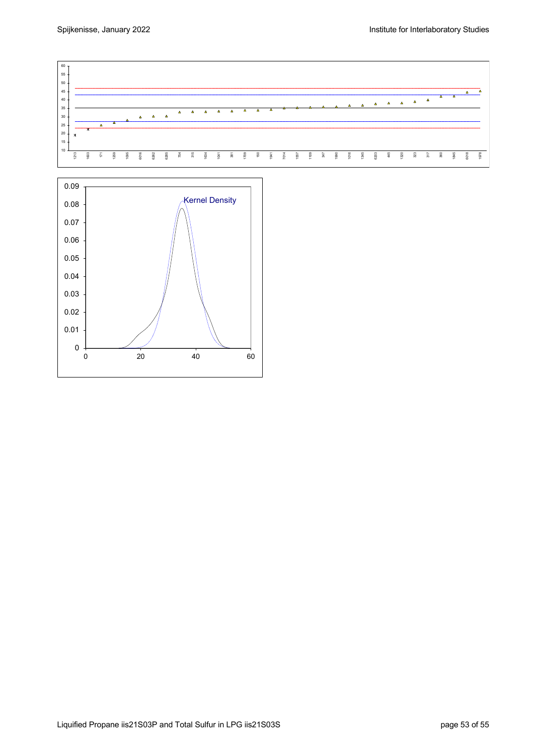

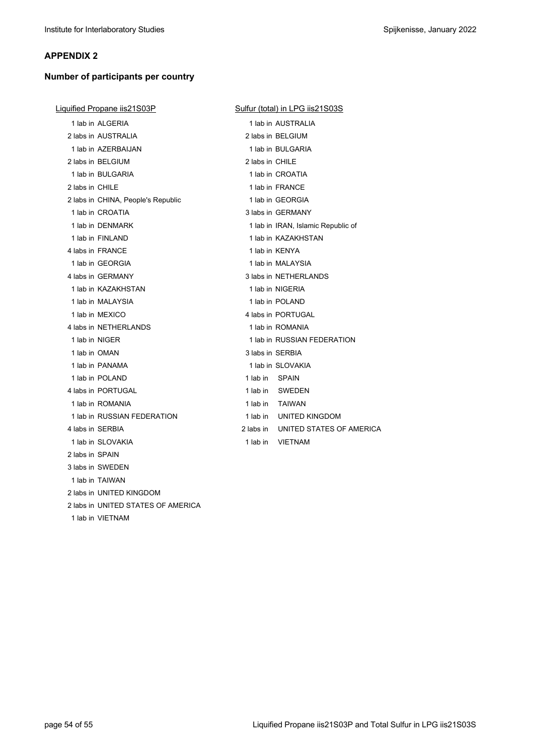### **APPENDIX 2**

#### **Number of participants per country**

| <b>Liquified Propane iis21S03P</b> | Sulfur (total) in LPG iis21S03S       |
|------------------------------------|---------------------------------------|
| 1 lab in ALGERIA                   | 1 lab in AUSTRALIA                    |
| 2 labs in AUSTRALIA                | 2 labs in BELGIUM                     |
| 1 lab in AZERBAIJAN                | 1 lab in BULGARIA                     |
| 2 labs in BELGIUM                  | 2 labs in CHILE                       |
| 1 lab in BULGARIA                  | 1 lab in CROATIA                      |
| 2 labs in CHILE                    | 1 lab in FRANCE                       |
| 2 labs in CHINA, People's Republic | 1 lab in GEORGIA                      |
| 1 lab in CROATIA                   | 3 labs in GERMANY                     |
| 1 lab in DENMARK                   | 1 lab in IRAN, Islamic Republic of    |
| 1 lab in FINLAND                   | 1 lab in KAZAKHSTAN                   |
| 4 labs in FRANCE                   | 1 lab in KENYA                        |
| 1 lab in GEORGIA                   | 1 lab in MALAYSIA                     |
| 4 labs in GERMANY                  | 3 labs in NETHERLANDS                 |
| 1 lab in KAZAKHSTAN                | 1 lab in NIGERIA                      |
| 1 lab in MALAYSIA                  | 1 lab in POLAND                       |
| 1 lab in MEXICO                    | 4 labs in PORTUGAL                    |
| 4 labs in NETHERLANDS              | 1 lab in ROMANIA                      |
| 1 lab in NIGER                     | 1 lab in RUSSIAN FEDERATION           |
| 1 lab in OMAN                      | 3 labs in SERBIA                      |
| 1 lab in PANAMA                    | 1 lab in SLOVAKIA                     |
| 1 lab in POLAND                    | <b>SPAIN</b><br>1 lab in              |
| 4 labs in PORTUGAL                 | 1 lab in<br><b>SWEDEN</b>             |
| 1 lab in ROMANIA                   | TAIWAN<br>1 lab in                    |
| 1 lab in RUSSIAN FEDERATION        | 1 lab in<br>UNITED KINGDOM            |
| 4 labs in SERBIA                   | 2 labs in<br>UNITED STATES OF AMERICA |
| 1 lab in SLOVAKIA                  | 1 lab in<br><b>VIETNAM</b>            |
| 2 labs in SPAIN                    |                                       |
| 3 labs in SWEDEN                   |                                       |
| 1 lab in TAIWAN                    |                                       |
| 2 labs in UNITED KINGDOM           |                                       |
| 2 labs in UNITED STATES OF AMERICA |                                       |
| 1 lab in VIETNAM                   |                                       |